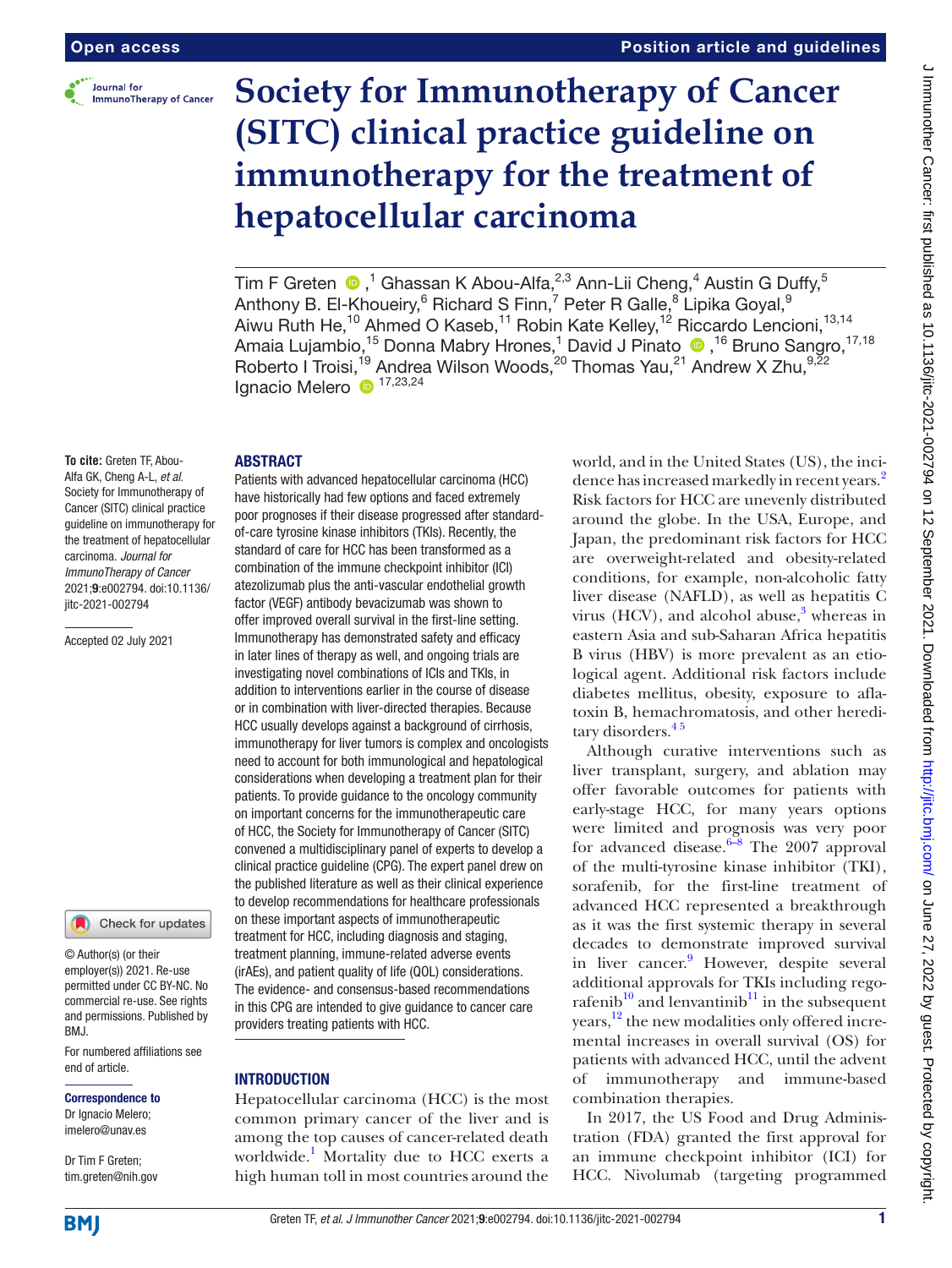

# **Society for Immunotherapy of Cancer (SITC) clinical practice guideline on immunotherapy for the treatment of hepatocellular carcinoma**

Tim F Greten  $\bigcirc$  ,<sup>1</sup> Ghassan K Abou-Alfa,<sup>2,3</sup> Ann-Lii Cheng,<sup>4</sup> Austin G Duffy,<sup>5</sup> Anthony B. El-Khoueiry, $^6$  Richard S Finn, $^7$  Peter R Galle, $^8$  Lipika Goyal, $^9$ Aiwu Ruth He,<sup>10</sup> Ahmed O Kaseb,<sup>11</sup> Robin Kate Kelley,<sup>12</sup> Riccardo Lencioni,<sup>13,14</sup> AmaiaLujambio,<sup>15</sup> Donna Mabry Hrones,<sup>1</sup> David J Pinato ®,<sup>16</sup> Bruno Sangro,<sup>17,18</sup> Roberto I Troisi,<sup>19</sup> Andrea Wilson Woods,<sup>20</sup> Thomas Yau,<sup>21</sup> Andrew X Zhu,<sup>9,22</sup> Ignacio Melero <sup>17,23,24</sup>

#### ABSTRACT

**To cite:** Greten TF, Abou-Alfa GK, Cheng A-L, *et al*. Society for Immunotherapy of Cancer (SITC) clinical practice guideline on immunotherapy for the treatment of hepatocellular carcinoma. *Journal for ImmunoTherapy of Cancer* 2021;9:e002794. doi:10.1136/ jitc-2021-002794

Accepted 02 July 2021



© Author(s) (or their employer(s)) 2021. Re-use permitted under CC BY-NC. No commercial re-use. See rights and permissions. Published by RM<sub>J</sub>

For numbered affiliations see end of article.

# Correspondence to

Dr Ignacio Melero; imelero@unav.es

Dr Tim F Greten; tim.greten@nih.gov

Patients with advanced hepatocellular carcinoma (HCC) have historically had few options and faced extremely poor prognoses if their disease progressed after standardof-care tyrosine kinase inhibitors (TKIs). Recently, the standard of care for HCC has been transformed as a combination of the immune checkpoint inhibitor (ICI) atezolizumab plus the anti-vascular endothelial growth factor (VEGF) antibody bevacizumab was shown to offer improved overall survival in the first-line setting. Immunotherapy has demonstrated safety and efficacy in later lines of therapy as well, and ongoing trials are investigating novel combinations of ICIs and TKIs, in addition to interventions earlier in the course of disease or in combination with liver-directed therapies. Because HCC usually develops against a background of cirrhosis, immunotherapy for liver tumors is complex and oncologists need to account for both immunological and hepatological considerations when developing a treatment plan for their patients. To provide guidance to the oncology community on important concerns for the immunotherapeutic care of HCC, the Society for Immunotherapy of Cancer (SITC) convened a multidisciplinary panel of experts to develop a clinical practice guideline (CPG). The expert panel drew on the published literature as well as their clinical experience to develop recommendations for healthcare professionals on these important aspects of immunotherapeutic treatment for HCC, including diagnosis and staging, treatment planning, immune-related adverse events (irAEs), and patient quality of life (QOL) considerations. The evidence- and consensus-based recommendations in this CPG are intended to give guidance to cancer care providers treating patients with HCC.

# **INTRODUCTION**

Hepatocellular carcinoma (HCC) is the most common primary cancer of the liver and is among the top causes of cancer-related death worldwide.<sup>1</sup> Mortality due to HCC exerts a high human toll in most countries around the

world, and in the United States (US), the inci-dence has increased markedly in recent years.<sup>[2](#page-19-1)</sup> Risk factors for HCC are unevenly distributed around the globe. In the USA, Europe, and Japan, the predominant risk factors for HCC are overweight-related and obesity-related conditions, for example, non-alcoholic fatty liver disease (NAFLD), as well as hepatitis C virus (HCV), and alcohol abuse,<sup>[3](#page-19-2)</sup> whereas in eastern Asia and sub-Saharan Africa hepatitis B virus (HBV) is more prevalent as an etiological agent. Additional risk factors include diabetes mellitus, obesity, exposure to aflatoxin B, hemachromatosis, and other hereditary disorders.<sup>45</sup>

Although curative interventions such as liver transplant, surgery, and ablation may offer favorable outcomes for patients with early-stage HCC, for many years options were limited and prognosis was very poor for advanced disease.<sup>6–8</sup> The 2007 approval of the multi-tyrosine kinase inhibitor (TKI), sorafenib, for the first-line treatment of advanced HCC represented a breakthrough as it was the first systemic therapy in several decades to demonstrate improved survival in liver cancer.<sup>[9](#page-19-5)</sup> However, despite several additional approvals for TKIs including regorafenib<sup>10</sup> and lenvantinib<sup>11</sup> in the subsequent years,[12](#page-19-8) the new modalities only offered incremental increases in overall survival (OS) for patients with advanced HCC, until the advent of immunotherapy and immune-based combination therapies.

In 2017, the US Food and Drug Administration (FDA) granted the first approval for an immune checkpoint inhibitor (ICI) for HCC. Nivolumab (targeting programmed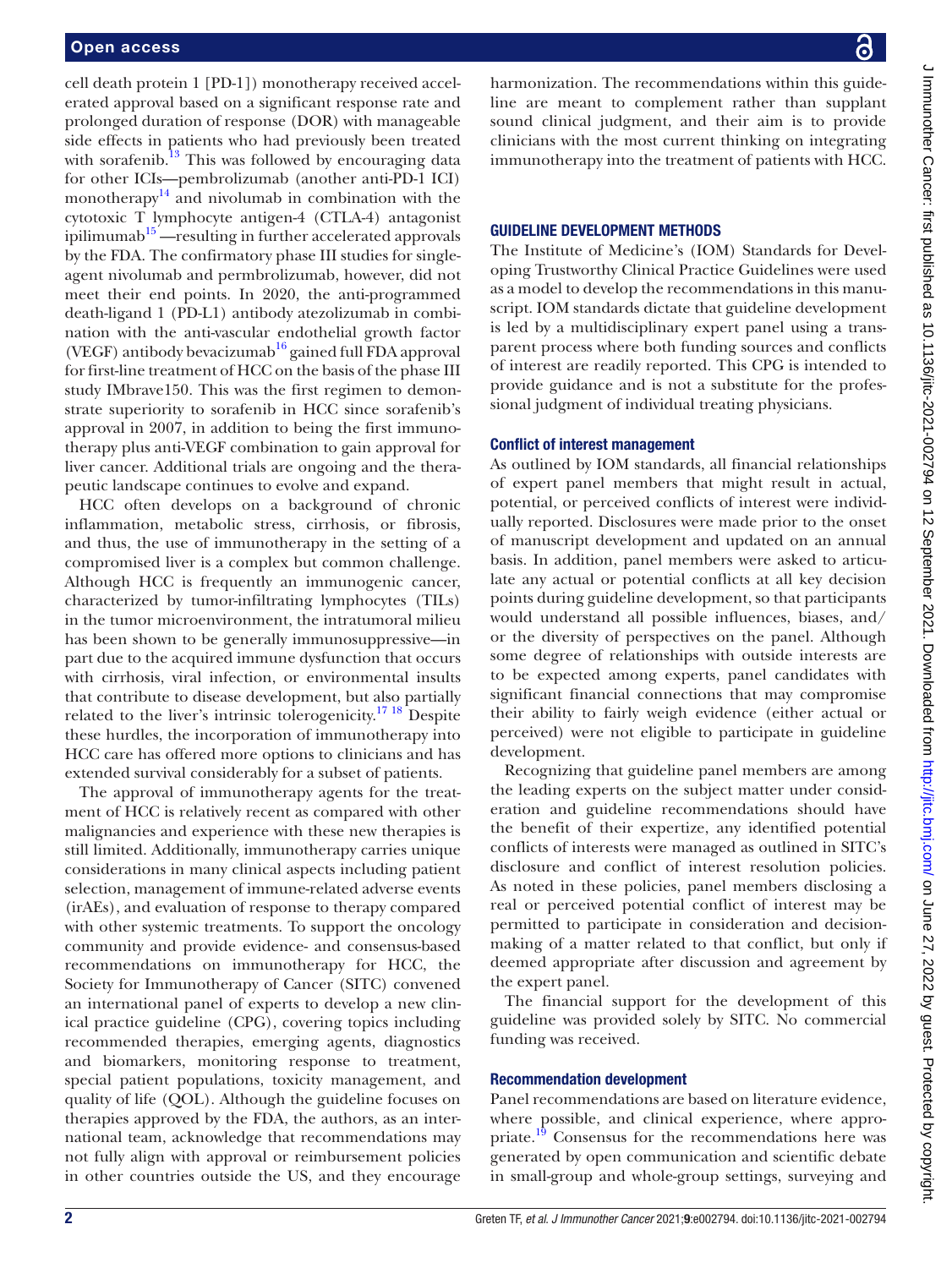cell death protein 1 [PD-1]) monotherapy received accelerated approval based on a significant response rate and prolonged duration of response (DOR) with manageable side effects in patients who had previously been treated with sorafenib.<sup>13</sup> This was followed by encouraging data for other ICIs—pembrolizumab (another anti-PD-1 ICI) monotherapy $14$  and nivolumab in combination with the cytotoxic T lymphocyte antigen-4 (CTLA-4) antagonist ipilimumab $15$ —resulting in further accelerated approvals by the FDA. The confirmatory phase III studies for singleagent nivolumab and permbrolizumab, however, did not meet their end points. In 2020, the anti-programmed death-ligand 1 (PD-L1) antibody atezolizumab in combination with the anti-vascular endothelial growth factor (VEGF) antibody bevacizumab<sup>16</sup> gained full FDA approval for first-line treatment of HCC on the basis of the phase III study IMbrave150. This was the first regimen to demonstrate superiority to sorafenib in HCC since sorafenib's approval in 2007, in addition to being the first immunotherapy plus anti-VEGF combination to gain approval for liver cancer. Additional trials are ongoing and the therapeutic landscape continues to evolve and expand.

HCC often develops on a background of chronic inflammation, metabolic stress, cirrhosis, or fibrosis, and thus, the use of immunotherapy in the setting of a compromised liver is a complex but common challenge. Although HCC is frequently an immunogenic cancer, characterized by tumor-infiltrating lymphocytes (TILs) in the tumor microenvironment, the intratumoral milieu has been shown to be generally immunosuppressive—in part due to the acquired immune dysfunction that occurs with cirrhosis, viral infection, or environmental insults that contribute to disease development, but also partially related to the liver's intrinsic tolerogenicity.<sup>17 18</sup> Despite these hurdles, the incorporation of immunotherapy into HCC care has offered more options to clinicians and has extended survival considerably for a subset of patients.

The approval of immunotherapy agents for the treatment of HCC is relatively recent as compared with other malignancies and experience with these new therapies is still limited. Additionally, immunotherapy carries unique considerations in many clinical aspects including patient selection, management of immune-related adverse events (irAEs), and evaluation of response to therapy compared with other systemic treatments. To support the oncology community and provide evidence- and consensus-based recommendations on immunotherapy for HCC, the Society for Immunotherapy of Cancer (SITC) convened an international panel of experts to develop a new clinical practice guideline (CPG), covering topics including recommended therapies, emerging agents, diagnostics and biomarkers, monitoring response to treatment, special patient populations, toxicity management, and quality of life (QOL). Although the guideline focuses on therapies approved by the FDA, the authors, as an international team, acknowledge that recommendations may not fully align with approval or reimbursement policies in other countries outside the US, and they encourage

harmonization. The recommendations within this guideline are meant to complement rather than supplant sound clinical judgment, and their aim is to provide clinicians with the most current thinking on integrating immunotherapy into the treatment of patients with HCC.

#### GUIDELINE DEVELOPMENT METHODS

The Institute of Medicine's (IOM) Standards for Developing Trustworthy Clinical Practice Guidelines were used as a model to develop the recommendations in this manuscript. IOM standards dictate that guideline development is led by a multidisciplinary expert panel using a transparent process where both funding sources and conflicts of interest are readily reported. This CPG is intended to provide guidance and is not a substitute for the professional judgment of individual treating physicians.

#### Conflict of interest management

As outlined by IOM standards, all financial relationships of expert panel members that might result in actual, potential, or perceived conflicts of interest were individually reported. Disclosures were made prior to the onset of manuscript development and updated on an annual basis. In addition, panel members were asked to articulate any actual or potential conflicts at all key decision points during guideline development, so that participants would understand all possible influences, biases, and/ or the diversity of perspectives on the panel. Although some degree of relationships with outside interests are to be expected among experts, panel candidates with significant financial connections that may compromise their ability to fairly weigh evidence (either actual or perceived) were not eligible to participate in guideline development.

Recognizing that guideline panel members are among the leading experts on the subject matter under consideration and guideline recommendations should have the benefit of their expertize, any identified potential conflicts of interests were managed as outlined in SITC's disclosure and conflict of interest resolution policies. As noted in these policies, panel members disclosing a real or perceived potential conflict of interest may be permitted to participate in consideration and decisionmaking of a matter related to that conflict, but only if deemed appropriate after discussion and agreement by the expert panel.

The financial support for the development of this guideline was provided solely by SITC. No commercial funding was received.

#### Recommendation development

Panel recommendations are based on literature evidence, where possible, and clinical experience, where appropriate.<sup>19</sup> Consensus for the recommendations here was generated by open communication and scientific debate in small-group and whole-group settings, surveying and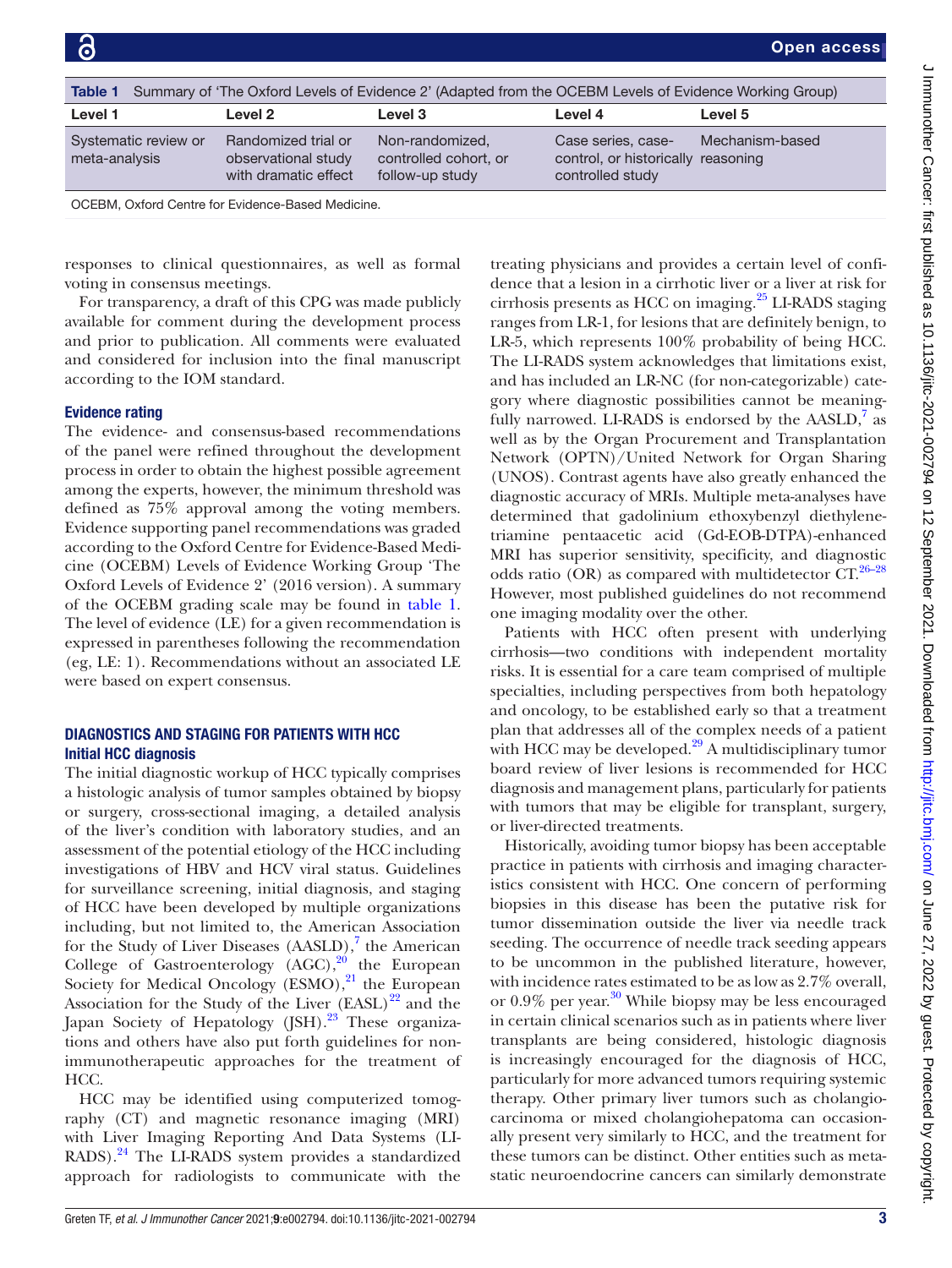<span id="page-2-0"></span>

| Table 1                               |                                                                    | Summary of 'The Oxford Levels of Evidence 2' (Adapted from the OCEBM Levels of Evidence Working Group) |                                                                              |                 |
|---------------------------------------|--------------------------------------------------------------------|--------------------------------------------------------------------------------------------------------|------------------------------------------------------------------------------|-----------------|
| Level 1                               | Level 2                                                            | Level 3                                                                                                | Level 4                                                                      | Level 5         |
| Systematic review or<br>meta-analysis | Randomized trial or<br>observational study<br>with dramatic effect | Non-randomized,<br>controlled cohort, or<br>follow-up study                                            | Case series, case-<br>control, or historically reasoning<br>controlled study | Mechanism-based |
|                                       |                                                                    |                                                                                                        |                                                                              |                 |

OCEBM, Oxford Centre for Evidence-Based Medicine.

responses to clinical questionnaires, as well as formal voting in consensus meetings.

For transparency, a draft of this CPG was made publicly available for comment during the development process and prior to publication. All comments were evaluated and considered for inclusion into the final manuscript according to the IOM standard.

#### Evidence rating

The evidence- and consensus-based recommendations of the panel were refined throughout the development process in order to obtain the highest possible agreement among the experts, however, the minimum threshold was defined as 75% approval among the voting members. Evidence supporting panel recommendations was graded according to the Oxford Centre for Evidence-Based Medicine (OCEBM) Levels of Evidence Working Group 'The Oxford Levels of Evidence 2' (2016 version). A summary of the OCEBM grading scale may be found in [table](#page-2-0) 1. The level of evidence (LE) for a given recommendation is expressed in parentheses following the recommendation (eg, LE: 1). Recommendations without an associated LE were based on expert consensus.

#### DIAGNOSTICS AND STAGING FOR PATIENTS WITH HCC Initial HCC diagnosis

The initial diagnostic workup of HCC typically comprises a histologic analysis of tumor samples obtained by biopsy or surgery, cross-sectional imaging, a detailed analysis of the liver's condition with laboratory studies, and an assessment of the potential etiology of the HCC including investigations of HBV and HCV viral status. Guidelines for surveillance screening, initial diagnosis, and staging of HCC have been developed by multiple organizations including, but not limited to, the American Association for the Study of Liver Diseases  $(AASLD)$ ,<sup>[7](#page-19-15)</sup> the American College of Gastroenterology  $(AGC)$ ,<sup>20</sup> the European Society for Medical Oncology (ESMO), $^{21}$  $^{21}$  $^{21}$  the European Association for the Study of the Liver  $(EASL)^{22}$  and the Japan Society of Hepatology (JSH).<sup>23</sup> These organizations and others have also put forth guidelines for nonimmunotherapeutic approaches for the treatment of HCC.

HCC may be identified using computerized tomography (CT) and magnetic resonance imaging (MRI) with Liver Imaging Reporting And Data Systems (LI-RADS).[24](#page-19-20) The LI-RADS system provides a standardized approach for radiologists to communicate with the

treating physicians and provides a certain level of confidence that a lesion in a cirrhotic liver or a liver at risk for cirrhosis presents as HCC on imaging. $^{25}$  $^{25}$  $^{25}$  LI-RADS staging ranges from LR-1, for lesions that are definitely benign, to LR-5, which represents 100% probability of being HCC. The LI-RADS system acknowledges that limitations exist, and has included an LR-NC (for non-categorizable) category where diagnostic possibilities cannot be meaningfully narrowed. LI-RADS is endorsed by the  $AASLD$ ,<sup>7</sup> as well as by the Organ Procurement and Transplantation Network (OPTN)/United Network for Organ Sharing (UNOS). Contrast agents have also greatly enhanced the diagnostic accuracy of MRIs. Multiple meta-analyses have determined that gadolinium ethoxybenzyl diethylenetriamine pentaacetic acid (Gd-EOB-DTPA)-enhanced MRI has superior sensitivity, specificity, and diagnostic odds ratio (OR) as compared with multidetector  $CT^{26-28}$ However, most published guidelines do not recommend one imaging modality over the other.

Patients with HCC often present with underlying cirrhosis—two conditions with independent mortality risks. It is essential for a care team comprised of multiple specialties, including perspectives from both hepatology and oncology, to be established early so that a treatment plan that addresses all of the complex needs of a patient with HCC may be developed. $29$  A multidisciplinary tumor board review of liver lesions is recommended for HCC diagnosis and management plans, particularly for patients with tumors that may be eligible for transplant, surgery, or liver-directed treatments.

Historically, avoiding tumor biopsy has been acceptable practice in patients with cirrhosis and imaging characteristics consistent with HCC. One concern of performing biopsies in this disease has been the putative risk for tumor dissemination outside the liver via needle track seeding. The occurrence of needle track seeding appears to be uncommon in the published literature, however, with incidence rates estimated to be as low as 2.7% overall, or  $0.9\%$  per year.<sup>30</sup> While biopsy may be less encouraged in certain clinical scenarios such as in patients where liver transplants are being considered, histologic diagnosis is increasingly encouraged for the diagnosis of HCC, particularly for more advanced tumors requiring systemic therapy. Other primary liver tumors such as cholangiocarcinoma or mixed cholangiohepatoma can occasionally present very similarly to HCC, and the treatment for these tumors can be distinct. Other entities such as metastatic neuroendocrine cancers can similarly demonstrate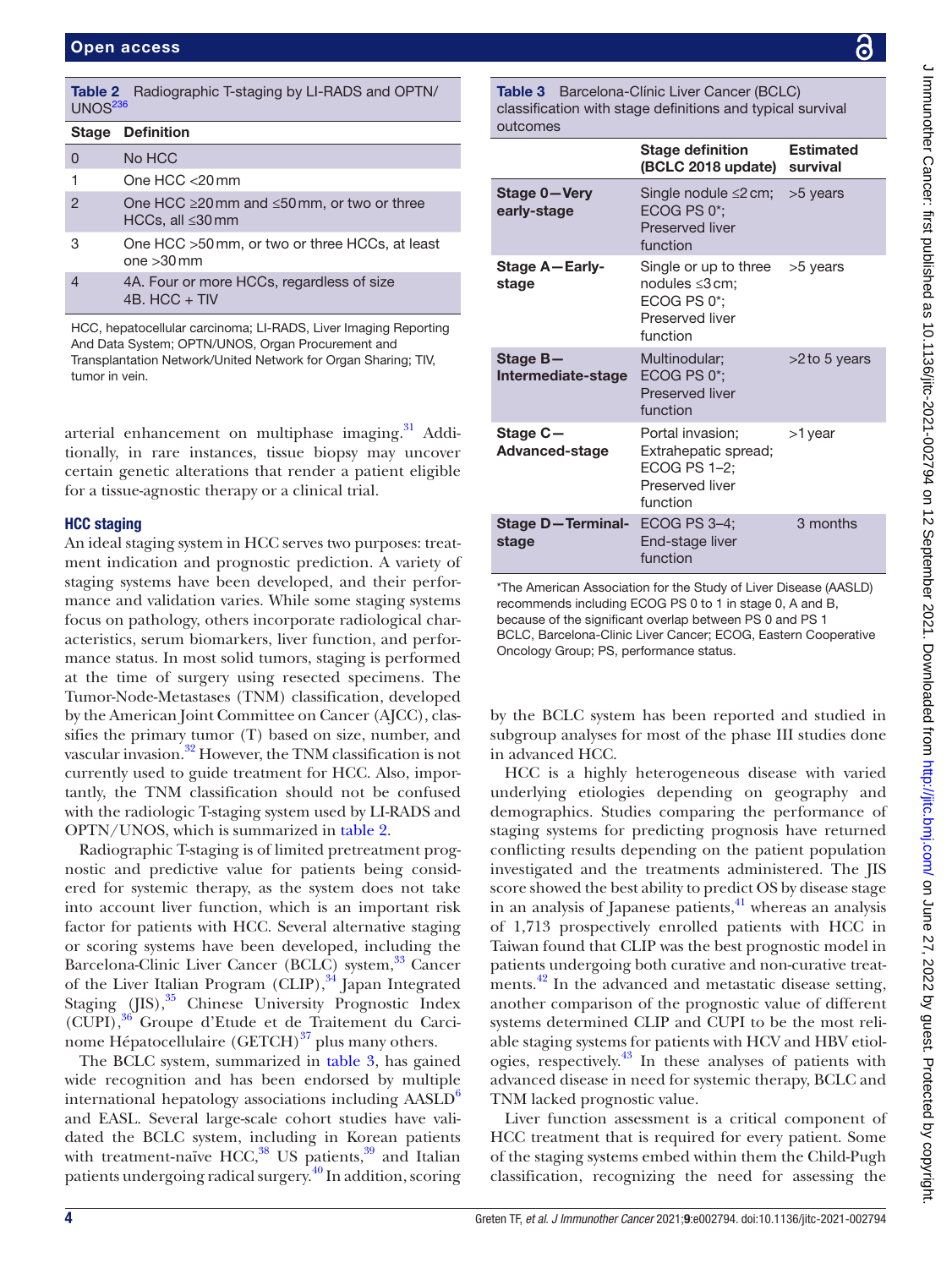<span id="page-3-0"></span>

| UPUII access        |                                                                                  |  |
|---------------------|----------------------------------------------------------------------------------|--|
|                     |                                                                                  |  |
| UNOS <sup>236</sup> | <b>Table 2</b> Radiographic T-staging by LI-RADS and OPTN/                       |  |
| <b>Stage</b>        | <b>Definition</b>                                                                |  |
| 0                   | No HCC                                                                           |  |
| 1                   | One $HCC < 20$ mm                                                                |  |
| $\mathcal{P}$       | One HCC $\geq$ 20 mm and $\leq$ 50 mm, or two or three<br>HCCs, all $\leq$ 30 mm |  |
| 3                   | One HCC >50 mm, or two or three HCCs, at least<br>$one > 30$ mm                  |  |
| $\overline{4}$      | 4A. Four or more HCCs, regardless of size<br>4B. HCC $+$ TIV                     |  |

HCC, hepatocellular carcinoma; LI-RADS, Liver Imaging Reporting And Data System; OPTN/UNOS, Organ Procurement and Transplantation Network/United Network for Organ Sharing; TIV, tumor in vein.

arterial enhancement on multiphase imaging.<sup>31</sup> Additionally, in rare instances, tissue biopsy may uncover certain genetic alterations that render a patient eligible for a tissue-agnostic therapy or a clinical trial.

#### HCC staging

An ideal staging system in HCC serves two purposes: treatment indication and prognostic prediction. A variety of staging systems have been developed, and their performance and validation varies. While some staging systems focus on pathology, others incorporate radiological characteristics, serum biomarkers, liver function, and performance status. In most solid tumors, staging is performed at the time of surgery using resected specimens. The Tumor-Node-Metastases (TNM) classification, developed by the American Joint Committee on Cancer (AJCC), classifies the primary tumor (T) based on size, number, and vascular invasion.<sup>[32](#page-20-2)</sup> However, the TNM classification is not currently used to guide treatment for HCC. Also, importantly, the TNM classification should not be confused with the radiologic T-staging system used by LI-RADS and OPTN/UNOS, which is summarized in [table](#page-3-0) 2.

Radiographic T-staging is of limited pretreatment prognostic and predictive value for patients being considered for systemic therapy, as the system does not take into account liver function, which is an important risk factor for patients with HCC. Several alternative staging or scoring systems have been developed, including the Barcelona-Clinic Liver Cancer (BCLC) system,<sup>33</sup> Cancer of the Liver Italian Program (CLIP), $34$  Japan Integrated Staging  $(IIS)$ ,<sup>35</sup> Chinese University Prognostic Index (CUPI),[36](#page-20-6) Groupe d'Etude et de Traitement du Carcinome Hépatocellulaire  $(GETCH)^{37}$  plus many others.

The BCLC system, summarized in [table](#page-3-1) 3, has gained wide recognition and has been endorsed by multiple international hepatology associations including  $AASLD<sup>6</sup>$  $AASLD<sup>6</sup>$  $AASLD<sup>6</sup>$ and EASL. Several large-scale cohort studies have validated the BCLC system, including in Korean patients with treatment-naïve HCC, $38$  US patients, $39$  and Italian patients undergoing radical surgery.<sup>[40](#page-20-10)</sup> In addition, scoring

<span id="page-3-1"></span>Table 3 Barcelona-Clínic Liver Cancer (BCLC) classification with stage definitions and typical survival outcomes

|                                   | <b>Stage definition</b><br>(BCLC 2018 update) survival                                  | <b>Estimated</b> |
|-----------------------------------|-----------------------------------------------------------------------------------------|------------------|
| Stage 0-Very<br>early-stage       | Single nodule $\leq$ 2 cm;<br>ECOG PS 0*:<br>Preserved liver<br>function                | >5 years         |
| <b>Stage A-Early-</b><br>stage    | Single or up to three<br>nodules ≤3 cm;<br>ECOG PS 0*:<br>Preserved liver<br>function   | >5 years         |
| Stage B-<br>Intermediate-stage    | Multinodular:<br>ECOG PS 0*;<br>Preserved liver<br>function                             | $>2$ to 5 years  |
| Stage C-<br><b>Advanced-stage</b> | Portal invasion;<br>Extrahepatic spread;<br>ECOG PS 1-2;<br>Preserved liver<br>function | >1 year          |
| <b>Stage D-Terminal-</b><br>stage | <b>ECOG PS 3-4:</b><br>End-stage liver<br>function                                      | 3 months         |

\*The American Association for the Study of Liver Disease (AASLD) recommends including ECOG PS 0 to 1 in stage 0, A and B, because of the significant overlap between PS 0 and PS 1 BCLC, Barcelona-Clinic Liver Cancer; ECOG, Eastern Cooperative Oncology Group; PS, performance status.

by the BCLC system has been reported and studied in subgroup analyses for most of the phase III studies done in advanced HCC.

HCC is a highly heterogeneous disease with varied underlying etiologies depending on geography and demographics. Studies comparing the performance of staging systems for predicting prognosis have returned conflicting results depending on the patient population investigated and the treatments administered. The JIS score showed the best ability to predict OS by disease stage in an analysis of Japanese patients, $^{41}$  whereas an analysis of 1,713 prospectively enrolled patients with HCC in Taiwan found that CLIP was the best prognostic model in patients undergoing both curative and non-curative treatments.<sup>42</sup> In the advanced and metastatic disease setting, another comparison of the prognostic value of different systems determined CLIP and CUPI to be the most reliable staging systems for patients with HCV and HBV etiologies, respectively.[43](#page-20-13) In these analyses of patients with advanced disease in need for systemic therapy, BCLC and TNM lacked prognostic value.

Liver function assessment is a critical component of HCC treatment that is required for every patient. Some of the staging systems embed within them the Child-Pugh classification, recognizing the need for assessing the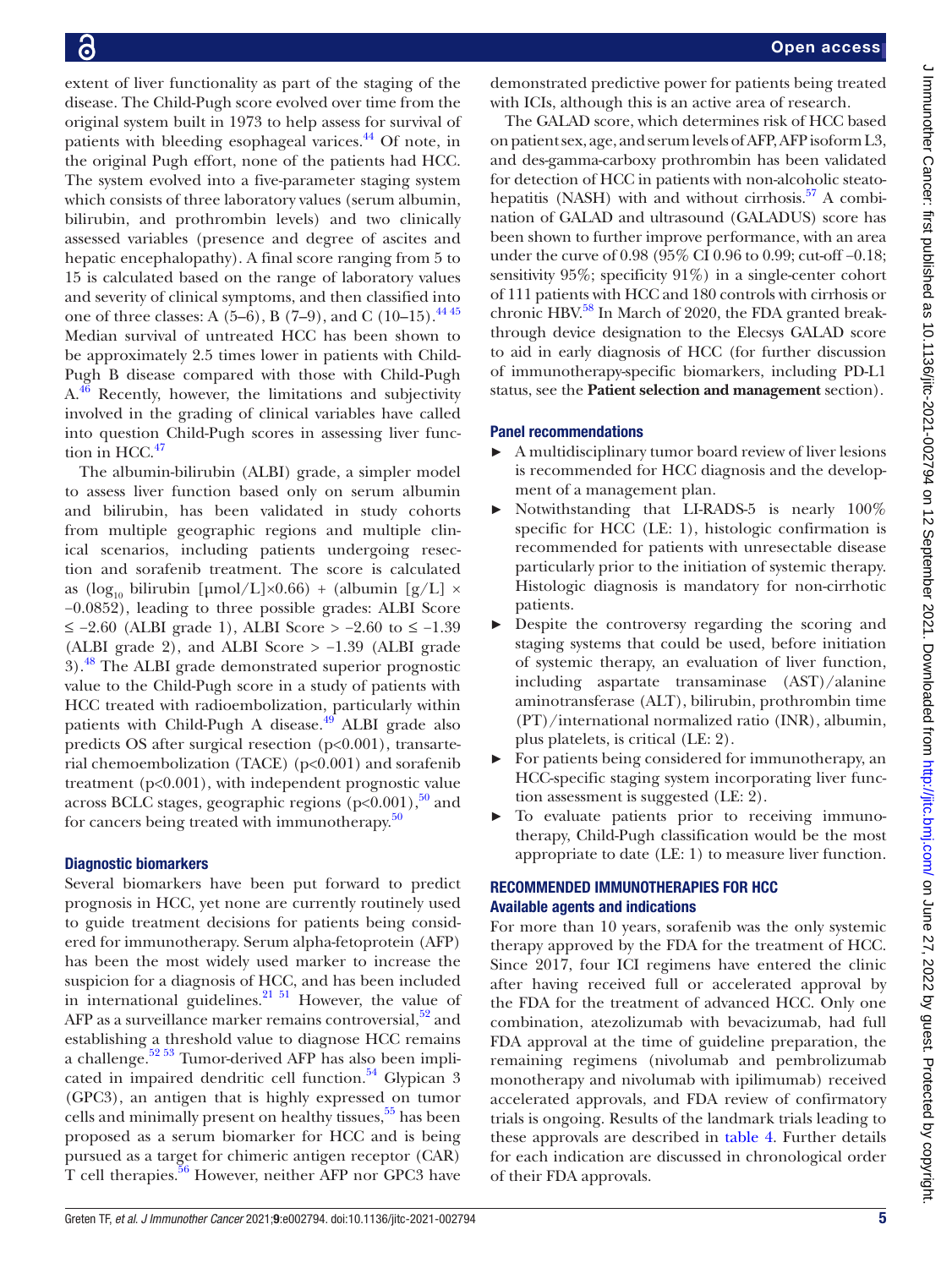extent of liver functionality as part of the staging of the disease. The Child-Pugh score evolved over time from the original system built in 1973 to help assess for survival of patients with bleeding esophageal varices.<sup>44</sup> Of note, in the original Pugh effort, none of the patients had HCC. The system evolved into a five-parameter staging system which consists of three laboratory values (serum albumin, bilirubin, and prothrombin levels) and two clinically assessed variables (presence and degree of ascites and hepatic encephalopathy). A final score ranging from 5 to 15 is calculated based on the range of laboratory values and severity of clinical symptoms, and then classified into one of three classes: A  $(5-6)$ , B  $(7-9)$ , and C  $(10-15)$ .<sup>4445</sup> Median survival of untreated HCC has been shown to be approximately 2.5 times lower in patients with Child-Pugh B disease compared with those with Child‐Pugh  $A<sup>46</sup>$  Recently, however, the limitations and subjectivity involved in the grading of clinical variables have called into question Child-Pugh scores in assessing liver function in HCC. $47$ 

The albumin-bilirubin (ALBI) grade, a simpler model to assess liver function based only on serum albumin and bilirubin, has been validated in study cohorts from multiple geographic regions and multiple clinical scenarios, including patients undergoing resection and sorafenib treatment. The score is calculated as (log<sub>10</sub> bilirubin [µmol/L]×0.66) + (albumin [g/L] × −0.0852), leading to three possible grades: ALBI Score ≤ −2.60 (ALBI grade 1), ALBI Score > −2.60 to ≤ −1.39 (ALBI grade 2), and ALBI Score > −1.39 (ALBI grade 3).[48](#page-20-17) The ALBI grade demonstrated superior prognostic value to the Child-Pugh score in a study of patients with HCC treated with radioembolization, particularly within patients with Child-Pugh A disease.<sup>[49](#page-20-18)</sup> ALBI grade also predicts OS after surgical resection (p<0.001), transarterial chemoembolization (TACE) ( $p<0.001$ ) and sorafenib treatment (p<0.001), with independent prognostic value across BCLC stages, geographic regions  $(p<0.001)$ ,<sup>50</sup> and for cancers being treated with immunotherapy.<sup>[50](#page-20-19)</sup>

# Diagnostic biomarkers

Several biomarkers have been put forward to predict prognosis in HCC, yet none are currently routinely used to guide treatment decisions for patients being considered for immunotherapy. Serum alpha-fetoprotein (AFP) has been the most widely used marker to increase the suspicion for a diagnosis of HCC, and has been included in international guidelines. $21 \frac{51}{1}$  However, the value of AFP as a surveillance marker remains controversial,  $52$  and establishing a threshold value to diagnose HCC remains a challenge.<sup>52 53</sup> Tumor-derived AFP has also been implicated in impaired dendritic cell function. $54$  Glypican 3 (GPC3), an antigen that is highly expressed on tumor cells and minimally present on healthy tissues,<sup>[55](#page-20-22)</sup> has been proposed as a serum biomarker for HCC and is being pursued as a target for chimeric antigen receptor (CAR) T cell therapies.<sup>[56](#page-20-23)</sup> However, neither AFP nor GPC3 have

demonstrated predictive power for patients being treated with ICIs, although this is an active area of research.

The GALAD score, which determines risk of HCC based on patient sex, age, and serum levels of AFP, AFP isoform L3, and des-gamma-carboxy prothrombin has been validated for detection of HCC in patients with non-alcoholic steatohepatitis (NASH) with and without cirrhosis. $57$  A combination of GALAD and ultrasound (GALADUS) score has been shown to further improve performance, with an area under the curve of 0.98 (95% CI 0.96 to 0.99; cut-off −0.18; sensitivity 95%; specificity 91%) in a single-center cohort of 111 patients with HCC and 180 controls with cirrhosis or chronic HBV.<sup>58</sup> In March of 2020, the FDA granted breakthrough device designation to the Elecsys GALAD score to aid in early diagnosis of HCC (for further discussion of immunotherapy-specific biomarkers, including PD-L1 status, see the **Patient selection and management** section).

# Panel recommendations

- ► A multidisciplinary tumor board review of liver lesions is recommended for HCC diagnosis and the development of a management plan.
- ► Notwithstanding that LI-RADS-5 is nearly 100% specific for HCC (LE: 1), histologic confirmation is recommended for patients with unresectable disease particularly prior to the initiation of systemic therapy. Histologic diagnosis is mandatory for non-cirrhotic patients.
- Despite the controversy regarding the scoring and staging systems that could be used, before initiation of systemic therapy, an evaluation of liver function, including aspartate transaminase (AST)/alanine aminotransferase (ALT), bilirubin, prothrombin time (PT)/international normalized ratio (INR), albumin, plus platelets, is critical (LE: 2).
- ► For patients being considered for immunotherapy, an HCC-specific staging system incorporating liver function assessment is suggested (LE: 2).
- ► To evaluate patients prior to receiving immunotherapy, Child-Pugh classification would be the most appropriate to date (LE: 1) to measure liver function.

# RECOMMENDED IMMUNOTHERAPIES FOR HCC Available agents and indications

For more than 10 years, sorafenib was the only systemic therapy approved by the FDA for the treatment of HCC. Since 2017, four ICI regimens have entered the clinic after having received full or accelerated approval by the FDA for the treatment of advanced HCC. Only one combination, atezolizumab with bevacizumab, had full FDA approval at the time of guideline preparation, the remaining regimens (nivolumab and pembrolizumab monotherapy and nivolumab with ipilimumab) received accelerated approvals, and FDA review of confirmatory trials is ongoing. Results of the landmark trials leading to these approvals are described in [table](#page-5-0) 4. Further details for each indication are discussed in chronological order of their FDA approvals.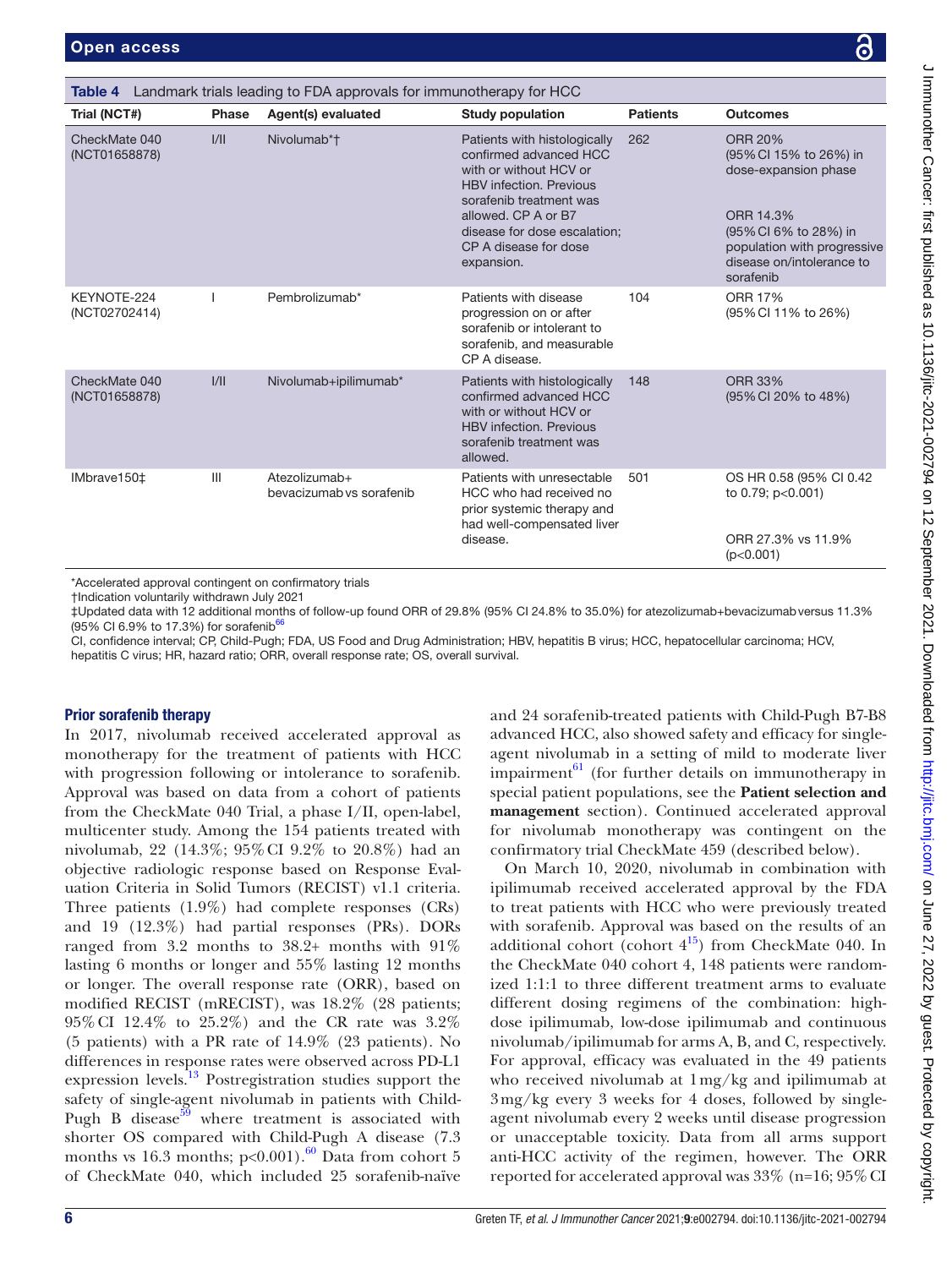<span id="page-5-0"></span>

| Table 4 Landmark trials leading to FDA approvals for immunotherapy for HCC                                                                                                                                                                                                                                |       |                                           |                                                                                                                                                                                                                                             |                 |                                                                                                                                                                                 |
|-----------------------------------------------------------------------------------------------------------------------------------------------------------------------------------------------------------------------------------------------------------------------------------------------------------|-------|-------------------------------------------|---------------------------------------------------------------------------------------------------------------------------------------------------------------------------------------------------------------------------------------------|-----------------|---------------------------------------------------------------------------------------------------------------------------------------------------------------------------------|
| Trial (NCT#)                                                                                                                                                                                                                                                                                              | Phase | Agent(s) evaluated                        | <b>Study population</b>                                                                                                                                                                                                                     | <b>Patients</b> | <b>Outcomes</b>                                                                                                                                                                 |
| CheckMate 040<br>(NCT01658878)                                                                                                                                                                                                                                                                            | VII   | Nivolumab*†                               | Patients with histologically<br>confirmed advanced HCC<br>with or without HCV or<br><b>HBV</b> infection, Previous<br>sorafenib treatment was<br>allowed. CP A or B7<br>disease for dose escalation;<br>CP A disease for dose<br>expansion. | 262             | <b>ORR 20%</b><br>(95% CI 15% to 26%) in<br>dose-expansion phase<br>ORR 14.3%<br>(95% CI 6% to 28%) in<br>population with progressive<br>disease on/intolerance to<br>sorafenib |
| KEYNOTE-224<br>(NCT02702414)                                                                                                                                                                                                                                                                              |       | Pembrolizumab*                            | Patients with disease<br>progression on or after<br>sorafenib or intolerant to<br>sorafenib, and measurable<br>CP A disease.                                                                                                                | 104             | <b>ORR 17%</b><br>(95% CI 11% to 26%)                                                                                                                                           |
| CheckMate 040<br>(NCT01658878)                                                                                                                                                                                                                                                                            | VII   | Nivolumab+ipilimumab*                     | Patients with histologically<br>confirmed advanced HCC<br>with or without HCV or<br><b>HBV</b> infection, Previous<br>sorafenib treatment was<br>allowed.                                                                                   | 148             | <b>ORR 33%</b><br>(95% CI 20% to 48%)                                                                                                                                           |
| IMbrave150 <sup>±</sup>                                                                                                                                                                                                                                                                                   | III   | Atezolizumab+<br>bevacizumab vs sorafenib | Patients with unresectable<br>HCC who had received no<br>prior systemic therapy and<br>had well-compensated liver<br>disease.                                                                                                               | 501             | OS HR 0.58 (95% CI 0.42)<br>to 0.79; p<0.001)<br>ORR 27.3% vs 11.9%<br>(p<0.001)                                                                                                |
| *Accelerated approval contingent on confirmatory trials<br>†Indication voluntarily withdrawn July 2021<br>‡Updated data with 12 additional months of follow-up found ORR of 29.8% (95% Cl 24.8% to 35.0%) for atezolizumab+bevacizumab versus 11.3%<br>(95% CI 6.9% to 17.3%) for sorafenib <sup>66</sup> |       |                                           |                                                                                                                                                                                                                                             |                 |                                                                                                                                                                                 |

CI, confidence interval; CP, Child-Pugh; FDA, US Food and Drug Administration; HBV, hepatitis B virus; HCC, hepatocellular carcinoma; HCV, hepatitis C virus; HR, hazard ratio; ORR, overall response rate; OS, overall survival.

# Prior sorafenib therapy

In 2017, nivolumab received accelerated approval as monotherapy for the treatment of patients with HCC with progression following or intolerance to sorafenib. Approval was based on data from a cohort of patients from the CheckMate 040 Trial, a phase I/II, open-label, multicenter study. Among the 154 patients treated with nivolumab, 22 (14.3%; 95%CI 9.2% to 20.8%) had an objective radiologic response based on Response Evaluation Criteria in Solid Tumors (RECIST) v1.1 criteria. Three patients (1.9%) had complete responses (CRs) and 19 (12.3%) had partial responses (PRs). DORs ranged from 3.2 months to 38.2+ months with 91% lasting 6 months or longer and 55% lasting 12 months or longer. The overall response rate (ORR), based on modified RECIST (mRECIST), was 18.2% (28 patients; 95%CI 12.4% to 25.2%) and the CR rate was 3.2% (5 patients) with a PR rate of 14.9% (23 patients). No differences in response rates were observed across PD-L1 expression levels.<sup>[13](#page-19-9)</sup> Postregistration studies support the safety of single-agent nivolumab in patients with Child-Pugh B disease<sup>59</sup> where treatment is associated with shorter OS compared with Child-Pugh A disease (7.3 months vs 16.3 months;  $p<0.001$ ).<sup>60</sup> Data from cohort 5 of CheckMate 040, which included 25 sorafenib-naïve

and 24 sorafenib-treated patients with Child-Pugh B7-B8 advanced HCC, also showed safety and efficacy for singleagent nivolumab in a setting of mild to moderate liver impairment $^{61}$  $^{61}$  $^{61}$  (for further details on immunotherapy in special patient populations, see the **Patient selection and management** section). Continued accelerated approval for nivolumab monotherapy was contingent on the confirmatory trial CheckMate 459 (described below).

On March 10, 2020, nivolumab in combination with ipilimumab received accelerated approval by the FDA to treat patients with HCC who were previously treated with sorafenib. Approval was based on the results of an additional cohort (cohort  $4^{15}$ ) from CheckMate 040. In the CheckMate 040 cohort 4, 148 patients were randomized 1:1:1 to three different treatment arms to evaluate different dosing regimens of the combination: highdose ipilimumab, low-dose ipilimumab and continuous nivolumab/ipilimumab for arms A, B, and C, respectively. For approval, efficacy was evaluated in the 49 patients who received nivolumab at 1mg/kg and ipilimumab at 3mg/kg every 3 weeks for 4 doses, followed by singleagent nivolumab every 2 weeks until disease progression or unacceptable toxicity. Data from all arms support anti-HCC activity of the regimen, however. The ORR reported for accelerated approval was  $33\%$  (n=16;  $95\%$  CI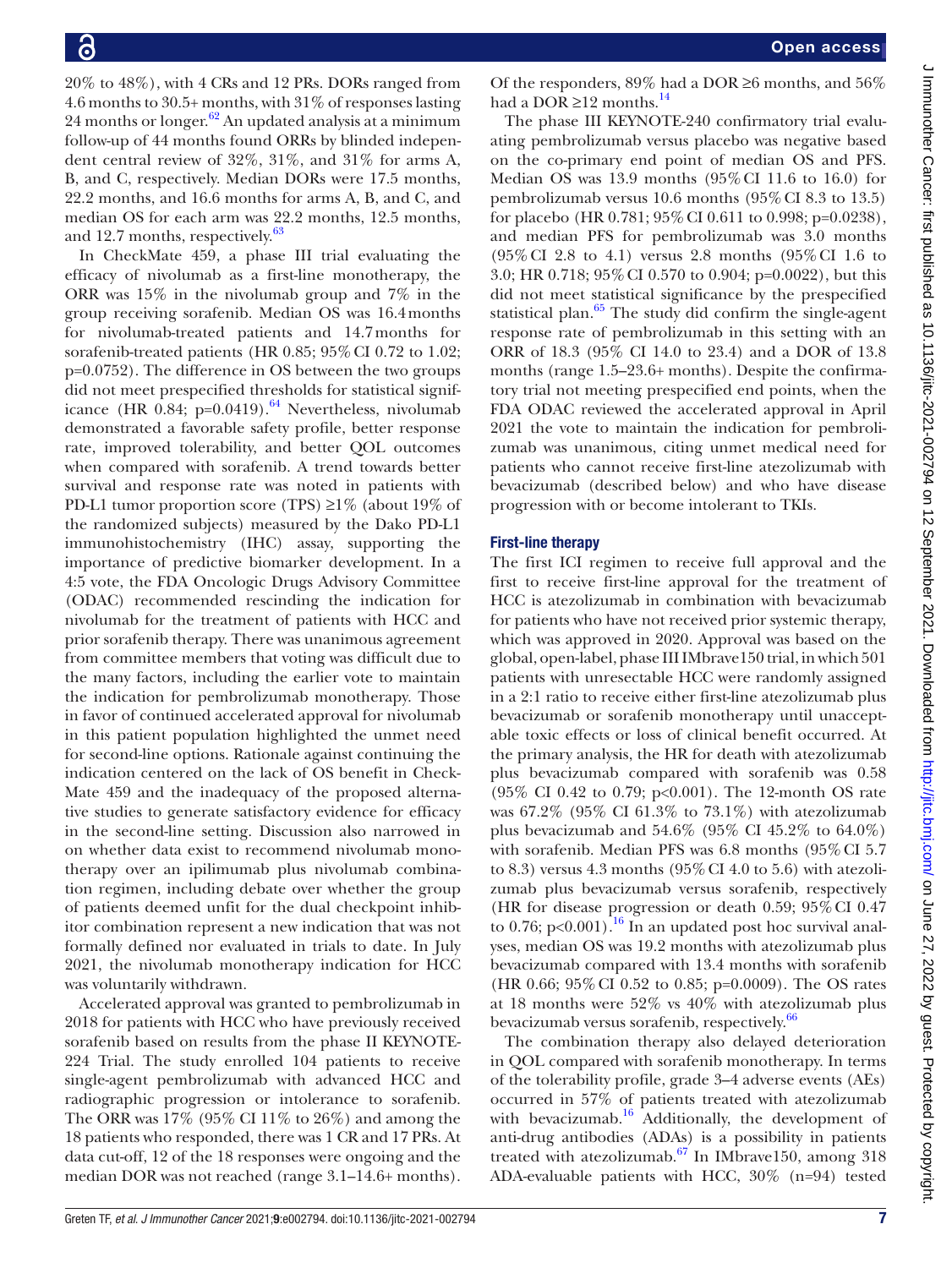20% to 48%), with 4 CRs and 12 PRs. DORs ranged from 4.6 months to 30.5+ months, with 31% of responses lasting 24 months or longer. $62$  An updated analysis at a minimum follow-up of 44 months found ORRs by blinded independent central review of 32%, 31%, and 31% for arms A, B, and C, respectively. Median DORs were 17.5 months, 22.2 months, and 16.6 months for arms A, B, and C, and median OS for each arm was 22.2 months, 12.5 months, and 12.7 months, respectively.<sup>[63](#page-20-31)</sup>

In CheckMate 459, a phase III trial evaluating the efficacy of nivolumab as a first-line monotherapy, the ORR was 15% in the nivolumab group and 7% in the group receiving sorafenib. Median OS was 16.4months for nivolumab-treated patients and 14.7months for sorafenib-treated patients (HR 0.85; 95% CI 0.72 to 1.02; p=0.0752). The difference in OS between the two groups did not meet prespecified thresholds for statistical significance (HR  $0.84$ ; p=0.0419).<sup>[64](#page-20-32)</sup> Nevertheless, nivolumab demonstrated a favorable safety profile, better response rate, improved tolerability, and better QOL outcomes when compared with sorafenib. A trend towards better survival and response rate was noted in patients with PD-L1 tumor proportion score (TPS)  $\geq$ 1% (about 19% of the randomized subjects) measured by the Dako PD-L1 immunohistochemistry (IHC) assay, supporting the importance of predictive biomarker development. In a 4:5 vote, the FDA Oncologic Drugs Advisory Committee (ODAC) recommended rescinding the indication for nivolumab for the treatment of patients with HCC and prior sorafenib therapy. There was unanimous agreement from committee members that voting was difficult due to the many factors, including the earlier vote to maintain the indication for pembrolizumab monotherapy. Those in favor of continued accelerated approval for nivolumab in this patient population highlighted the unmet need for second-line options. Rationale against continuing the indication centered on the lack of OS benefit in Check-Mate 459 and the inadequacy of the proposed alternative studies to generate satisfactory evidence for efficacy in the second-line setting. Discussion also narrowed in on whether data exist to recommend nivolumab monotherapy over an ipilimumab plus nivolumab combination regimen, including debate over whether the group of patients deemed unfit for the dual checkpoint inhibitor combination represent a new indication that was not formally defined nor evaluated in trials to date. In July 2021, the nivolumab monotherapy indication for HCC was voluntarily withdrawn.

Accelerated approval was granted to pembrolizumab in 2018 for patients with HCC who have previously received sorafenib based on results from the phase II KEYNOTE-224 Trial. The study enrolled 104 patients to receive single-agent pembrolizumab with advanced HCC and radiographic progression or intolerance to sorafenib. The ORR was 17% (95% CI 11% to 26%) and among the 18 patients who responded, there was 1 CR and 17 PRs. At data cut-off, 12 of the 18 responses were ongoing and the median DOR was not reached (range 3.1–14.6+ months).

Of the responders,  $89\%$  had a DOR ≥6 months, and  $56\%$ had a DOR  $\geq$ 12 months.<sup>14</sup>

The phase III KEYNOTE-240 confirmatory trial evaluating pembrolizumab versus placebo was negative based on the co-primary end point of median OS and PFS. Median OS was 13.9 months (95%CI 11.6 to 16.0) for pembrolizumab versus 10.6 months (95%CI 8.3 to 13.5) for placebo (HR 0.781; 95%CI 0.611 to 0.998; p=0.0238), and median PFS for pembrolizumab was 3.0 months (95%CI 2.8 to 4.1) versus 2.8 months (95%CI 1.6 to 3.0; HR 0.718; 95%CI 0.570 to 0.904; p=0.0022), but this did not meet statistical significance by the prespecified statistical plan. $65$  The study did confirm the single-agent response rate of pembrolizumab in this setting with an ORR of 18.3 (95% CI 14.0 to 23.4) and a DOR of 13.8 months (range 1.5–23.6+ months). Despite the confirmatory trial not meeting prespecified end points, when the FDA ODAC reviewed the accelerated approval in April 2021 the vote to maintain the indication for pembrolizumab was unanimous, citing unmet medical need for patients who cannot receive first-line atezolizumab with bevacizumab (described below) and who have disease progression with or become intolerant to TKIs.

# First-line therapy

The first ICI regimen to receive full approval and the first to receive first-line approval for the treatment of HCC is atezolizumab in combination with bevacizumab for patients who have not received prior systemic therapy, which was approved in 2020. Approval was based on the global, open-label, phase III IMbrave150 trial, in which 501 patients with unresectable HCC were randomly assigned in a 2:1 ratio to receive either first-line atezolizumab plus bevacizumab or sorafenib monotherapy until unacceptable toxic effects or loss of clinical benefit occurred. At the primary analysis, the HR for death with atezolizumab plus bevacizumab compared with sorafenib was 0.58 (95% CI 0.42 to 0.79; p<0.001). The 12-month OS rate was 67.2% (95% CI 61.3% to 73.1%) with atezolizumab plus bevacizumab and  $54.6\%$  (95% CI  $45.2\%$  to  $64.0\%$ ) with sorafenib. Median PFS was 6.8 months (95%CI 5.7 to 8.3) versus 4.3 months  $(95\% \text{ CI } 4.0 \text{ to } 5.6)$  with atezolizumab plus bevacizumab versus sorafenib, respectively (HR for disease progression or death  $0.59$ ;  $95\%$  CI  $0.47$ to 0.76; p<0.001).<sup>16</sup> In an updated post hoc survival analyses, median OS was 19.2 months with atezolizumab plus bevacizumab compared with 13.4 months with sorafenib (HR 0.66; 95%CI 0.52 to 0.85; p=0.0009). The OS rates at 18 months were 52% vs 40% with atezolizumab plus bevacizumab versus sorafenib, respectively.<sup>[66](#page-20-29)</sup>

The combination therapy also delayed deterioration in QOL compared with sorafenib monotherapy. In terms of the tolerability profile, grade 3–4 adverse events (AEs) occurred in 57% of patients treated with atezolizumab with bevacizumab. $16$  Additionally, the development of anti-drug antibodies (ADAs) is a possibility in patients treated with atezolizumab.<sup>67</sup> In IMbrave150, among 318 ADA-evaluable patients with HCC, 30% (n=94) tested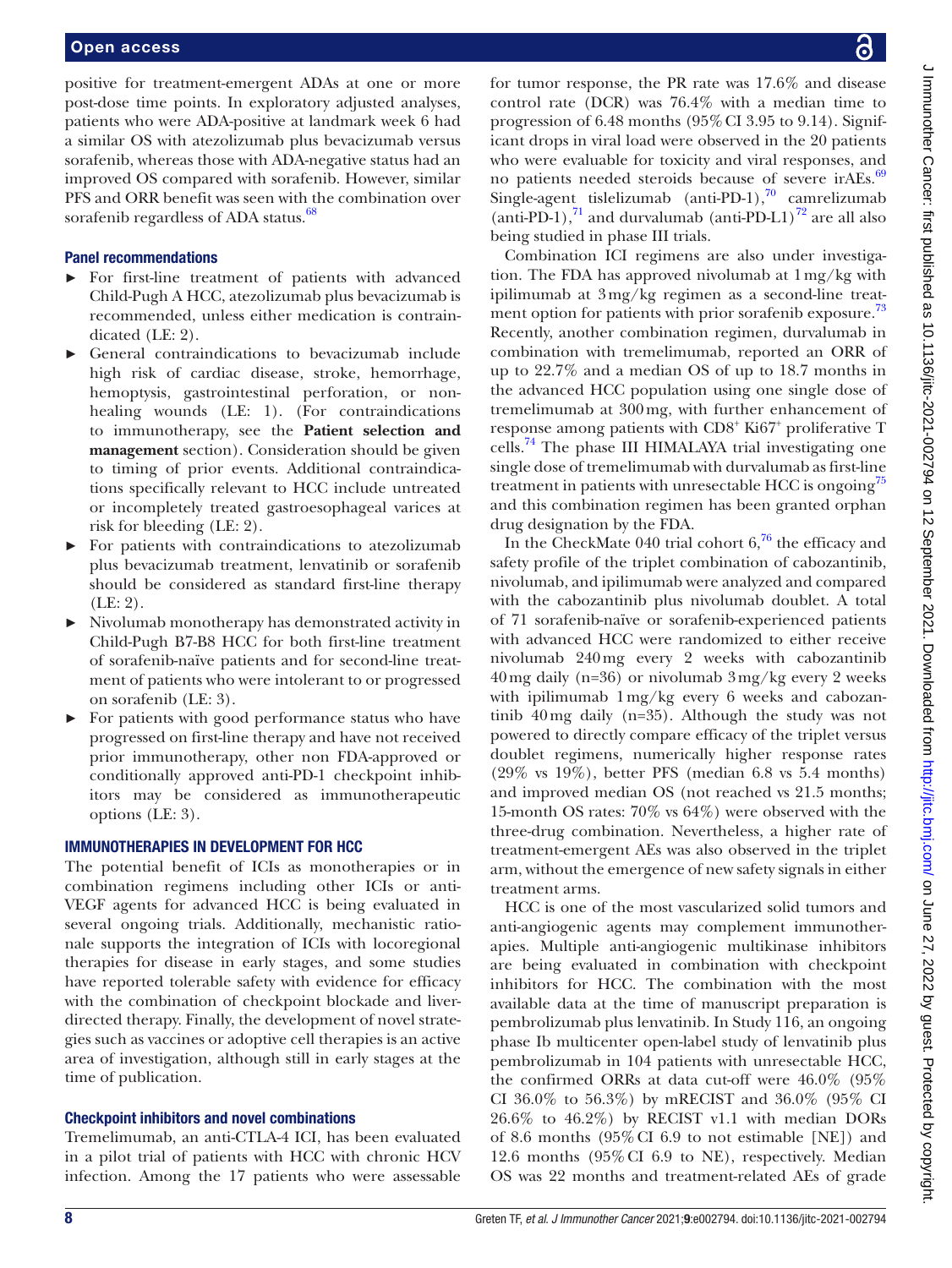positive for treatment-emergent ADAs at one or more post-dose time points. In exploratory adjusted analyses, patients who were ADA-positive at landmark week 6 had a similar OS with atezolizumab plus bevacizumab versus sorafenib, whereas those with ADA-negative status had an improved OS compared with sorafenib. However, similar PFS and ORR benefit was seen with the combination over sorafenib regardless of ADA status.<sup>68</sup>

# Panel recommendations

- ► For first-line treatment of patients with advanced Child-Pugh A HCC, atezolizumab plus bevacizumab is recommended, unless either medication is contraindicated (LE: 2).
- General contraindications to bevacizumab include high risk of cardiac disease, stroke, hemorrhage, hemoptysis, gastrointestinal perforation, or nonhealing wounds (LE: 1). (For contraindications to immunotherapy, see the **Patient selection and management** section). Consideration should be given to timing of prior events. Additional contraindications specifically relevant to HCC include untreated or incompletely treated gastroesophageal varices at risk for bleeding (LE: 2).
- ► For patients with contraindications to atezolizumab plus bevacizumab treatment, lenvatinib or sorafenib should be considered as standard first-line therapy (LE: 2).
- ► Nivolumab monotherapy has demonstrated activity in Child-Pugh B7-B8 HCC for both first-line treatment of sorafenib-naïve patients and for second-line treatment of patients who were intolerant to or progressed on sorafenib (LE: 3).
- ► For patients with good performance status who have progressed on first-line therapy and have not received prior immunotherapy, other non FDA-approved or conditionally approved anti-PD-1 checkpoint inhibitors may be considered as immunotherapeutic options (LE: 3).

# IMMUNOTHERAPIES IN DEVELOPMENT FOR HCC

The potential benefit of ICIs as monotherapies or in combination regimens including other ICIs or anti-VEGF agents for advanced HCC is being evaluated in several ongoing trials. Additionally, mechanistic rationale supports the integration of ICIs with locoregional therapies for disease in early stages, and some studies have reported tolerable safety with evidence for efficacy with the combination of checkpoint blockade and liverdirected therapy. Finally, the development of novel strategies such as vaccines or adoptive cell therapies is an active area of investigation, although still in early stages at the time of publication.

# Checkpoint inhibitors and novel combinations

Tremelimumab, an anti-CTLA-4 ICI, has been evaluated in a pilot trial of patients with HCC with chronic HCV infection. Among the 17 patients who were assessable for tumor response, the PR rate was 17.6% and disease control rate (DCR) was 76.4% with a median time to progression of  $6.48$  months  $(95\%$  CI 3.95 to 9.14). Significant drops in viral load were observed in the 20 patients who were evaluable for toxicity and viral responses, and no patients needed steroids because of severe irAEs.<sup>[69](#page-20-36)</sup> Single-agent tislelizumab (anti-PD-1), $\frac{70}{10}$  camrelizumab (anti-PD-1), $^{71}$  and durvalumab (anti-PD-L1) $^{72}$  are all also being studied in phase III trials.

Combination ICI regimens are also under investigation. The FDA has approved nivolumab at 1mg/kg with ipilimumab at 3mg/kg regimen as a second-line treat-ment option for patients with prior sorafenib exposure.<sup>[73](#page-20-40)</sup> Recently, another combination regimen, durvalumab in combination with tremelimumab, reported an ORR of up to 22.7% and a median OS of up to 18.7 months in the advanced HCC population using one single dose of tremelimumab at 300mg, with further enhancement of response among patients with CD8<sup>+</sup> Ki67<sup>+</sup> proliferative T cells.<sup>74</sup> The phase III HIMALAYA trial investigating one single dose of tremelimumab with durvalumab as first-line treatment in patients with unresectable HCC is ongoing<sup>[75](#page-20-42)</sup> and this combination regimen has been granted orphan drug designation by the FDA.

In the CheckMate 040 trial cohort  $6<sup>76</sup>$  $6<sup>76</sup>$  $6<sup>76</sup>$ , the efficacy and safety profile of the triplet combination of cabozantinib, nivolumab, and ipilimumab were analyzed and compared with the cabozantinib plus nivolumab doublet. A total of 71 sorafenib-naïve or sorafenib-experienced patients with advanced HCC were randomized to either receive nivolumab 240mg every 2 weeks with cabozantinib 40mg daily (n=36) or nivolumab 3mg/kg every 2 weeks with ipilimumab 1mg/kg every 6 weeks and cabozantinib 40mg daily (n=35). Although the study was not powered to directly compare efficacy of the triplet versus doublet regimens, numerically higher response rates (29% vs 19%), better PFS (median 6.8 vs 5.4 months) and improved median OS (not reached vs 21.5 months; 15-month OS rates: 70% vs 64%) were observed with the three-drug combination. Nevertheless, a higher rate of treatment-emergent AEs was also observed in the triplet arm, without the emergence of new safety signals in either treatment arms.

HCC is one of the most vascularized solid tumors and anti-angiogenic agents may complement immunotherapies. Multiple anti-angiogenic multikinase inhibitors are being evaluated in combination with checkpoint inhibitors for HCC. The combination with the most available data at the time of manuscript preparation is pembrolizumab plus lenvatinib. In Study 116, an ongoing phase Ib multicenter open-label study of lenvatinib plus pembrolizumab in 104 patients with unresectable HCC, the confirmed ORRs at data cut-off were 46.0% (95% CI 36.0% to 56.3%) by mRECIST and 36.0% (95% CI 26.6% to 46.2%) by RECIST v1.1 with median DORs of 8.6 months (95%CI 6.9 to not estimable [NE]) and 12.6 months (95%CI 6.9 to NE), respectively. Median OS was 22 months and treatment-related AEs of grade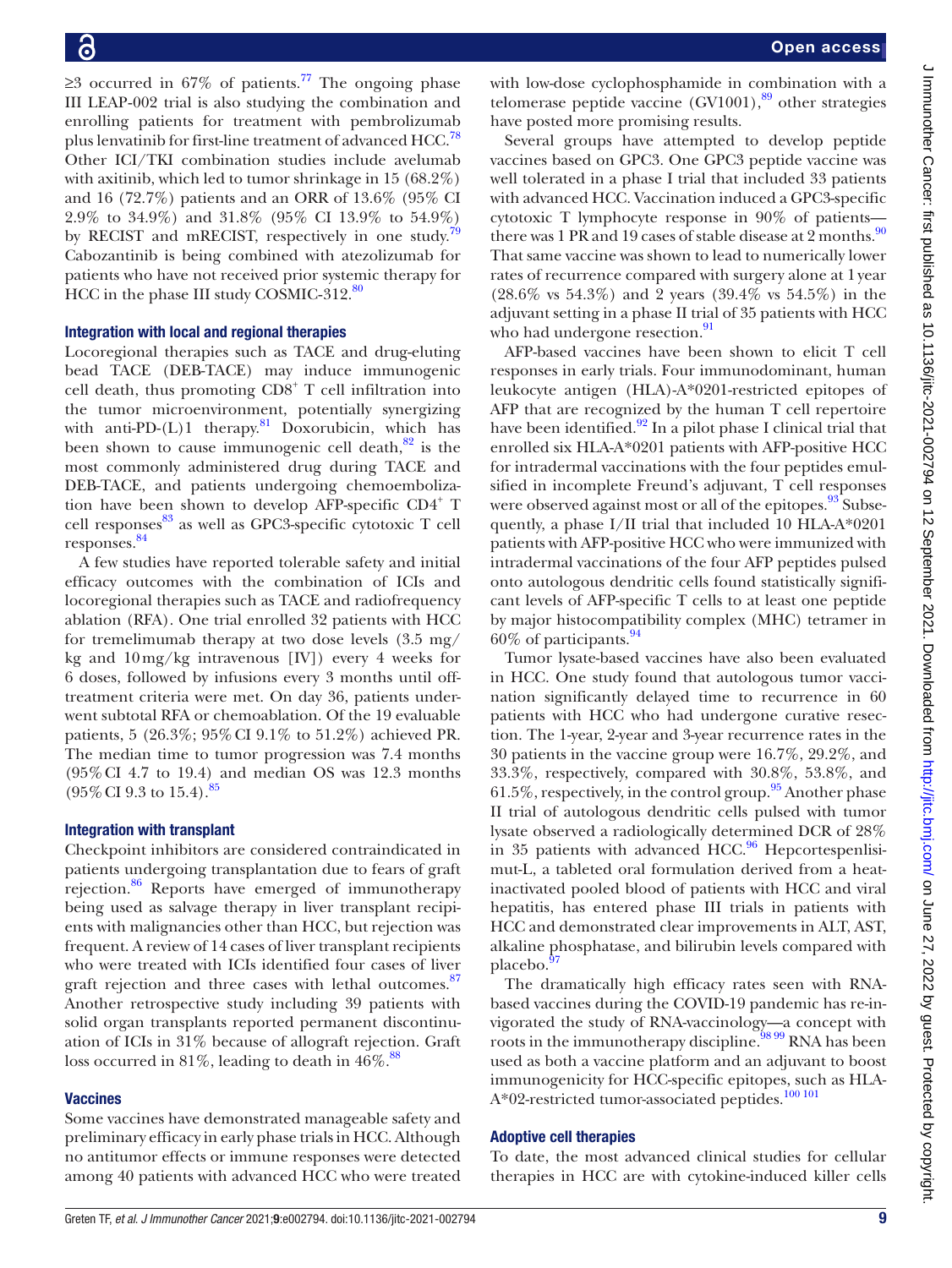$≥3$  occurred in 67% of patients.<sup>[77](#page-21-1)</sup> The ongoing phase III LEAP‐002 trial is also studying the combination and enrolling patients for treatment with pembrolizumab plus lenvatinib for first-line treatment of advanced HCC.<sup>78</sup> Other ICI/TKI combination studies include avelumab with axitinib, which led to tumor shrinkage in 15 (68.2%) and 16 (72.7%) patients and an ORR of 13.6% (95% CI 2.9% to 34.9%) and 31.8% (95% CI 13.9% to 54.9%) by RECIST and mRECIST, respectively in one study.<sup>[79](#page-21-3)</sup> Cabozantinib is being combined with atezolizumab for patients who have not received prior systemic therapy for HCC in the phase III study COSMIC-312.<sup>80</sup>

#### Integration with local and regional therapies

Locoregional therapies such as TACE and drug-eluting bead TACE (DEB-TACE) may induce immunogenic cell death, thus promoting CD8<sup>+</sup> T cell infiltration into the tumor microenvironment, potentially synergizing with anti-PD- $(L)$ 1 therapy.<sup>[81](#page-21-5)</sup> Doxorubicin, which has been shown to cause immunogenic cell death, $82$  is the most commonly administered drug during TACE and DEB-TACE, and patients undergoing chemoembolization have been shown to develop AFP-specific CD4<sup>+</sup> T cell responses $83$  as well as GPC3-specific cytotoxic T cell responses. [84](#page-21-8)

A few studies have reported tolerable safety and initial efficacy outcomes with the combination of ICIs and locoregional therapies such as TACE and radiofrequency ablation (RFA). One trial enrolled 32 patients with HCC for tremelimumab therapy at two dose levels (3.5 mg/ kg and  $10 \,\text{mg/kg}$  intravenous [IV]) every 4 weeks for 6 doses, followed by infusions every 3 months until offtreatment criteria were met. On day 36, patients underwent subtotal RFA or chemoablation. Of the 19 evaluable patients, 5 (26.3%; 95%CI 9.1% to 51.2%) achieved PR. The median time to tumor progression was 7.4 months (95%CI 4.7 to 19.4) and median OS was 12.3 months  $(95\% \text{ CI } 9.3 \text{ to } 15.4).$ <sup>[85](#page-21-9)</sup>

# Integration with transplant

Checkpoint inhibitors are considered contraindicated in patients undergoing transplantation due to fears of graft rejection.<sup>86</sup> Reports have emerged of immunotherapy being used as salvage therapy in liver transplant recipients with malignancies other than HCC, but rejection was frequent. A review of 14 cases of liver transplant recipients who were treated with ICIs identified four cases of liver graft rejection and three cases with lethal outcomes. $\frac{87}{6}$ Another retrospective study including 39 patients with solid organ transplants reported permanent discontinuation of ICIs in 31% because of allograft rejection. Graft loss occurred in 81%, leading to death in  $46\%$ .<sup>[88](#page-21-12)</sup>

# **Vaccines**

Some vaccines have demonstrated manageable safety and preliminary efficacy in early phase trials in HCC. Although no antitumor effects or immune responses were detected among 40 patients with advanced HCC who were treated with low-dose cyclophosphamide in combination with a telomerase peptide vaccine  $(GV1001)$ ,<sup>[89](#page-21-13)</sup> other strategies have posted more promising results.

Several groups have attempted to develop peptide vaccines based on GPC3. One GPC3 peptide vaccine was well tolerated in a phase I trial that included 33 patients with advanced HCC. Vaccination induced a GPC3-specific cytotoxic T lymphocyte response in 90% of patients there was 1 PR and 19 cases of stable disease at  $2$  months.<sup>[90](#page-21-14)</sup> That same vaccine was shown to lead to numerically lower rates of recurrence compared with surgery alone at 1year (28.6% vs 54.3%) and 2 years (39.4% vs 54.5%) in the adjuvant setting in a phase II trial of 35 patients with HCC who had undergone resection.<sup>[91](#page-21-15)</sup>

AFP-based vaccines have been shown to elicit T cell responses in early trials. Four immunodominant, human leukocyte antigen (HLA)-A\*0201-restricted epitopes of AFP that are recognized by the human T cell repertoire have been identified. $92$  In a pilot phase I clinical trial that enrolled six HLA-A\*0201 patients with AFP-positive HCC for intradermal vaccinations with the four peptides emulsified in incomplete Freund's adjuvant, T cell responses were observed against most or all of the epitopes.<sup>93</sup> Subsequently, a phase I/II trial that included 10 HLA-A\*0201 patients with AFP-positive HCC who were immunized with intradermal vaccinations of the four AFP peptides pulsed onto autologous dendritic cells found statistically significant levels of AFP-specific T cells to at least one peptide by major histocompatibility complex (MHC) tetramer in  $60\%$  of participants.  $94$ 

Tumor lysate-based vaccines have also been evaluated in HCC. One study found that autologous tumor vaccination significantly delayed time to recurrence in 60 patients with HCC who had undergone curative resection. The 1-year, 2-year and 3-year recurrence rates in the 30 patients in the vaccine group were 16.7%, 29.2%, and 33.3%, respectively, compared with 30.8%, 53.8%, and  $61.5\%$ , respectively, in the control group.<sup>[95](#page-21-19)</sup> Another phase II trial of autologous dendritic cells pulsed with tumor lysate observed a radiologically determined DCR of 28% in 35 patients with advanced  $HCC<sup>96</sup>$  Hepcortespenlisimut-L, a tableted oral formulation derived from a heatinactivated pooled blood of patients with HCC and viral hepatitis, has entered phase III trials in patients with HCC and demonstrated clear improvements in ALT, AST, alkaline phosphatase, and bilirubin levels compared with placebo.<sup>9</sup>

The dramatically high efficacy rates seen with RNAbased vaccines during the COVID-19 pandemic has re-invigorated the study of RNA-vaccinology—a concept with roots in the immunotherapy discipline.<sup>[98 99](#page-21-22)</sup> RNA has been used as both a vaccine platform and an adjuvant to boost immunogenicity for HCC-specific epitopes, such as HLA-A\*02-restricted tumor-associated peptides.<sup>[100 101](#page-21-23)</sup>

# Adoptive cell therapies

To date, the most advanced clinical studies for cellular therapies in HCC are with cytokine-induced killer cells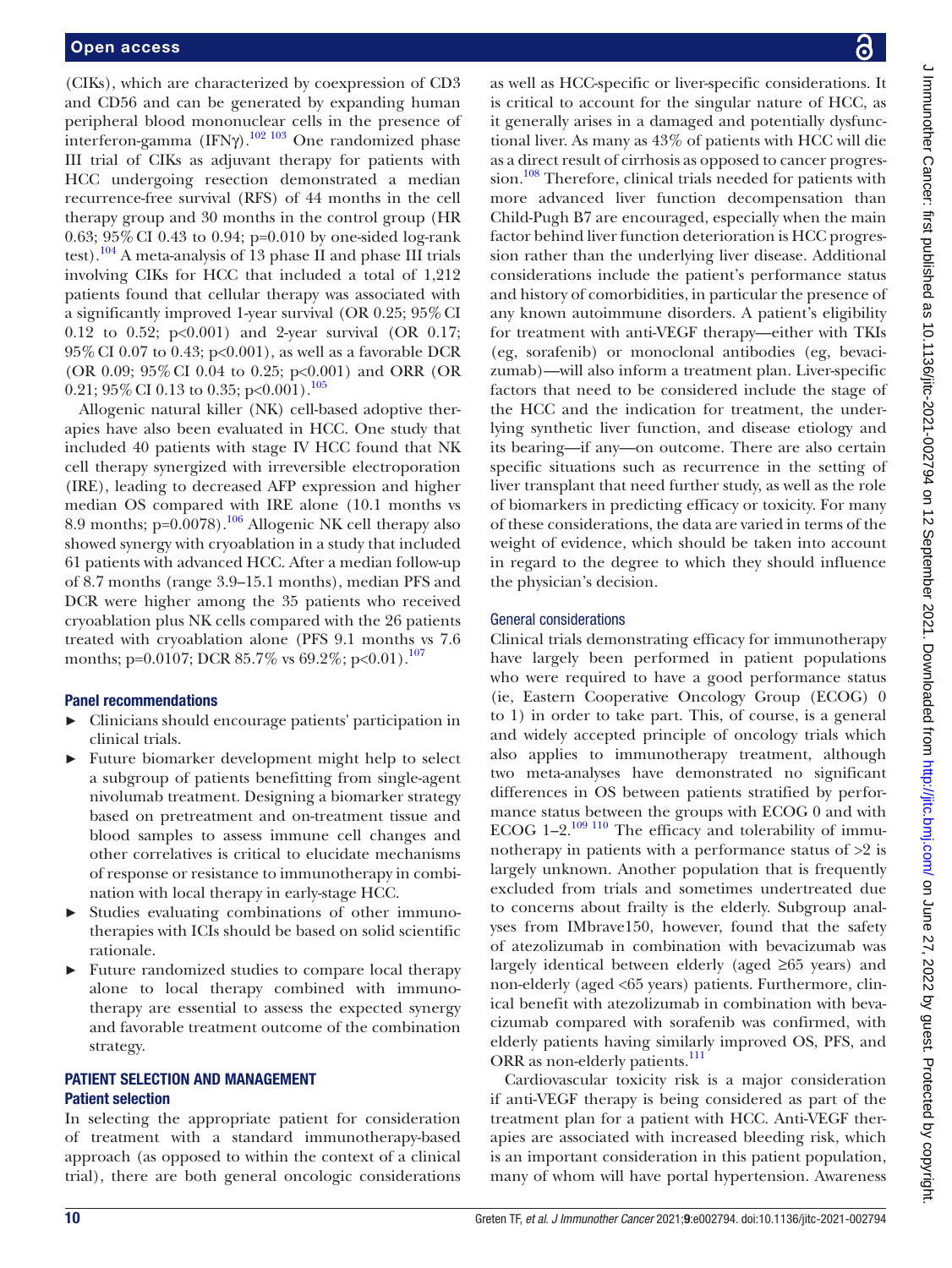(CIKs), which are characterized by coexpression of CD3 and CD56 and can be generated by expanding human peripheral blood mononuclear cells in the presence of interferon-gamma (IFN $\gamma$ ).<sup>102 103</sup> One randomized phase III trial of CIKs as adjuvant therapy for patients with HCC undergoing resection demonstrated a median recurrence-free survival (RFS) of 44 months in the cell therapy group and 30 months in the control group (HR 0.63; 95%CI 0.43 to 0.94; p=0.010 by one-sided log-rank test).[104](#page-21-25) A meta-analysis of 13 phase II and phase III trials involving CIKs for HCC that included a total of 1,212 patients found that cellular therapy was associated with a significantly improved 1-year survival (OR 0.25; 95%CI 0.12 to 0.52; p<0.001) and 2-year survival (OR 0.17; 95%CI 0.07 to 0.43; p<0.001), as well as a favorable DCR (OR 0.09; 95%CI 0.04 to 0.25; p<0.001) and ORR (OR 0.21; 95% CI 0.13 to 0.35; p<0.001).<sup>[105](#page-21-26)</sup>

Allogenic natural killer (NK) cell-based adoptive therapies have also been evaluated in HCC. One study that included 40 patients with stage IV HCC found that NK cell therapy synergized with irreversible electroporation (IRE), leading to decreased AFP expression and higher median OS compared with IRE alone (10.1 months vs 8.9 months;  $p=0.0078$ .<sup>[106](#page-21-27)</sup> Allogenic NK cell therapy also showed synergy with cryoablation in a study that included 61 patients with advanced HCC. After a median follow-up of 8.7 months (range 3.9–15.1 months), median PFS and DCR were higher among the 35 patients who received cryoablation plus NK cells compared with the 26 patients treated with cryoablation alone (PFS 9.1 months vs 7.6 months; p=0.0[107](#page-21-28); DCR 85.7% vs 69.2%; p<0.01).<sup>107</sup>

#### Panel recommendations

- ► Clinicians should encourage patients' participation in clinical trials.
- Future biomarker development might help to select a subgroup of patients benefitting from single-agent nivolumab treatment. Designing a biomarker strategy based on pretreatment and on-treatment tissue and blood samples to assess immune cell changes and other correlatives is critical to elucidate mechanisms of response or resistance to immunotherapy in combination with local therapy in early-stage HCC.
- Studies evaluating combinations of other immunotherapies with ICIs should be based on solid scientific rationale.
- ► Future randomized studies to compare local therapy alone to local therapy combined with immunotherapy are essential to assess the expected synergy and favorable treatment outcome of the combination strategy.

# PATIENT SELECTION AND MANAGEMENT Patient selection

In selecting the appropriate patient for consideration of treatment with a standard immunotherapy-based approach (as opposed to within the context of a clinical trial), there are both general oncologic considerations

as well as HCC-specific or liver-specific considerations. It is critical to account for the singular nature of HCC, as it generally arises in a damaged and potentially dysfunctional liver. As many as 43% of patients with HCC will die as a direct result of cirrhosis as opposed to cancer progression.<sup>108</sup> Therefore, clinical trials needed for patients with more advanced liver function decompensation than Child-Pugh B7 are encouraged, especially when the main factor behind liver function deterioration is HCC progression rather than the underlying liver disease. Additional considerations include the patient's performance status and history of comorbidities, in particular the presence of any known autoimmune disorders. A patient's eligibility for treatment with anti-VEGF therapy—either with TKIs (eg, sorafenib) or monoclonal antibodies (eg, bevacizumab)—will also inform a treatment plan. Liver-specific factors that need to be considered include the stage of the HCC and the indication for treatment, the underlying synthetic liver function, and disease etiology and its bearing—if any—on outcome. There are also certain specific situations such as recurrence in the setting of liver transplant that need further study, as well as the role of biomarkers in predicting efficacy or toxicity. For many of these considerations, the data are varied in terms of the weight of evidence, which should be taken into account in regard to the degree to which they should influence the physician's decision.

#### General considerations

Clinical trials demonstrating efficacy for immunotherapy have largely been performed in patient populations who were required to have a good performance status (ie, Eastern Cooperative Oncology Group (ECOG) 0 to 1) in order to take part. This, of course, is a general and widely accepted principle of oncology trials which also applies to immunotherapy treatment, although two meta-analyses have demonstrated no significant differences in OS between patients stratified by performance status between the groups with ECOG 0 and with ECOG  $1-2$ .<sup>109 110</sup> The efficacy and tolerability of immunotherapy in patients with a performance status of >2 is largely unknown. Another population that is frequently excluded from trials and sometimes undertreated due to concerns about frailty is the elderly. Subgroup analyses from IMbrave150, however, found that the safety of atezolizumab in combination with bevacizumab was largely identical between elderly (aged ≥65 years) and non-elderly (aged <65 years) patients. Furthermore, clinical benefit with atezolizumab in combination with bevacizumab compared with sorafenib was confirmed, with elderly patients having similarly improved OS, PFS, and ORR as non-elderly patients.<sup>111</sup>

Cardiovascular toxicity risk is a major consideration if anti-VEGF therapy is being considered as part of the treatment plan for a patient with HCC. Anti-VEGF therapies are associated with increased bleeding risk, which is an important consideration in this patient population, many of whom will have portal hypertension. Awareness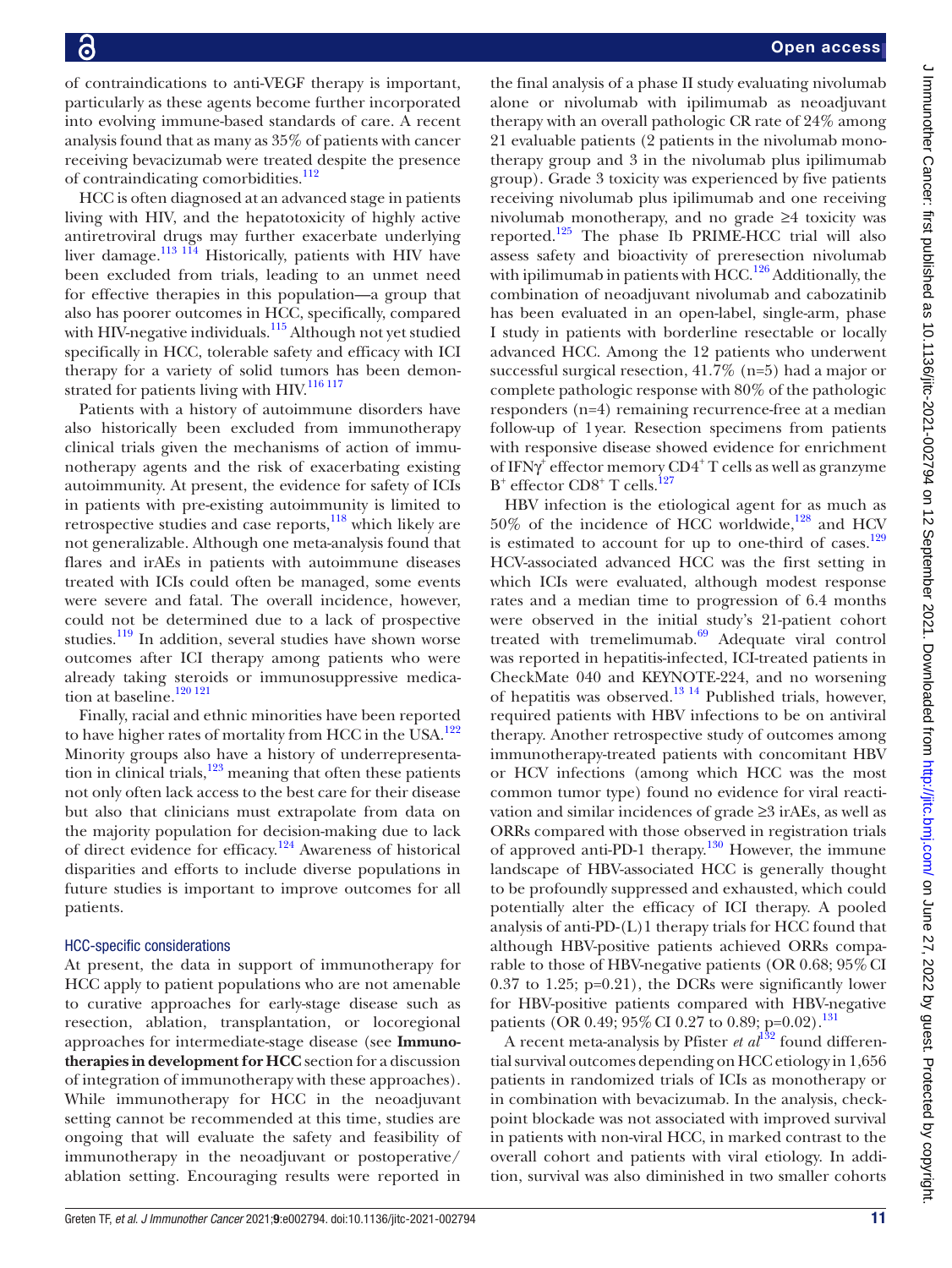of contraindications to anti-VEGF therapy is important, particularly as these agents become further incorporated into evolving immune-based standards of care. A recent analysis found that as many as 35% of patients with cancer receiving bevacizumab were treated despite the presence of contraindicating comorbidities.<sup>112</sup>

HCC is often diagnosed at an advanced stage in patients living with HIV, and the hepatotoxicity of highly active antiretroviral drugs may further exacerbate underlying liver damage.<sup>[113 114](#page-21-33)</sup> Historically, patients with HIV have been excluded from trials, leading to an unmet need for effective therapies in this population—a group that also has poorer outcomes in HCC, specifically, compared with HIV-negative individuals.<sup>115</sup> Although not yet studied specifically in HCC, tolerable safety and efficacy with ICI therapy for a variety of solid tumors has been demon-strated for patients living with HIV.<sup>[116 117](#page-21-35)</sup>

Patients with a history of autoimmune disorders have also historically been excluded from immunotherapy clinical trials given the mechanisms of action of immunotherapy agents and the risk of exacerbating existing autoimmunity. At present, the evidence for safety of ICIs in patients with pre-existing autoimmunity is limited to retrospective studies and case reports,<sup>[118](#page-21-36)</sup> which likely are not generalizable. Although one meta-analysis found that flares and irAEs in patients with autoimmune diseases treated with ICIs could often be managed, some events were severe and fatal. The overall incidence, however, could not be determined due to a lack of prospective studies.<sup>[119](#page-21-37)</sup> In addition, several studies have shown worse outcomes after ICI therapy among patients who were already taking steroids or immunosuppressive medication at baseline.<sup>120 121</sup>

Finally, racial and ethnic minorities have been reported to have higher rates of mortality from HCC in the USA.<sup>[122](#page-21-39)</sup> Minority groups also have a history of underrepresentation in clinical trials, $123$  meaning that often these patients not only often lack access to the best care for their disease but also that clinicians must extrapolate from data on the majority population for decision-making due to lack of direct evidence for efficacy.<sup>[124](#page-22-1)</sup> Awareness of historical disparities and efforts to include diverse populations in future studies is important to improve outcomes for all patients.

#### HCC-specific considerations

At present, the data in support of immunotherapy for HCC apply to patient populations who are not amenable to curative approaches for early-stage disease such as resection, ablation, transplantation, or locoregional approaches for intermediate-stage disease (see **Immunotherapies in development for HCC** section for a discussion of integration of immunotherapy with these approaches). While immunotherapy for HCC in the neoadjuvant setting cannot be recommended at this time, studies are ongoing that will evaluate the safety and feasibility of immunotherapy in the neoadjuvant or postoperative/ ablation setting. Encouraging results were reported in

the final analysis of a phase II study evaluating nivolumab alone or nivolumab with ipilimumab as neoadjuvant therapy with an overall pathologic CR rate of 24% among 21 evaluable patients (2 patients in the nivolumab monotherapy group and 3 in the nivolumab plus ipilimumab group). Grade 3 toxicity was experienced by five patients receiving nivolumab plus ipilimumab and one receiving nivolumab monotherapy, and no grade ≥4 toxicity was reported. $125$  The phase Ib PRIME-HCC trial will also assess safety and bioactivity of preresection nivolumab with ipilimumab in patients with HCC.<sup>126</sup> Additionally, the combination of neoadjuvant nivolumab and cabozatinib has been evaluated in an open-label, single-arm, phase I study in patients with borderline resectable or locally advanced HCC. Among the 12 patients who underwent successful surgical resection, 41.7% (n=5) had a major or complete pathologic response with 80% of the pathologic responders (n=4) remaining recurrence-free at a median follow-up of 1year. Resection specimens from patients with responsive disease showed evidence for enrichment of IFNγ<sup>+</sup> effector memory CD4<sup>+</sup> T cells as well as granzyme B<sup>+</sup> effector CD8<sup>+</sup> T cells.<sup>[127](#page-22-4)</sup>

HBV infection is the etiological agent for as much as  $50\%$  of the incidence of HCC worldwide,<sup>128</sup> and HCV is estimated to account for up to one-third of cases.<sup>129</sup> HCV-associated advanced HCC was the first setting in which ICIs were evaluated, although modest response rates and a median time to progression of 6.4 months were observed in the initial study's 21-patient cohort treated with tremelimumab. $69$  Adequate viral control was reported in hepatitis-infected, ICI-treated patients in CheckMate 040 and KEYNOTE-224, and no worsening of hepatitis was observed.<sup>13 14</sup> Published trials, however, required patients with HBV infections to be on antiviral therapy. Another retrospective study of outcomes among immunotherapy-treated patients with concomitant HBV or HCV infections (among which HCC was the most common tumor type) found no evidence for viral reactivation and similar incidences of grade ≥3 irAEs, as well as ORRs compared with those observed in registration trials of approved anti-PD-1 therapy.<sup>130</sup> However, the immune landscape of HBV-associated HCC is generally thought to be profoundly suppressed and exhausted, which could potentially alter the efficacy of ICI therapy. A pooled analysis of anti-PD-(L)1 therapy trials for HCC found that although HBV-positive patients achieved ORRs comparable to those of HBV-negative patients (OR 0.68; 95% CI  $0.37$  to 1.25; p= $0.21$ ), the DCRs were significantly lower for HBV-positive patients compared with HBV-negative patients (OR 0.49; 95% CI 0.27 to 0.89; p=0.02).<sup>[131](#page-22-8)</sup>

A recent meta-analysis by Pfister *et al*<sup>[132](#page-22-9)</sup> found differential survival outcomes depending on HCC etiology in 1,656 patients in randomized trials of ICIs as monotherapy or in combination with bevacizumab. In the analysis, checkpoint blockade was not associated with improved survival in patients with non-viral HCC, in marked contrast to the overall cohort and patients with viral etiology. In addition, survival was also diminished in two smaller cohorts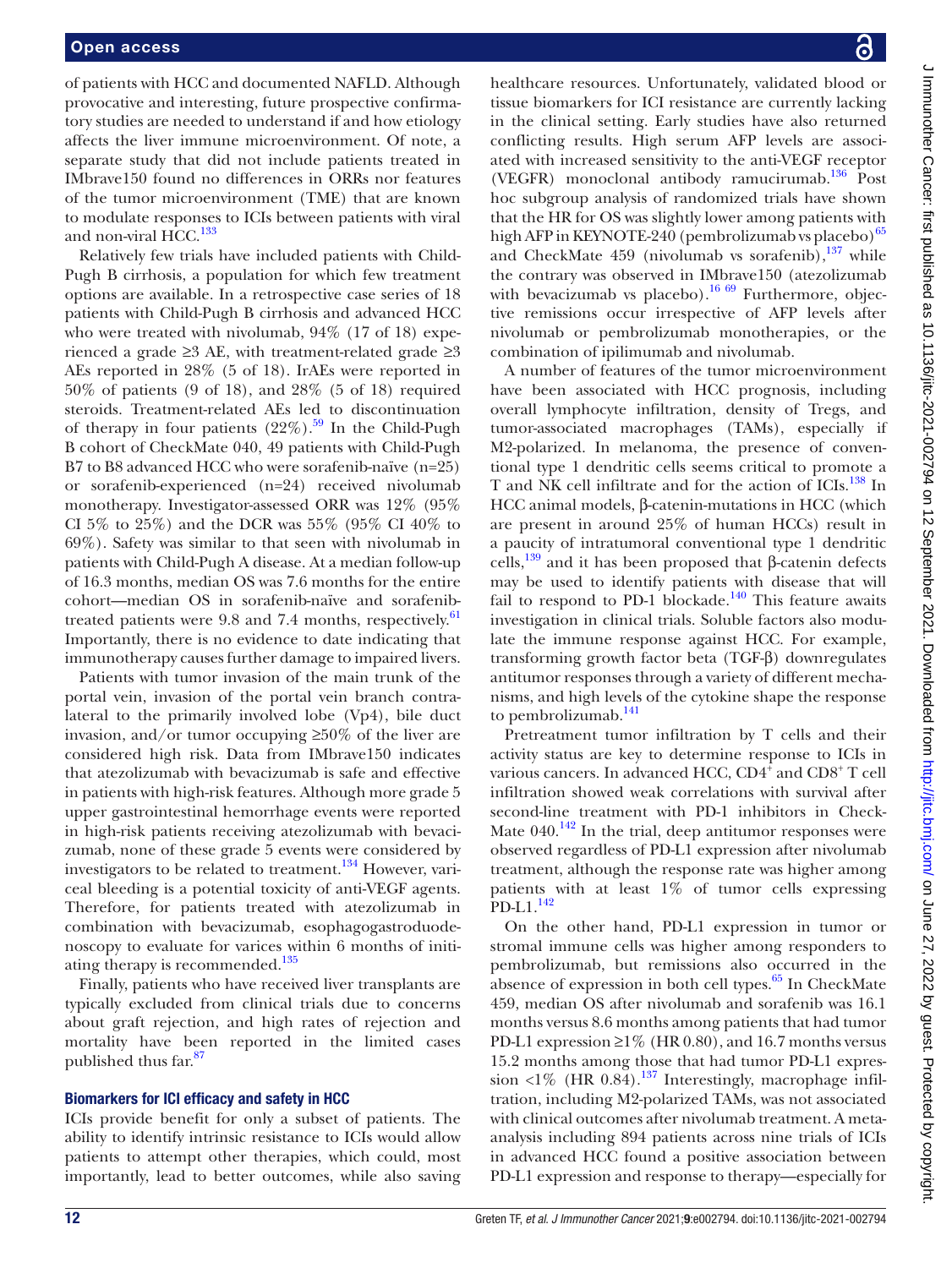of patients with HCC and documented NAFLD. Although provocative and interesting, future prospective confirmatory studies are needed to understand if and how etiology affects the liver immune microenvironment. Of note, a separate study that did not include patients treated in IMbrave150 found no differences in ORRs nor features of the tumor microenvironment (TME) that are known to modulate responses to ICIs between patients with viral and non-viral  $HCC<sup>133</sup>$ 

Relatively few trials have included patients with Child-Pugh B cirrhosis, a population for which few treatment options are available. In a retrospective case series of 18 patients with Child-Pugh B cirrhosis and advanced HCC who were treated with nivolumab, 94% (17 of 18) experienced a grade ≥3 AE, with treatment-related grade ≥3 AEs reported in 28% (5 of 18). IrAEs were reported in 50% of patients (9 of 18), and 28% (5 of 18) required steroids. Treatment-related AEs led to discontinuation of therapy in four patients  $(22\%)$ .<sup>59</sup> In the Child-Pugh B cohort of CheckMate 040, 49 patients with Child-Pugh B7 to B8 advanced HCC who were sorafenib-naïve (n=25) or sorafenib-experienced (n=24) received nivolumab monotherapy. Investigator-assessed ORR was 12% (95% CI 5% to 25%) and the DCR was 55% (95% CI 40% to 69%). Safety was similar to that seen with nivolumab in patients with Child-Pugh A disease. At a median follow-up of 16.3 months, median OS was 7.6 months for the entire cohort—median OS in sorafenib-naïve and sorafenibtreated patients were 9.8 and 7.4 months, respectively.<sup>61</sup> Importantly, there is no evidence to date indicating that immunotherapy causes further damage to impaired livers.

Patients with tumor invasion of the main trunk of the portal vein, invasion of the portal vein branch contralateral to the primarily involved lobe (Vp4), bile duct invasion, and/or tumor occupying  $\geq 50\%$  of the liver are considered high risk. Data from IMbrave150 indicates that atezolizumab with bevacizumab is safe and effective in patients with high-risk features. Although more grade 5 upper gastrointestinal hemorrhage events were reported in high-risk patients receiving atezolizumab with bevacizumab, none of these grade 5 events were considered by investigators to be related to treatment.<sup>[134](#page-22-11)</sup> However, variceal bleeding is a potential toxicity of anti-VEGF agents. Therefore, for patients treated with atezolizumab in combination with bevacizumab, esophagogastroduodenoscopy to evaluate for varices within 6 months of initiating therapy is recommended.<sup>135</sup>

Finally, patients who have received liver transplants are typically excluded from clinical trials due to concerns about graft rejection, and high rates of rejection and mortality have been reported in the limited cases published thus far.<sup>87</sup>

#### Biomarkers for ICI efficacy and safety in HCC

ICIs provide benefit for only a subset of patients. The ability to identify intrinsic resistance to ICIs would allow patients to attempt other therapies, which could, most importantly, lead to better outcomes, while also saving

healthcare resources. Unfortunately, validated blood or tissue biomarkers for ICI resistance are currently lacking in the clinical setting. Early studies have also returned conflicting results. High serum AFP levels are associated with increased sensitivity to the anti-VEGF receptor (VEGFR) monoclonal antibody ramucirumab.[136](#page-22-13) Post hoc subgroup analysis of randomized trials have shown that the HR for OS was slightly lower among patients with high AFP in KEYNOTE-240 (pembrolizumab vs placebo) $^{65}$  $^{65}$  $^{65}$ and CheckMate  $459$  (nivolumab vs sorafenib), $137$  while the contrary was observed in IMbrave150 (atezolizumab with bevacizumab vs placebo).<sup>16 69</sup> Furthermore, objective remissions occur irrespective of AFP levels after nivolumab or pembrolizumab monotherapies, or the combination of ipilimumab and nivolumab.

A number of features of the tumor microenvironment have been associated with HCC prognosis, including overall lymphocyte infiltration, density of Tregs, and tumor-associated macrophages (TAMs), especially if M2-polarized. In melanoma, the presence of conventional type 1 dendritic cells seems critical to promote a T and NK cell infiltrate and for the action of ICIs.<sup>138</sup> In HCC animal models, β-catenin-mutations in HCC (which are present in around 25% of human HCCs) result in a paucity of intratumoral conventional type 1 dendritic cells,<sup>139</sup> and it has been proposed that β-catenin defects may be used to identify patients with disease that will fail to respond to PD-1 blockade.<sup>[140](#page-22-17)</sup> This feature awaits investigation in clinical trials. Soluble factors also modulate the immune response against HCC. For example, transforming growth factor beta (TGF-β) downregulates antitumor responses through a variety of different mechanisms, and high levels of the cytokine shape the response to pembrolizumab.<sup>141</sup>

Pretreatment tumor infiltration by T cells and their activity status are key to determine response to ICIs in various cancers. In advanced HCC,  $CD4^{\frac{1}{4}}$  and  $CD8^+$  T cell infiltration showed weak correlations with survival after second-line treatment with PD-1 inhibitors in Check-Mate  $040.^{142}$  In the trial, deep antitumor responses were observed regardless of PD-L1 expression after nivolumab treatment, although the response rate was higher among patients with at least 1% of tumor cells expressing  $PD-L1.<sup>142</sup>$ 

On the other hand, PD-L1 expression in tumor or stromal immune cells was higher among responders to pembrolizumab, but remissions also occurred in the absence of expression in both cell types. $65$  In CheckMate 459, median OS after nivolumab and sorafenib was 16.1 months versus 8.6 months among patients that had tumor PD-L1 expression  $\geq$ 1% (HR 0.80), and 16.7 months versus 15.2 months among those that had tumor PD-L1 expression <1% (HR 0.84).<sup>137</sup> Interestingly, macrophage infiltration, including M2-polarized TAMs, was not associated with clinical outcomes after nivolumab treatment. A metaanalysis including 894 patients across nine trials of ICIs in advanced HCC found a positive association between PD-L1 expression and response to therapy—especially for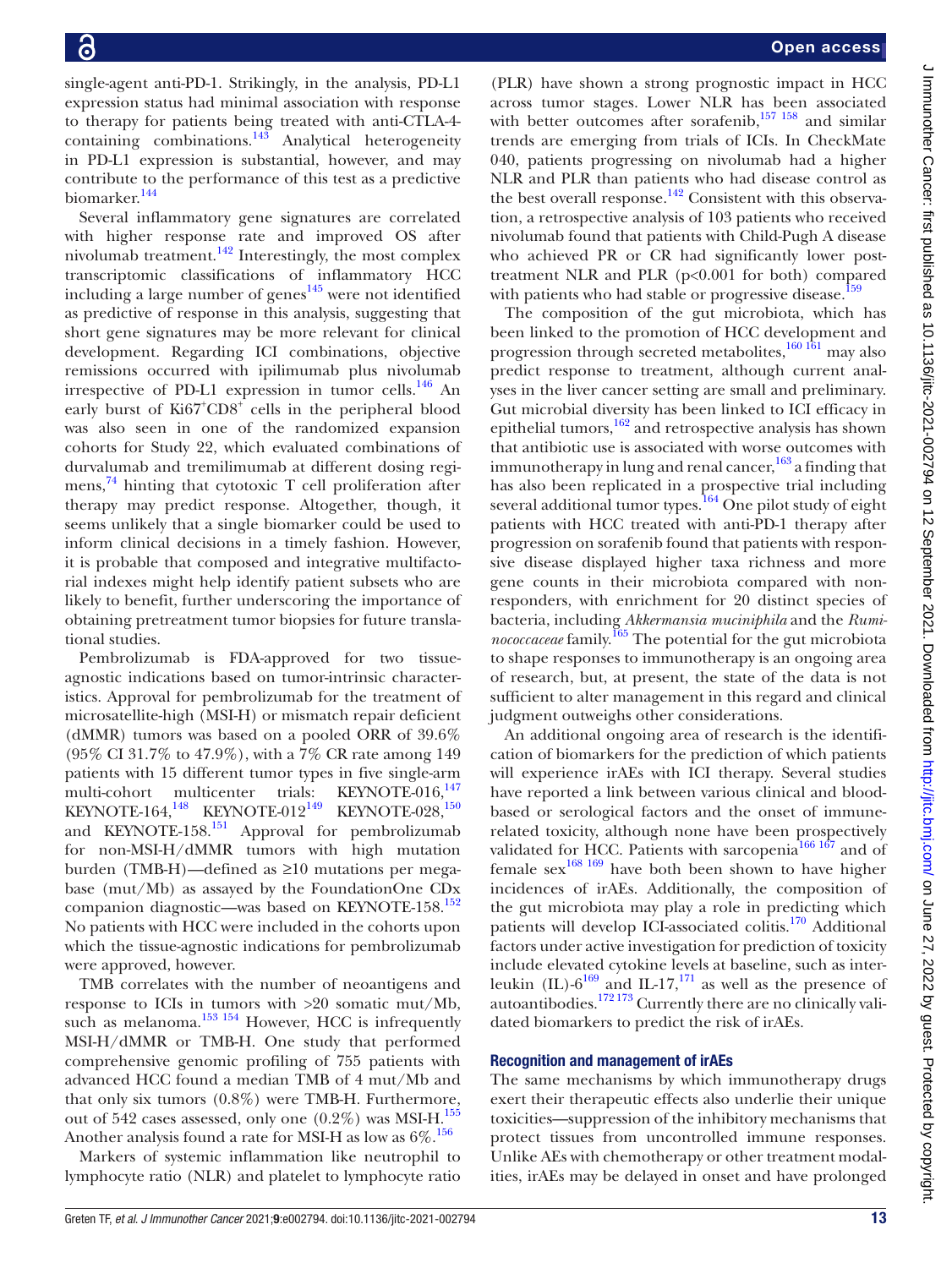single-agent anti-PD-1. Strikingly, in the analysis, PD-L1 expression status had minimal association with response to therapy for patients being treated with anti-CTLA-4 containing combinations. $143$  Analytical heterogeneity in PD-L1 expression is substantial, however, and may contribute to the performance of this test as a predictive biomarker.<sup>[144](#page-22-21)</sup>

Several inflammatory gene signatures are correlated with higher response rate and improved OS after nivolumab treatment. $142$  Interestingly, the most complex transcriptomic classifications of inflammatory HCC including a large number of genes<sup>[145](#page-22-22)</sup> were not identified as predictive of response in this analysis, suggesting that short gene signatures may be more relevant for clinical development. Regarding ICI combinations, objective remissions occurred with ipilimumab plus nivolumab irrespective of PD-L1 expression in tumor cells. $146$  An early burst of Ki67<sup>+</sup>CD8<sup>+</sup> cells in the peripheral blood was also seen in one of the randomized expansion cohorts for Study 22, which evaluated combinations of durvalumab and tremilimumab at different dosing regi-mens,<sup>[74](#page-20-41)</sup> hinting that cytotoxic T cell proliferation after therapy may predict response. Altogether, though, it seems unlikely that a single biomarker could be used to inform clinical decisions in a timely fashion. However, it is probable that composed and integrative multifactorial indexes might help identify patient subsets who are likely to benefit, further underscoring the importance of obtaining pretreatment tumor biopsies for future translational studies.

Pembrolizumab is FDA-approved for two tissueagnostic indications based on tumor-intrinsic characteristics. Approval for pembrolizumab for the treatment of microsatellite-high (MSI-H) or mismatch repair deficient (dMMR) tumors was based on a pooled ORR of 39.6% (95% CI 31.7% to 47.9%), with a 7% CR rate among 149 patients with 15 different tumor types in five single-arm multi-cohort multicenter trials: KEYNOTE-016,<sup>147</sup> KEYNOTE-164,<sup>[148](#page-22-25)</sup> KEYNOTE-012<sup>149</sup> KEYNOTE-028,<sup>150</sup> and KEYNOTE-158.<sup>151</sup> Approval for pembrolizumab for non-MSI-H/dMMR tumors with high mutation burden (TMB-H)—defined as ≥10 mutations per megabase (mut/Mb) as assayed by the FoundationOne CDx companion diagnostic—was based on KEYNOTE-158.<sup>152</sup> No patients with HCC were included in the cohorts upon which the tissue-agnostic indications for pembrolizumab were approved, however.

TMB correlates with the number of neoantigens and response to ICIs in tumors with >20 somatic mut/Mb, such as melanoma.<sup>153 154</sup> However, HCC is infrequently MSI-H/dMMR or TMB-H. One study that performed comprehensive genomic profiling of 755 patients with advanced HCC found a median TMB of 4 mut/Mb and that only six tumors (0.8%) were TMB-H. Furthermore, out of 542 cases assessed, only one  $(0.2\%)$  was MSI-H.<sup>155</sup> Another analysis found a rate for MSI-H as low as  $6\%$ .<sup>156</sup>

Markers of systemic inflammation like neutrophil to lymphocyte ratio (NLR) and platelet to lymphocyte ratio

(PLR) have shown a strong prognostic impact in HCC across tumor stages. Lower NLR has been associated with better outcomes after sorafenib, $157 \frac{158}{158}$  and similar trends are emerging from trials of ICIs. In CheckMate 040, patients progressing on nivolumab had a higher NLR and PLR than patients who had disease control as the best overall response.<sup>142</sup> Consistent with this observation, a retrospective analysis of 103 patients who received nivolumab found that patients with Child-Pugh A disease who achieved PR or CR had significantly lower posttreatment NLR and PLR (p<0.001 for both) compared with patients who had stable or progressive disease.<sup>159</sup>

The composition of the gut microbiota, which has been linked to the promotion of HCC development and progression through secreted metabolites, $\frac{160}{161}$  may also predict response to treatment, although current analyses in the liver cancer setting are small and preliminary. Gut microbial diversity has been linked to ICI efficacy in epithelial tumors,<sup>[162](#page-22-36)</sup> and retrospective analysis has shown that antibiotic use is associated with worse outcomes with immunotherapy in lung and renal cancer,  $^{163}$  a finding that has also been replicated in a prospective trial including several additional tumor types.<sup>164</sup> One pilot study of eight patients with HCC treated with anti-PD-1 therapy after progression on sorafenib found that patients with responsive disease displayed higher taxa richness and more gene counts in their microbiota compared with nonresponders, with enrichment for 20 distinct species of bacteria, including *Akkermansia muciniphila* and the *Ruminococcaceae* family.[165](#page-22-39) The potential for the gut microbiota to shape responses to immunotherapy is an ongoing area of research, but, at present, the state of the data is not sufficient to alter management in this regard and clinical judgment outweighs other considerations.

An additional ongoing area of research is the identification of biomarkers for the prediction of which patients will experience irAEs with ICI therapy. Several studies have reported a link between various clinical and bloodbased or serological factors and the onset of immunerelated toxicity, although none have been prospectively validated for HCC. Patients with sarcopenia $166 167$  and of female  $sex^{168}$  169 have both been shown to have higher incidences of irAEs. Additionally, the composition of the gut microbiota may play a role in predicting which patients will develop ICI-associated colitis.<sup>170</sup> Additional factors under active investigation for prediction of toxicity include elevated cytokine levels at baseline, such as interleukin (IL)- $6^{169}$  $6^{169}$  $6^{169}$  and IL-17,<sup>[171](#page-23-3)</sup> as well as the presence of autoantibodies.<sup>[172 173](#page-23-4)</sup> Currently there are no clinically validated biomarkers to predict the risk of irAEs.

# Recognition and management of irAEs

The same mechanisms by which immunotherapy drugs exert their therapeutic effects also underlie their unique toxicities—suppression of the inhibitory mechanisms that protect tissues from uncontrolled immune responses. Unlike AEs with chemotherapy or other treatment modalities, irAEs may be delayed in onset and have prolonged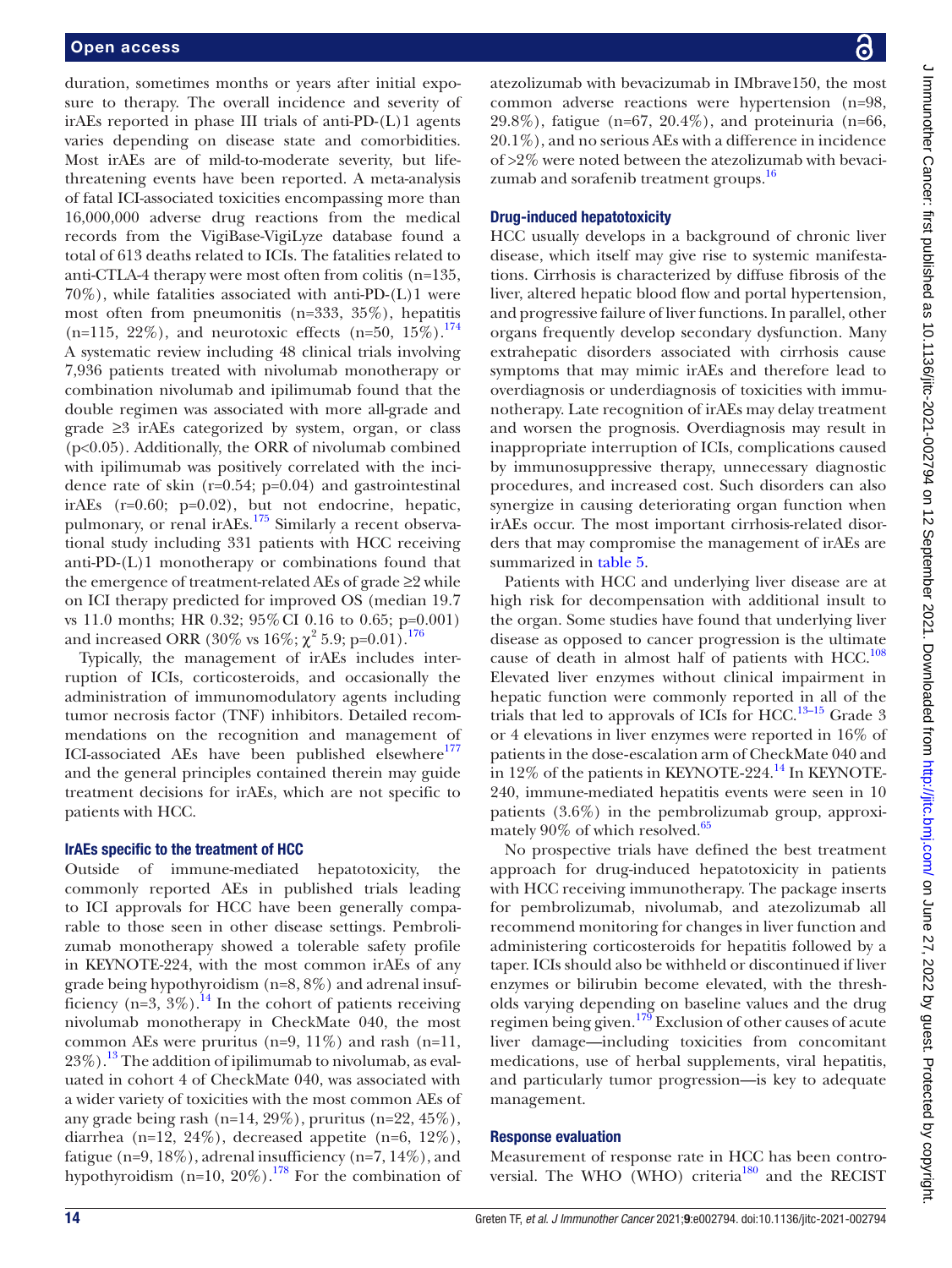duration, sometimes months or years after initial exposure to therapy. The overall incidence and severity of irAEs reported in phase III trials of anti-PD-(L)1 agents varies depending on disease state and comorbidities. Most irAEs are of mild-to-moderate severity, but lifethreatening events have been reported. A meta-analysis of fatal ICI-associated toxicities encompassing more than 16,000,000 adverse drug reactions from the medical records from the VigiBase-VigiLyze database found a total of 613 deaths related to ICIs. The fatalities related to anti-CTLA-4 therapy were most often from colitis (n=135, 70%), while fatalities associated with anti-PD-(L)1 were most often from pneumonitis (n=333, 35%), hepatitis  $(n=115, 22\%)$ , and neurotoxic effects  $(n=50, 15\%)$ .<sup>174</sup> A systematic review including 48 clinical trials involving 7,936 patients treated with nivolumab monotherapy or combination nivolumab and ipilimumab found that the double regimen was associated with more all-grade and grade ≥3 irAEs categorized by system, organ, or class (p<0.05). Additionally, the ORR of nivolumab combined with ipilimumab was positively correlated with the incidence rate of skin (r=0.54; p=0.04) and gastrointestinal irAEs (r=0.60; p=0.02), but not endocrine, hepatic, pulmonary, or renal irAEs[.175](#page-23-6) Similarly a recent observational study including 331 patients with HCC receiving anti-PD-(L)1 monotherapy or combinations found that the emergence of treatment-related AEs of grade ≥2 while on ICI therapy predicted for improved OS (median 19.7 vs 11.0 months; HR 0.32; 95%CI 0.16 to 0.65; p=0.001) and increased ORR (30% vs  $16\%; \chi^2\;5.9;\,{\rm p}{=}0.01\}.^{176}$ 

Typically, the management of irAEs includes interruption of ICIs, corticosteroids, and occasionally the administration of immunomodulatory agents including tumor necrosis factor (TNF) inhibitors. Detailed recommendations on the recognition and management of ICI-associated AEs have been published elsewhere<sup>177</sup> and the general principles contained therein may guide treatment decisions for irAEs, which are not specific to patients with HCC.

# IrAEs specific to the treatment of HCC

Outside of immune-mediated hepatotoxicity, the commonly reported AEs in published trials leading to ICI approvals for HCC have been generally comparable to those seen in other disease settings. Pembrolizumab monotherapy showed a tolerable safety profile in KEYNOTE-224, with the most common irAEs of any grade being hypothyroidism (n=8, 8%) and adrenal insufficiency (n=3,  $3\%$ ).<sup>14</sup> In the cohort of patients receiving nivolumab monotherapy in CheckMate 040, the most common AEs were pruritus (n=9,  $11\%$ ) and rash (n=11,  $23\%$ ).<sup>13</sup> The addition of ipilimumab to nivolumab, as evaluated in cohort 4 of CheckMate 040, was associated with a wider variety of toxicities with the most common AEs of any grade being rash (n=14, 29%), pruritus (n=22,  $45\%$ ), diarrhea (n=12, 24%), decreased appetite (n=6, 12%), fatigue (n=9, 18%), adrenal insufficiency (n=7, 14%), and hypothyroidism  $(n=10, 20\%)$ .<sup>178</sup> For the combination of atezolizumab with bevacizumab in IMbrave150, the most common adverse reactions were hypertension (n=98, 29.8%), fatigue (n=67, 20.4%), and proteinuria (n=66, 20.1%), and no serious AEs with a difference in incidence of >2% were noted between the atezolizumab with bevacizumab and sorafenib treatment groups.<sup>16</sup>

# Drug-induced hepatotoxicity

HCC usually develops in a background of chronic liver disease, which itself may give rise to systemic manifestations. Cirrhosis is characterized by diffuse fibrosis of the liver, altered hepatic blood flow and portal hypertension, and progressive failure of liver functions. In parallel, other organs frequently develop secondary dysfunction. Many extrahepatic disorders associated with cirrhosis cause symptoms that may mimic irAEs and therefore lead to overdiagnosis or underdiagnosis of toxicities with immunotherapy. Late recognition of irAEs may delay treatment and worsen the prognosis. Overdiagnosis may result in inappropriate interruption of ICIs, complications caused by immunosuppressive therapy, unnecessary diagnostic procedures, and increased cost. Such disorders can also synergize in causing deteriorating organ function when irAEs occur. The most important cirrhosis-related disorders that may compromise the management of irAEs are summarized in [table](#page-14-0) 5.

Patients with HCC and underlying liver disease are at high risk for decompensation with additional insult to the organ. Some studies have found that underlying liver disease as opposed to cancer progression is the ultimate cause of death in almost half of patients with HCC.<sup>108</sup> Elevated liver enzymes without clinical impairment in hepatic function were commonly reported in all of the trials that led to approvals of ICIs for HCC.<sup>[13–15](#page-19-9)</sup> Grade 3 or 4 elevations in liver enzymes were reported in 16% of patients in the dose‐escalation arm of CheckMate 040 and in 12% of the patients in KEYNOTE-224.<sup>[14](#page-19-10)</sup> In KEYNOTE-240, immune-mediated hepatitis events were seen in 10 patients (3.6%) in the pembrolizumab group, approximately 90% of which resolved.<sup>65</sup>

No prospective trials have defined the best treatment approach for drug-induced hepatotoxicity in patients with HCC receiving immunotherapy. The package inserts for pembrolizumab, nivolumab, and atezolizumab all recommend monitoring for changes in liver function and administering corticosteroids for hepatitis followed by a taper. ICIs should also be withheld or discontinued if liver enzymes or bilirubin become elevated, with the thresholds varying depending on baseline values and the drug regimen being given.<sup>[179](#page-23-10)</sup> Exclusion of other causes of acute liver damage—including toxicities from concomitant medications, use of herbal supplements, viral hepatitis, and particularly tumor progression—is key to adequate management.

# Response evaluation

Measurement of response rate in HCC has been controversial. The WHO (WHO) criteria<sup>180</sup> and the RECIST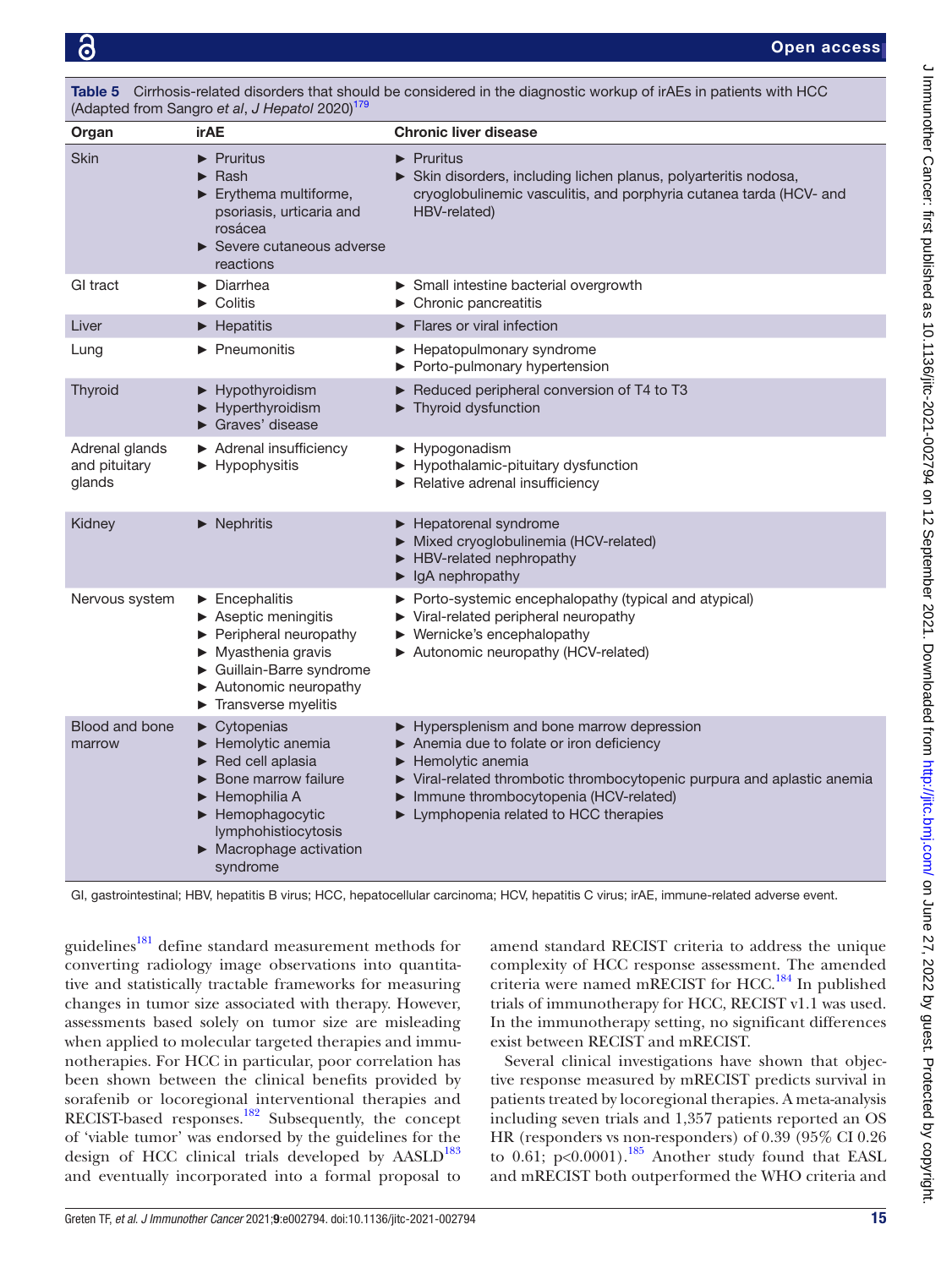<span id="page-14-0"></span>

| Table 5 Cirrhosis-related disorders that should be considered in the diagnostic workup of irAEs in patients with HCC |
|----------------------------------------------------------------------------------------------------------------------|
| (Adapted from Sangro et al, J Hepatol 2020) <sup>179</sup>                                                           |

| Organ                                     | irAE                                                                                                                                                                                                                                                                     | <b>Chronic liver disease</b>                                                                                                                                                                                                                                                                |
|-------------------------------------------|--------------------------------------------------------------------------------------------------------------------------------------------------------------------------------------------------------------------------------------------------------------------------|---------------------------------------------------------------------------------------------------------------------------------------------------------------------------------------------------------------------------------------------------------------------------------------------|
| Skin                                      | $\blacktriangleright$ Pruritus<br>Rash<br>$\blacktriangleright$ Erythema multiforme,<br>psoriasis, urticaria and<br>rosácea<br>Severe cutaneous adverse<br>reactions                                                                                                     | $\blacktriangleright$ Pruritus<br>Skin disorders, including lichen planus, polyarteritis nodosa,<br>cryoglobulinemic vasculitis, and porphyria cutanea tarda (HCV- and<br>HBV-related)                                                                                                      |
| GI tract                                  | $\blacktriangleright$ Diarrhea<br>$\triangleright$ Colitis                                                                                                                                                                                                               | Small intestine bacterial overgrowth<br>$\blacktriangleright$ Chronic pancreatitis                                                                                                                                                                                                          |
| Liver                                     | $\blacktriangleright$ Hepatitis                                                                                                                                                                                                                                          | $\blacktriangleright$ Flares or viral infection                                                                                                                                                                                                                                             |
| Lung                                      | Pneumonitis                                                                                                                                                                                                                                                              | ▶ Hepatopulmonary syndrome<br>Porto-pulmonary hypertension                                                                                                                                                                                                                                  |
| Thyroid                                   | Hypothyroidism<br>Hyperthyroidism<br>$\blacktriangleright$ Graves' disease                                                                                                                                                                                               | Reduced peripheral conversion of T4 to T3<br>Thyroid dysfunction                                                                                                                                                                                                                            |
| Adrenal glands<br>and pituitary<br>glands | Adrenal insufficiency<br>$\blacktriangleright$ Hypophysitis                                                                                                                                                                                                              | Hypogonadism<br>Hypothalamic-pituitary dysfunction<br>Relative adrenal insufficiency                                                                                                                                                                                                        |
| Kidney                                    | $\blacktriangleright$ Nephritis                                                                                                                                                                                                                                          | Hepatorenal syndrome<br>Mixed cryoglobulinemia (HCV-related)<br>HBV-related nephropathy<br>$\blacktriangleright$ IgA nephropathy                                                                                                                                                            |
| Nervous system                            | $\blacktriangleright$ Encephalitis<br>$\blacktriangleright$ Aseptic meningitis<br>$\blacktriangleright$ Peripheral neuropathy<br>$\blacktriangleright$ Myasthenia gravis<br>Guillain-Barre syndrome<br>Autonomic neuropathy<br>$\blacktriangleright$ Transverse myelitis | ▶ Porto-systemic encephalopathy (typical and atypical)<br>▶ Viral-related peripheral neuropathy<br>$\blacktriangleright$ Wernicke's encephalopathy<br>Autonomic neuropathy (HCV-related)                                                                                                    |
| Blood and bone<br>marrow                  | $\blacktriangleright$ Cytopenias<br>Hemolytic anemia<br>Red cell aplasia<br>▶<br>Bone marrow failure<br>Hemophilia A<br>$\blacktriangleright$ Hemophagocytic<br>lymphohistiocytosis<br>$\triangleright$ Macrophage activation<br>syndrome                                | Hypersplenism and bone marrow depression<br>Anemia due to folate or iron deficiency<br>$\blacktriangleright$ Hemolytic anemia<br>▶ Viral-related thrombotic thrombocytopenic purpura and aplastic anemia<br>Immune thrombocytopenia (HCV-related)<br>▶ Lymphopenia related to HCC therapies |

GI, gastrointestinal; HBV, hepatitis B virus; HCC, hepatocellular carcinoma; HCV, hepatitis C virus; irAE, immune-related adverse event.

guidelines<sup>181</sup> define standard measurement methods for converting radiology image observations into quantitative and statistically tractable frameworks for measuring changes in tumor size associated with therapy. However, assessments based solely on tumor size are misleading when applied to molecular targeted therapies and immunotherapies. For HCC in particular, poor correlation has been shown between the clinical benefits provided by sorafenib or locoregional interventional therapies and RECIST-based responses.<sup>182</sup> Subsequently, the concept of 'viable tumor' was endorsed by the guidelines for the design of HCC clinical trials developed by AASLD<sup>[183](#page-23-14)</sup> and eventually incorporated into a formal proposal to

amend standard RECIST criteria to address the unique complexity of HCC response assessment. The amended criteria were named mRECIST for HCC.<sup>184</sup> In published trials of immunotherapy for HCC, RECIST v1.1 was used. In the immunotherapy setting, no significant differences exist between RECIST and mRECIST.

Several clinical investigations have shown that objective response measured by mRECIST predicts survival in patients treated by locoregional therapies. A meta-analysis including seven trials and 1,357 patients reported an OS HR (responders vs non-responders) of 0.39 (95% CI 0.26 to 0.61;  $p<0.0001$ ).<sup>[185](#page-23-16)</sup> Another study found that EASL and mRECIST both outperformed the WHO criteria and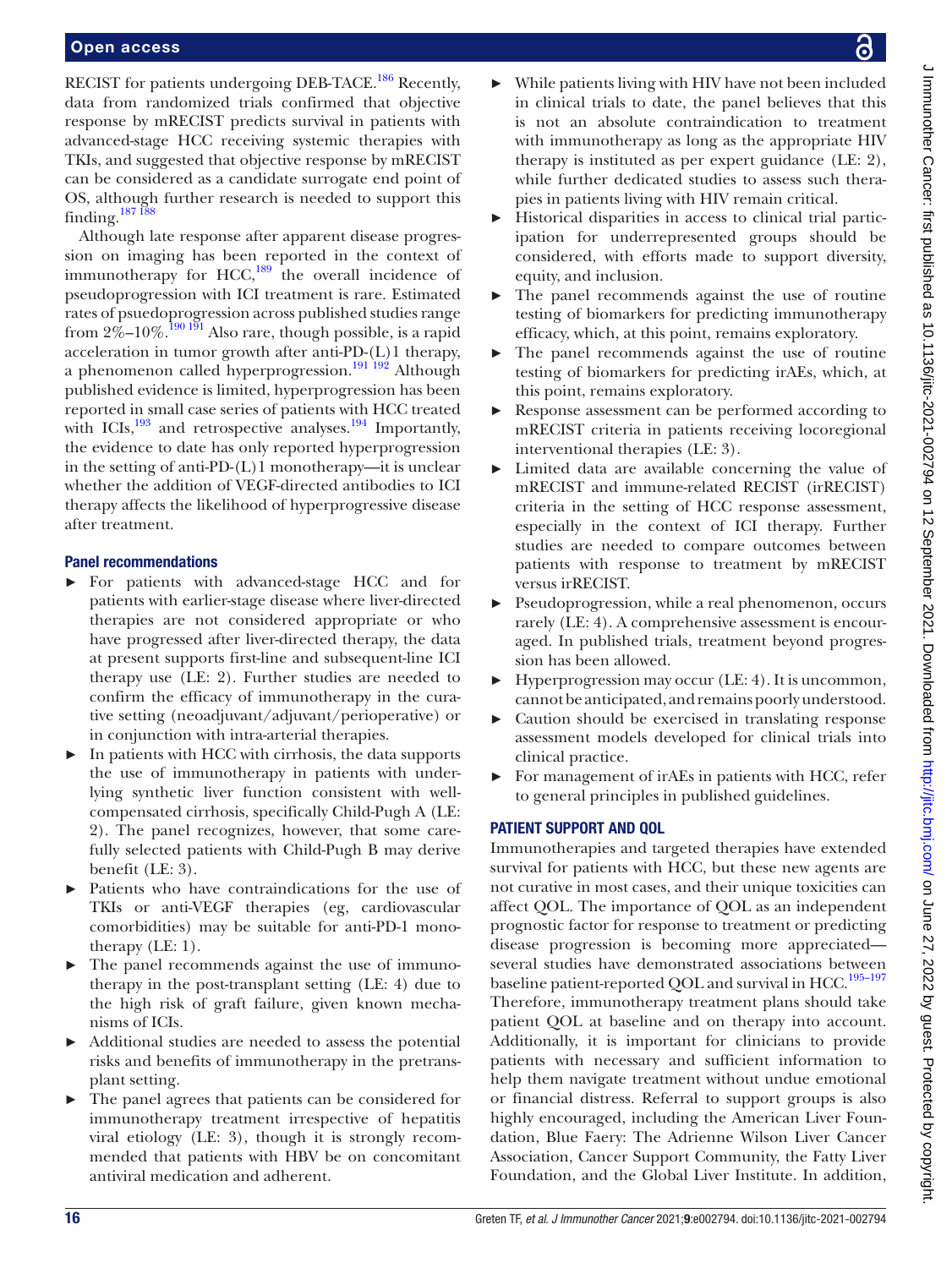RECIST for patients undergoing DEB-TACE.<sup>[186](#page-23-17)</sup> Recently, data from randomized trials confirmed that objective response by mRECIST predicts survival in patients with advanced-stage HCC receiving systemic therapies with TKIs, and suggested that objective response by mRECIST can be considered as a candidate surrogate end point of OS, although further research is needed to support this finding. $187\frac{187}{188}$ 

Although late response after apparent disease progression on imaging has been reported in the context of immunotherapy for HCC, $^{189}$  $^{189}$  $^{189}$  the overall incidence of pseudoprogression with ICI treatment is rare. Estimated rates of psuedoprogression across published studies range from  $2\% -10\%$ .<sup>[190 191](#page-23-20)</sup> Also rare, though possible, is a rapid acceleration in tumor growth after anti-PD-(L)1 therapy, a phenomenon called hyperprogression.<sup>191 192</sup> Although published evidence is limited, hyperprogression has been reported in small case series of patients with HCC treated with ICIs, $^{193}$  and retrospective analyses.<sup>194</sup> Importantly, the evidence to date has only reported hyperprogression in the setting of anti-PD-(L)1 monotherapy—it is unclear whether the addition of VEGF-directed antibodies to ICI therapy affects the likelihood of hyperprogressive disease after treatment.

# Panel recommendations

- ► For patients with advanced-stage HCC and for patients with earlier-stage disease where liver-directed therapies are not considered appropriate or who have progressed after liver-directed therapy, the data at present supports first-line and subsequent-line ICI therapy use (LE: 2). Further studies are needed to confirm the efficacy of immunotherapy in the curative setting (neoadjuvant/adjuvant/perioperative) or in conjunction with intra-arterial therapies.
- In patients with HCC with cirrhosis, the data supports the use of immunotherapy in patients with underlying synthetic liver function consistent with wellcompensated cirrhosis, specifically Child-Pugh A (LE: 2). The panel recognizes, however, that some carefully selected patients with Child-Pugh B may derive benefit (LE: 3).
- ► Patients who have contraindications for the use of TKIs or anti-VEGF therapies (eg, cardiovascular comorbidities) may be suitable for anti-PD-1 monotherapy (LE: 1).
- ► The panel recommends against the use of immunotherapy in the post-transplant setting (LE: 4) due to the high risk of graft failure, given known mechanisms of ICIs.
- Additional studies are needed to assess the potential risks and benefits of immunotherapy in the pretransplant setting.
- The panel agrees that patients can be considered for immunotherapy treatment irrespective of hepatitis viral etiology (LE: 3), though it is strongly recommended that patients with HBV be on concomitant antiviral medication and adherent.
- While patients living with HIV have not been included in clinical trials to date, the panel believes that this is not an absolute contraindication to treatment with immunotherapy as long as the appropriate HIV therapy is instituted as per expert guidance (LE: 2), while further dedicated studies to assess such therapies in patients living with HIV remain critical.
- ► Historical disparities in access to clinical trial participation for underrepresented groups should be considered, with efforts made to support diversity, equity, and inclusion.
- ► The panel recommends against the use of routine testing of biomarkers for predicting immunotherapy efficacy, which, at this point, remains exploratory.
- ► The panel recommends against the use of routine testing of biomarkers for predicting irAEs, which, at this point, remains exploratory.
- ► Response assessment can be performed according to mRECIST criteria in patients receiving locoregional interventional therapies (LE: 3).
- Limited data are available concerning the value of mRECIST and immune-related RECIST (irRECIST) criteria in the setting of HCC response assessment, especially in the context of ICI therapy. Further studies are needed to compare outcomes between patients with response to treatment by mRECIST versus irRECIST.
- Pseudoprogression, while a real phenomenon, occurs rarely (LE: 4). A comprehensive assessment is encouraged. In published trials, treatment beyond progression has been allowed.
- Hyperprogression may occur (LE: 4). It is uncommon, cannot be anticipated, and remains poorly understood.
- ► Caution should be exercised in translating response assessment models developed for clinical trials into clinical practice.
- For management of iralles in patients with HCC, refer to general principles in published guidelines.

# PATIENT SUPPORT AND QOL

Immunotherapies and targeted therapies have extended survival for patients with HCC, but these new agents are not curative in most cases, and their unique toxicities can affect QOL. The importance of QOL as an independent prognostic factor for response to treatment or predicting disease progression is becoming more appreciated several studies have demonstrated associations between baseline patient-reported QOL and survival in HCC.<sup>195-197</sup> Therefore, immunotherapy treatment plans should take patient QOL at baseline and on therapy into account. Additionally, it is important for clinicians to provide patients with necessary and sufficient information to help them navigate treatment without undue emotional or financial distress. Referral to support groups is also highly encouraged, including the American Liver Foundation, Blue Faery: The Adrienne Wilson Liver Cancer Association, Cancer Support Community, the Fatty Liver Foundation, and the Global Liver Institute. In addition,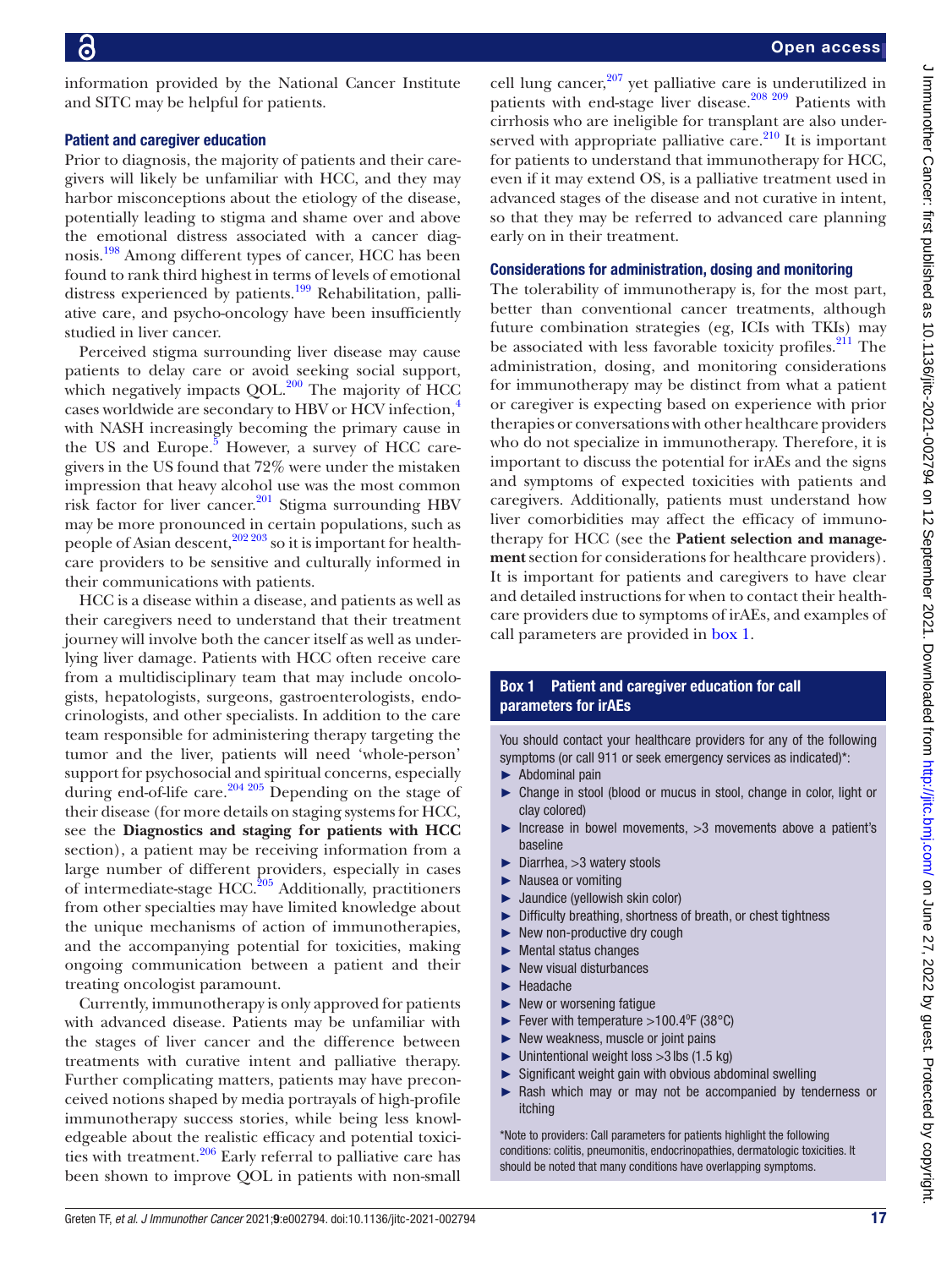information provided by the National Cancer Institute and SITC may be helpful for patients.

#### Patient and caregiver education

Prior to diagnosis, the majority of patients and their caregivers will likely be unfamiliar with HCC, and they may harbor misconceptions about the etiology of the disease, potentially leading to stigma and shame over and above the emotional distress associated with a cancer diagnosis.[198](#page-23-25) Among different types of cancer, HCC has been found to rank third highest in terms of levels of emotional distress experienced by patients.<sup>199</sup> Rehabilitation, palliative care, and psycho-oncology have been insufficiently studied in liver cancer.

Perceived stigma surrounding liver disease may cause patients to delay care or avoid seeking social support, which negatively impacts  $QOL.<sup>200</sup>$  $QOL.<sup>200</sup>$  $QOL.<sup>200</sup>$  The majority of HCC cases worldwide are secondary to HBV or HCV infection,<sup>[4](#page-19-3)</sup> with NASH increasingly becoming the primary cause in the US and Europe.<sup>[5](#page-19-24)</sup> However, a survey of HCC caregivers in the US found that 72% were under the mistaken impression that heavy alcohol use was the most common risk factor for liver cancer.<sup>201</sup> Stigma surrounding HBV may be more pronounced in certain populations, such as people of Asian descent,  $202\,203}$  so it is important for healthcare providers to be sensitive and culturally informed in their communications with patients.

HCC is a disease within a disease, and patients as well as their caregivers need to understand that their treatment journey will involve both the cancer itself as well as underlying liver damage. Patients with HCC often receive care from a multidisciplinary team that may include oncologists, hepatologists, surgeons, gastroenterologists, endocrinologists, and other specialists. In addition to the care team responsible for administering therapy targeting the tumor and the liver, patients will need 'whole-person' support for psychosocial and spiritual concerns, especially during end-of-life care.<sup>204 205</sup> Depending on the stage of their disease (for more details on staging systems for HCC, see the **Diagnostics and staging for patients with HCC** section), a patient may be receiving information from a large number of different providers, especially in cases of intermediate-stage HCC.[205](#page-23-31) Additionally, practitioners from other specialties may have limited knowledge about the unique mechanisms of action of immunotherapies, and the accompanying potential for toxicities, making ongoing communication between a patient and their treating oncologist paramount.

Currently, immunotherapy is only approved for patients with advanced disease. Patients may be unfamiliar with the stages of liver cancer and the difference between treatments with curative intent and palliative therapy. Further complicating matters, patients may have preconceived notions shaped by media portrayals of high-profile immunotherapy success stories, while being less knowledgeable about the realistic efficacy and potential toxici-ties with treatment.<sup>[206](#page-23-32)</sup> Early referral to palliative care has been shown to improve QOL in patients with non-small

cell lung cancer, [207](#page-23-33) yet palliative care is underutilized in patients with end-stage liver disease.<sup>208</sup> <sup>209</sup> Patients with cirrhosis who are ineligible for transplant are also underserved with appropriate palliative care. $^{210}$  It is important for patients to understand that immunotherapy for HCC, even if it may extend OS, is a palliative treatment used in advanced stages of the disease and not curative in intent, so that they may be referred to advanced care planning early on in their treatment.

#### Considerations for administration, dosing and monitoring

The tolerability of immunotherapy is, for the most part, better than conventional cancer treatments, although future combination strategies (eg, ICIs with TKIs) may be associated with less favorable toxicity profiles.<sup>211</sup> The administration, dosing, and monitoring considerations for immunotherapy may be distinct from what a patient or caregiver is expecting based on experience with prior therapies or conversations with other healthcare providers who do not specialize in immunotherapy. Therefore, it is important to discuss the potential for irAEs and the signs and symptoms of expected toxicities with patients and caregivers. Additionally, patients must understand how liver comorbidities may affect the efficacy of immunotherapy for HCC (see the **Patient selection and management** section for considerations for healthcare providers). It is important for patients and caregivers to have clear and detailed instructions for when to contact their healthcare providers due to symptoms of irAEs, and examples of call parameters are provided in [box](#page-16-0) 1.

# Box 1 Patient and caregiver education for call parameters for irAEs

<span id="page-16-0"></span>You should contact your healthcare providers for any of the following symptoms (or call 911 or seek emergency services as indicated)\*:

- ► Abdominal pain
- ► Change in stool (blood or mucus in stool, change in color, light or clay colored)
- ► Increase in bowel movements, >3 movements above a patient's baseline
- ► Diarrhea, >3 watery stools
- ► Nausea or vomiting
- ► Jaundice (yellowish skin color)
- ► Difficulty breathing, shortness of breath, or chest tightness
- New non-productive dry cough
- ► Mental status changes
- ► New visual disturbances
- ► Headache
- ► New or worsening fatigue
- Fever with temperature  $>100.4^{\circ}$ F (38°C)
- ► New weakness, muscle or joint pains
- $\blacktriangleright$  Unintentional weight loss  $>3$  lbs (1.5 kg)
- ► Significant weight gain with obvious abdominal swelling ► Rash which may or may not be accompanied by tenderness or itching

\*Note to providers: Call parameters for patients highlight the following conditions: colitis, pneumonitis, endocrinopathies, dermatologic toxicities. It should be noted that many conditions have overlapping symptoms.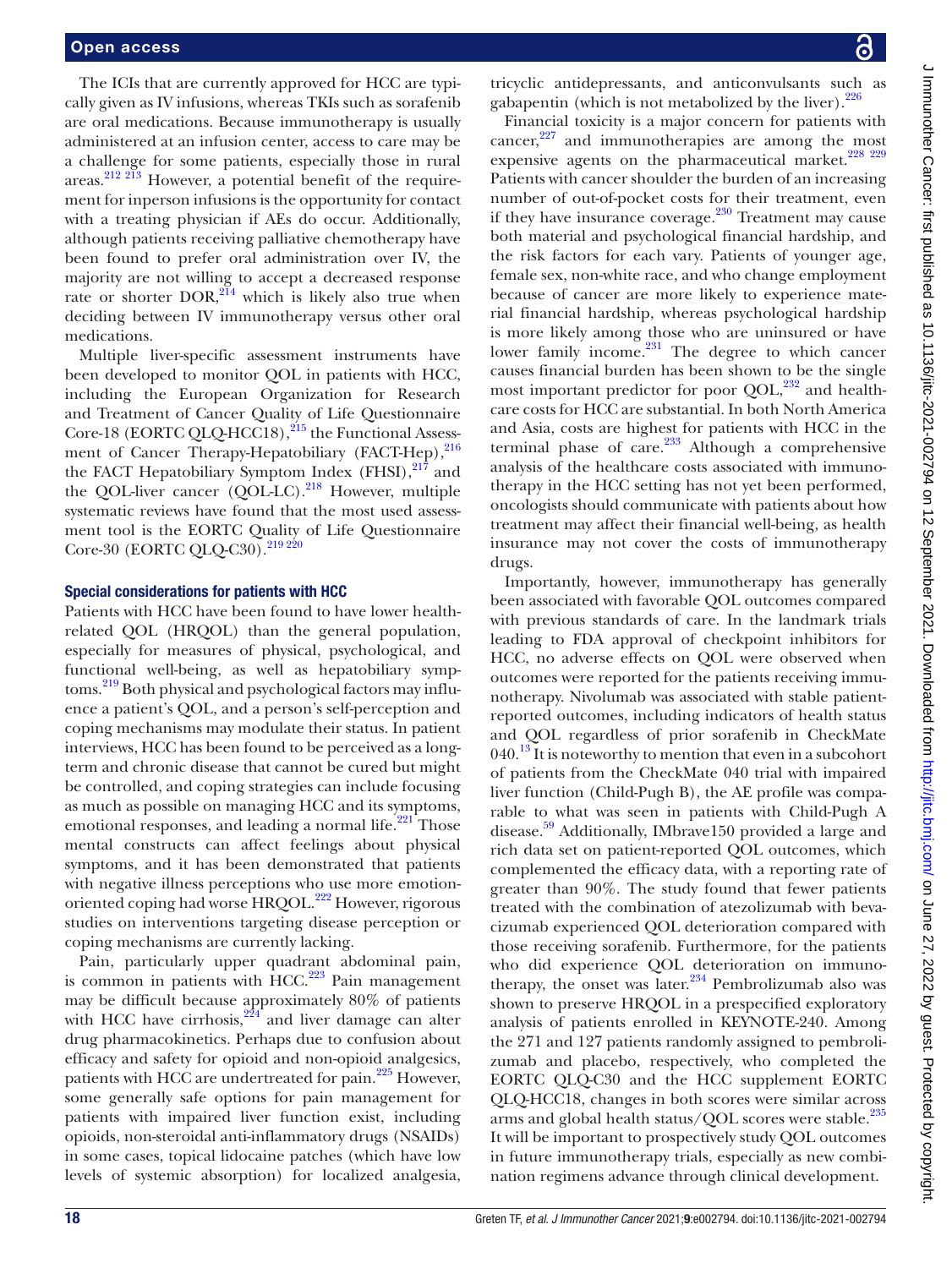The ICIs that are currently approved for HCC are typically given as IV infusions, whereas TKIs such as sorafenib are oral medications. Because immunotherapy is usually administered at an infusion center, access to care may be a challenge for some patients, especially those in rural areas.<sup>212 213</sup> However, a potential benefit of the requirement for inperson infusions is the opportunity for contact with a treating physician if AEs do occur. Additionally, although patients receiving palliative chemotherapy have been found to prefer oral administration over IV, the majority are not willing to accept a decreased response rate or shorter  $DOR$ ,  $^{214}$  which is likely also true when deciding between IV immunotherapy versus other oral medications.

Multiple liver-specific assessment instruments have been developed to monitor QOL in patients with HCC, including the European Organization for Research and Treatment of Cancer Quality of Life Questionnaire Core-18 (EORTC QLQ-HCC18),<sup>215</sup> the Functional Assessment of Cancer Therapy-Hepatobiliary (FACT-Hep), $^{216}$  $^{216}$  $^{216}$ the FACT Hepatobiliary Symptom Index  $(FHSI),<sup>217</sup>$  $(FHSI),<sup>217</sup>$  $(FHSI),<sup>217</sup>$  and the QOL-liver cancer  $(QOL-LC).^{218}$  However, multiple systematic reviews have found that the most used assessment tool is the EORTC Quality of Life Questionnaire Core-30 (EORTC QLQ-C30).<sup>219 220</sup>

#### Special considerations for patients with HCC

Patients with HCC have been found to have lower healthrelated QOL (HRQOL) than the general population, especially for measures of physical, psychological, and functional well-being, as well as hepatobiliary symptoms.<sup>219</sup> Both physical and psychological factors may influence a patient's QOL, and a person's self-perception and coping mechanisms may modulate their status. In patient interviews, HCC has been found to be perceived as a longterm and chronic disease that cannot be cured but might be controlled, and coping strategies can include focusing as much as possible on managing HCC and its symptoms, emotional responses, and leading a normal life.<sup>221</sup> Those mental constructs can affect feelings about physical symptoms, and it has been demonstrated that patients with negative illness perceptions who use more emotion-oriented coping had worse HRQOL.<sup>[222](#page-24-4)</sup> However, rigorous studies on interventions targeting disease perception or coping mechanisms are currently lacking.

Pain, particularly upper quadrant abdominal pain, is common in patients with  $\text{HCC}^{223}$  $\text{HCC}^{223}$  $\text{HCC}^{223}$  Pain management may be difficult because approximately 80% of patients with HCC have cirrhosis, $224$  and liver damage can alter drug pharmacokinetics. Perhaps due to confusion about efficacy and safety for opioid and non-opioid analgesics, patients with HCC are undertreated for pain.<sup>225</sup> However, some generally safe options for pain management for patients with impaired liver function exist, including opioids, non-steroidal anti-inflammatory drugs (NSAIDs) in some cases, topical lidocaine patches (which have low levels of systemic absorption) for localized analgesia,

tricyclic antidepressants, and anticonvulsants such as gabapentin (which is not metabolized by the liver).  $226$ 

Financial toxicity is a major concern for patients with cancer, $227$  and immunotherapies are among the most expensive agents on the pharmaceutical market.<sup>[228 229](#page-24-10)</sup> Patients with cancer shoulder the burden of an increasing number of out-of-pocket costs for their treatment, even if they have insurance coverage. $230$  Treatment may cause both material and psychological financial hardship, and the risk factors for each vary. Patients of younger age, female sex, non-white race, and who change employment because of cancer are more likely to experience material financial hardship, whereas psychological hardship is more likely among those who are uninsured or have lower family income. $231$  The degree to which cancer causes financial burden has been shown to be the single most important predictor for poor QOL, $^{232}$  and healthcare costs for HCC are substantial. In both North America and Asia, costs are highest for patients with HCC in the terminal phase of care.<sup>[233](#page-24-14)</sup> Although a comprehensive analysis of the healthcare costs associated with immunotherapy in the HCC setting has not yet been performed, oncologists should communicate with patients about how treatment may affect their financial well-being, as health insurance may not cover the costs of immunotherapy drugs.

Importantly, however, immunotherapy has generally been associated with favorable QOL outcomes compared with previous standards of care. In the landmark trials leading to FDA approval of checkpoint inhibitors for HCC, no adverse effects on QOL were observed when outcomes were reported for the patients receiving immunotherapy. Nivolumab was associated with stable patientreported outcomes, including indicators of health status and QOL regardless of prior sorafenib in CheckMate  $040<sup>13</sup>$  It is noteworthy to mention that even in a subcohort of patients from the CheckMate 040 trial with impaired liver function (Child-Pugh B), the AE profile was comparable to what was seen in patients with Child-Pugh A disease.<sup>59</sup> Additionally, IMbrave150 provided a large and rich data set on patient-reported QOL outcomes, which complemented the efficacy data, with a reporting rate of greater than 90%. The study found that fewer patients treated with the combination of atezolizumab with bevacizumab experienced QOL deterioration compared with those receiving sorafenib. Furthermore, for the patients who did experience QOL deterioration on immunotherapy, the onset was later. $234$  Pembrolizumab also was shown to preserve HRQOL in a prespecified exploratory analysis of patients enrolled in KEYNOTE-240. Among the 271 and 127 patients randomly assigned to pembrolizumab and placebo, respectively, who completed the EORTC QLQ-C30 and the HCC supplement EORTC QLQ-HCC18, changes in both scores were similar across arms and global health status/QOL scores were stable.<sup>235</sup> It will be important to prospectively study QOL outcomes in future immunotherapy trials, especially as new combination regimens advance through clinical development.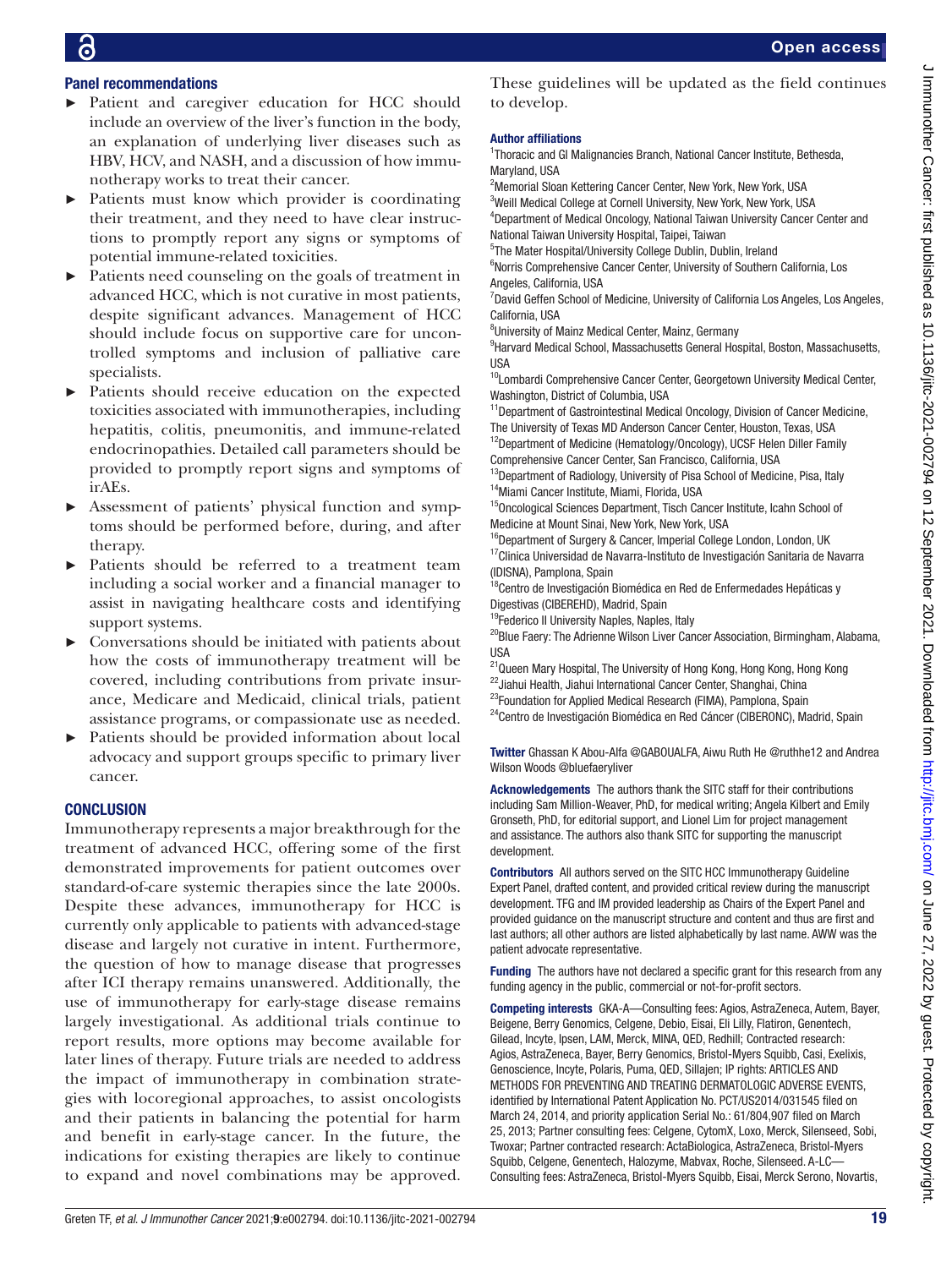# Panel recommendations

- ► Patient and caregiver education for HCC should include an overview of the liver's function in the body, an explanation of underlying liver diseases such as HBV, HCV, and NASH, and a discussion of how immunotherapy works to treat their cancer.
- Patients must know which provider is coordinating their treatment, and they need to have clear instructions to promptly report any signs or symptoms of potential immune-related toxicities.
- Patients need counseling on the goals of treatment in advanced HCC, which is not curative in most patients, despite significant advances. Management of HCC should include focus on supportive care for uncontrolled symptoms and inclusion of palliative care specialists.
- Patients should receive education on the expected toxicities associated with immunotherapies, including hepatitis, colitis, pneumonitis, and immune-related endocrinopathies. Detailed call parameters should be provided to promptly report signs and symptoms of irAEs.
- ► Assessment of patients' physical function and symptoms should be performed before, during, and after therapy.
- ► Patients should be referred to a treatment team including a social worker and a financial manager to assist in navigating healthcare costs and identifying support systems.
- ► Conversations should be initiated with patients about how the costs of immunotherapy treatment will be covered, including contributions from private insurance, Medicare and Medicaid, clinical trials, patient assistance programs, or compassionate use as needed.
- Patients should be provided information about local advocacy and support groups specific to primary liver cancer.

# **CONCLUSION**

Immunotherapy represents a major breakthrough for the treatment of advanced HCC, offering some of the first demonstrated improvements for patient outcomes over standard-of-care systemic therapies since the late 2000s. Despite these advances, immunotherapy for HCC is currently only applicable to patients with advanced-stage disease and largely not curative in intent. Furthermore, the question of how to manage disease that progresses after ICI therapy remains unanswered. Additionally, the use of immunotherapy for early-stage disease remains largely investigational. As additional trials continue to report results, more options may become available for later lines of therapy. Future trials are needed to address the impact of immunotherapy in combination strategies with locoregional approaches, to assist oncologists and their patients in balancing the potential for harm and benefit in early-stage cancer. In the future, the indications for existing therapies are likely to continue to expand and novel combinations may be approved. These guidelines will be updated as the field continues to develop.

#### Author affiliations

<sup>1</sup>Thoracic and GI Malignancies Branch, National Cancer Institute, Bethesda, Maryland, USA

<sup>2</sup>Memorial Sloan Kettering Cancer Center, New York, New York, USA <sup>3</sup>Weill Medical College at Cornell University, New York, New York, USA 4 Department of Medical Oncology, National Taiwan University Cancer Center and

National Taiwan University Hospital, Taipei, Taiwan 5 The Mater Hospital/University College Dublin, Dublin, Ireland

<sup>6</sup>Norris Comprehensive Cancer Center, University of Southern California, Los Angeles, California, USA

<sup>7</sup>David Geffen School of Medicine, University of California Los Angeles, Los Angeles, California, USA

<sup>8</sup>University of Mainz Medical Center, Mainz, Germany

<sup>9</sup> Harvard Medical School, Massachusetts General Hospital, Boston, Massachusetts, USA

<sup>10</sup>Lombardi Comprehensive Cancer Center, Georgetown University Medical Center, Washington, District of Columbia, USA

<sup>11</sup>Department of Gastrointestinal Medical Oncology, Division of Cancer Medicine, The University of Texas MD Anderson Cancer Center, Houston, Texas, USA <sup>12</sup>Department of Medicine (Hematology/Oncology), UCSF Helen Diller Family Comprehensive Cancer Center, San Francisco, California, USA

<sup>13</sup>Department of Radiology, University of Pisa School of Medicine, Pisa, Italy <sup>14</sup>Miami Cancer Institute, Miami, Florida, USA

<sup>15</sup>Oncological Sciences Department, Tisch Cancer Institute, Icahn School of Medicine at Mount Sinai, New York, New York, USA

<sup>16</sup>Department of Surgery & Cancer, Imperial College London, London, UK  $17$ Clinica Universidad de Navarra-Instituto de Investigación Sanitaria de Navarra (IDISNA), Pamplona, Spain

<sup>18</sup>Centro de Investigación Biomédica en Red de Enfermedades Hepáticas y Digestivas (CIBEREHD), Madrid, Spain

<sup>19</sup>Federico II University Naples, Naples, Italy

<sup>20</sup>Blue Faery: The Adrienne Wilson Liver Cancer Association, Birmingham, Alabama, USA

<sup>21</sup>Queen Mary Hospital, The University of Hong Kong, Hong Kong, Hong Kong <sup>22</sup>Jiahui Health, Jiahui International Cancer Center, Shanghai, China

<sup>23</sup>Foundation for Applied Medical Research (FIMA), Pamplona, Spain

<sup>24</sup>Centro de Investigación Biomédica en Red Cáncer (CIBERONC), Madrid, Spain

Twitter Ghassan K Abou-Alfa [@GABOUALFA,](https://twitter.com/GABOUALFA) Aiwu Ruth He [@ruthhe12](https://twitter.com/ruthhe12) and Andrea Wilson Woods [@bluefaeryliver](https://twitter.com/bluefaeryliver)

Acknowledgements The authors thank the SITC staff for their contributions including Sam Million-Weaver, PhD, for medical writing; Angela Kilbert and Emily Gronseth, PhD, for editorial support, and Lionel Lim for project management and assistance. The authors also thank SITC for supporting the manuscript development.

Contributors All authors served on the SITC HCC Immunotherapy Guideline Expert Panel, drafted content, and provided critical review during the manuscript development. TFG and IM provided leadership as Chairs of the Expert Panel and provided guidance on the manuscript structure and content and thus are first and last authors; all other authors are listed alphabetically by last name. AWW was the patient advocate representative.

Funding The authors have not declared a specific grant for this research from any funding agency in the public, commercial or not-for-profit sectors.

Competing interests GKA-A—Consulting fees: Agios, AstraZeneca, Autem, Bayer, Beigene, Berry Genomics, Celgene, Debio, Eisai, Eli Lilly, Flatiron, Genentech, Gilead, Incyte, Ipsen, LAM, Merck, MINA, QED, Redhill; Contracted research: Agios, AstraZeneca, Bayer, Berry Genomics, Bristol-Myers Squibb, Casi, Exelixis, Genoscience, Incyte, Polaris, Puma, QED, Sillajen; IP rights: ARTICLES AND METHODS FOR PREVENTING AND TREATING DERMATOLOGIC ADVERSE EVENTS, identified by International Patent Application No. PCT/US2014/031545 filed on March 24, 2014, and priority application Serial No.: 61/804,907 filed on March 25, 2013; Partner consulting fees: Celgene, CytomX, Loxo, Merck, Silenseed, Sobi, Twoxar; Partner contracted research: ActaBiologica, AstraZeneca, Bristol-Myers Squibb, Celgene, Genentech, Halozyme, Mabvax, Roche, Silenseed. A-LC— Consulting fees: AstraZeneca, Bristol-Myers Squibb, Eisai, Merck Serono, Novartis,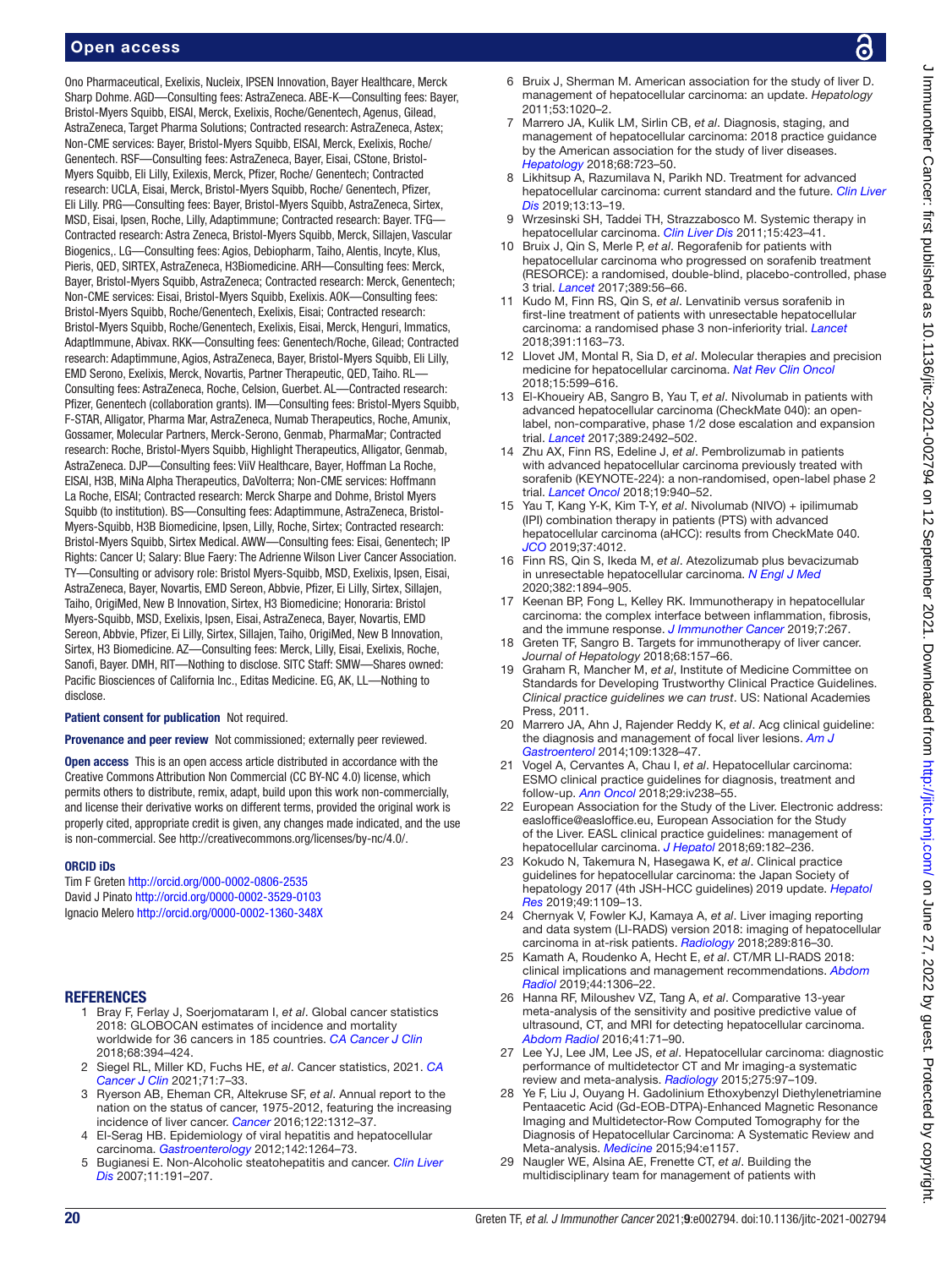Ono Pharmaceutical, Exelixis, Nucleix, IPSEN Innovation, Bayer Healthcare, Merck Sharp Dohme. AGD—Consulting fees: AstraZeneca. ABE-K—Consulting fees: Bayer, Bristol-Myers Squibb, EISAI, Merck, Exelixis, Roche/Genentech, Agenus, Gilead, AstraZeneca, Target Pharma Solutions; Contracted research: AstraZeneca, Astex; Non-CME services: Bayer, Bristol-Myers Squibb, EISAI, Merck, Exelixis, Roche/ Genentech. RSF—Consulting fees: AstraZeneca, Bayer, Eisai, CStone, Bristol-Myers Squibb, Eli Lilly, Exilexis, Merck, Pfizer, Roche/ Genentech; Contracted research: UCLA, Eisai, Merck, Bristol-Myers Squibb, Roche/ Genentech, Pfizer, Eli Lilly. PRG—Consulting fees: Bayer, Bristol-Myers Squibb, AstraZeneca, Sirtex, MSD, Eisai, Ipsen, Roche, Lilly, Adaptimmune; Contracted research: Bayer. TFG— Contracted research: Astra Zeneca, Bristol-Myers Squibb, Merck, Sillajen, Vascular Biogenics,. LG—Consulting fees: Agios, Debiopharm, Taiho, Alentis, Incyte, Klus, Pieris, QED, SIRTEX, AstraZeneca, H3Biomedicine. ARH—Consulting fees: Merck, Bayer, Bristol-Myers Squibb, AstraZeneca; Contracted research: Merck, Genentech; Non-CME services: Eisai, Bristol-Myers Squibb, Exelixis. AOK—Consulting fees: Bristol-Myers Squibb, Roche/Genentech, Exelixis, Eisai; Contracted research: Bristol-Myers Squibb, Roche/Genentech, Exelixis, Eisai, Merck, Henguri, Immatics, AdaptImmune, Abivax. RKK—Consulting fees: Genentech/Roche, Gilead; Contracted research: Adaptimmune, Agios, AstraZeneca, Bayer, Bristol-Myers Squibb, Eli Lilly, EMD Serono, Exelixis, Merck, Novartis, Partner Therapeutic, QED, Taiho. RL— Consulting fees: AstraZeneca, Roche, Celsion, Guerbet. AL—Contracted research: Pfizer, Genentech (collaboration grants). IM—Consulting fees: Bristol-Myers Squibb, F-STAR, Alligator, Pharma Mar, AstraZeneca, Numab Therapeutics, Roche, Amunix, Gossamer, Molecular Partners, Merck-Serono, Genmab, PharmaMar; Contracted research: Roche, Bristol-Myers Squibb, Highlight Therapeutics, Alligator, Genmab, AstraZeneca. DJP—Consulting fees: ViiV Healthcare, Bayer, Hoffman La Roche, EISAI, H3B, MiNa Alpha Therapeutics, DaVolterra; Non-CME services: Hoffmann La Roche, EISAI; Contracted research: Merck Sharpe and Dohme, Bristol Myers Squibb (to institution). BS—Consulting fees: Adaptimmune, AstraZeneca, Bristol-Myers-Squibb, H3B Biomedicine, Ipsen, Lilly, Roche, Sirtex; Contracted research: Bristol-Myers Squibb, Sirtex Medical. AWW—Consulting fees: Eisai, Genentech; IP Rights: Cancer U; Salary: Blue Faery: The Adrienne Wilson Liver Cancer Association. TY—Consulting or advisory role: Bristol Myers-Squibb, MSD, Exelixis, Ipsen, Eisai, AstraZeneca, Bayer, Novartis, EMD Sereon, Abbvie, Pfizer, Ei Lilly, Sirtex, Sillajen, Taiho, OrigiMed, New B Innovation, Sirtex, H3 Biomedicine; Honoraria: Bristol Myers-Squibb, MSD, Exelixis, Ipsen, Eisai, AstraZeneca, Bayer, Novartis, EMD Sereon, Abbvie, Pfizer, Ei Lilly, Sirtex, Sillajen, Taiho, OrigiMed, New B Innovation, Sirtex, H3 Biomedicine. AZ—Consulting fees: Merck, Lilly, Eisai, Exelixis, Roche, Sanofi, Bayer. DMH, RIT—Nothing to disclose. SITC Staff: SMW—Shares owned: Pacific Biosciences of California Inc., Editas Medicine. EG, AK, LL—Nothing to disclose.

Patient consent for publication Not required.

Provenance and peer review Not commissioned; externally peer reviewed.

Open access This is an open access article distributed in accordance with the Creative Commons Attribution Non Commercial (CC BY-NC 4.0) license, which permits others to distribute, remix, adapt, build upon this work non-commercially, and license their derivative works on different terms, provided the original work is properly cited, appropriate credit is given, any changes made indicated, and the use is non-commercial. See [http://creativecommons.org/licenses/by-nc/4.0/.](http://creativecommons.org/licenses/by-nc/4.0/)

#### ORCID iDs

Tim F Greten<http://orcid.org/000-0002-0806-2535> David J Pinato <http://orcid.org/0000-0002-3529-0103> Ignacio Melero <http://orcid.org/0000-0002-1360-348X>

#### <span id="page-19-0"></span>**REFERENCES**

- 1 Bray F, Ferlay J, Soerjomataram I, *et al*. Global cancer statistics 2018: GLOBOCAN estimates of incidence and mortality worldwide for 36 cancers in 185 countries. *[CA Cancer J Clin](http://dx.doi.org/10.3322/caac.21492)* 2018;68:394–424.
- <span id="page-19-1"></span>2 Siegel RL, Miller KD, Fuchs HE, *et al*. Cancer statistics, 2021. *[CA](http://dx.doi.org/10.3322/caac.21654)  [Cancer J Clin](http://dx.doi.org/10.3322/caac.21654)* 2021;71:7–33.
- <span id="page-19-2"></span>3 Ryerson AB, Eheman CR, Altekruse SF, *et al*. Annual report to the nation on the status of cancer, 1975-2012, featuring the increasing incidence of liver cancer. *[Cancer](http://dx.doi.org/10.1002/cncr.29936)* 2016;122:1312–37.
- <span id="page-19-3"></span>4 El-Serag HB. Epidemiology of viral hepatitis and hepatocellular carcinoma. *[Gastroenterology](http://dx.doi.org/10.1053/j.gastro.2011.12.061)* 2012;142:1264–73.
- <span id="page-19-24"></span>5 Bugianesi E. Non-Alcoholic steatohepatitis and cancer. *[Clin Liver](http://dx.doi.org/10.1016/j.cld.2007.02.006)  [Dis](http://dx.doi.org/10.1016/j.cld.2007.02.006)* 2007;11:191–207.
- <span id="page-19-4"></span>6 Bruix J, Sherman M. American association for the study of liver D. management of hepatocellular carcinoma: an update. *Hepatology* 2011;53:1020–2.
- <span id="page-19-15"></span>7 Marrero JA, Kulik LM, Sirlin CB, *et al*. Diagnosis, staging, and management of hepatocellular carcinoma: 2018 practice guidance by the American association for the study of liver diseases. *[Hepatology](http://dx.doi.org/10.1002/hep.29913)* 2018;68:723–50.
- 8 Likhitsup A, Razumilava N, Parikh ND. Treatment for advanced hepatocellular carcinoma: current standard and the future. *[Clin Liver](http://dx.doi.org/10.1002/cld.782)  [Dis](http://dx.doi.org/10.1002/cld.782)* 2019;13:13–19.
- <span id="page-19-5"></span>Wrzesinski SH, Taddei TH, Strazzabosco M. Systemic therapy in hepatocellular carcinoma. *[Clin Liver Dis](http://dx.doi.org/10.1016/j.cld.2011.03.002)* 2011;15:423–41.
- <span id="page-19-6"></span>10 Bruix J, Qin S, Merle P, *et al*. Regorafenib for patients with hepatocellular carcinoma who progressed on sorafenib treatment (RESORCE): a randomised, double-blind, placebo-controlled, phase 3 trial. *[Lancet](http://dx.doi.org/10.1016/S0140-6736(16)32453-9)* 2017;389:56–66.
- <span id="page-19-7"></span>11 Kudo M, Finn RS, Qin S, *et al*. Lenvatinib versus sorafenib in first-line treatment of patients with unresectable hepatocellular carcinoma: a randomised phase 3 non-inferiority trial. *[Lancet](http://dx.doi.org/10.1016/S0140-6736(18)30207-1)* 2018;391:1163–73.
- <span id="page-19-8"></span>12 Llovet JM, Montal R, Sia D, *et al*. Molecular therapies and precision medicine for hepatocellular carcinoma. *[Nat Rev Clin Oncol](http://dx.doi.org/10.1038/s41571-018-0073-4)* 2018;15:599–616.
- <span id="page-19-9"></span>13 El-Khoueiry AB, Sangro B, Yau T, *et al*. Nivolumab in patients with advanced hepatocellular carcinoma (CheckMate 040): an openlabel, non-comparative, phase 1/2 dose escalation and expansion trial. *[Lancet](http://dx.doi.org/10.1016/S0140-6736(17)31046-2)* 2017;389:2492–502.
- <span id="page-19-10"></span>14 Zhu AX, Finn RS, Edeline J, *et al*. Pembrolizumab in patients with advanced hepatocellular carcinoma previously treated with sorafenib (KEYNOTE-224): a non-randomised, open-label phase 2 trial. *[Lancet Oncol](http://dx.doi.org/10.1016/S1470-2045(18)30351-6)* 2018;19:940–52.
- <span id="page-19-11"></span>15 Yau T, Kang Y-K, Kim T-Y, *et al*. Nivolumab (NIVO) + ipilimumab (IPI) combination therapy in patients (PTS) with advanced hepatocellular carcinoma (aHCC): results from CheckMate 040. *[JCO](http://dx.doi.org/10.1200/JCO.2019.37.15_suppl.4012)* 2019;37:4012.
- <span id="page-19-12"></span>16 Finn RS, Qin S, Ikeda M, *et al*. Atezolizumab plus bevacizumab in unresectable hepatocellular carcinoma. *[N Engl J Med](http://dx.doi.org/10.1056/NEJMoa1915745)* 2020;382:1894–905.
- <span id="page-19-13"></span>17 Keenan BP, Fong L, Kelley RK. Immunotherapy in hepatocellular carcinoma: the complex interface between inflammation, fibrosis, and the immune response. *[J Immunother Cancer](http://dx.doi.org/10.1186/s40425-019-0749-z)* 2019;7:267.
- 18 Greten TF, Sangro B. Targets for immunotherapy of liver cancer. *Journal of Hepatology* 2018;68:157–66.
- <span id="page-19-14"></span>19 Graham R, Mancher M, *et al*, Institute of Medicine Committee on Standards for Developing Trustworthy Clinical Practice Guidelines. *Clinical practice guidelines we can trust*. US: National Academies Press, 2011.
- <span id="page-19-16"></span>20 Marrero JA, Ahn J, Rajender Reddy K, *et al*. Acg clinical guideline: the diagnosis and management of focal liver lesions. *[Am J](http://dx.doi.org/10.1038/ajg.2014.213)  [Gastroenterol](http://dx.doi.org/10.1038/ajg.2014.213)* 2014;109:1328–47.
- <span id="page-19-17"></span>21 Vogel A, Cervantes A, Chau I, *et al*. Hepatocellular carcinoma: ESMO clinical practice guidelines for diagnosis, treatment and follow-up. *[Ann Oncol](http://dx.doi.org/10.1093/annonc/mdy308)* 2018;29:iv238–55.
- <span id="page-19-18"></span>22 European Association for the Study of the Liver. Electronic address: easloffice@easloffice.eu, European Association for the Study of the Liver. EASL clinical practice guidelines: management of hepatocellular carcinoma. *[J Hepatol](http://dx.doi.org/10.1016/j.jhep.2018.03.019)* 2018;69:182–236.
- <span id="page-19-19"></span>23 Kokudo N, Takemura N, Hasegawa K, *et al*. Clinical practice guidelines for hepatocellular carcinoma: the Japan Society of hepatology 2017 (4th JSH-HCC guidelines) 2019 update. *[Hepatol](http://dx.doi.org/10.1111/hepr.13411)  [Res](http://dx.doi.org/10.1111/hepr.13411)* 2019;49:1109–13.
- <span id="page-19-20"></span>24 Chernyak V, Fowler KJ, Kamaya A, *et al*. Liver imaging reporting and data system (LI-RADS) version 2018: imaging of hepatocellular carcinoma in at-risk patients. *[Radiology](http://dx.doi.org/10.1148/radiol.2018181494)* 2018;289:816–30.
- <span id="page-19-21"></span>25 Kamath A, Roudenko A, Hecht E, *et al*. CT/MR LI-RADS 2018: clinical implications and management recommendations. *[Abdom](http://dx.doi.org/10.1007/s00261-018-1868-6)  [Radiol](http://dx.doi.org/10.1007/s00261-018-1868-6)* 2019;44:1306–22.
- <span id="page-19-22"></span>26 Hanna RF, Miloushev VZ, Tang A, *et al*. Comparative 13-year meta-analysis of the sensitivity and positive predictive value of ultrasound, CT, and MRI for detecting hepatocellular carcinoma. *[Abdom Radiol](http://dx.doi.org/10.1007/s00261-015-0592-8)* 2016;41:71–90.
- 27 Lee YJ, Lee JM, Lee JS, *et al*. Hepatocellular carcinoma: diagnostic performance of multidetector CT and Mr imaging-a systematic review and meta-analysis. *[Radiology](http://dx.doi.org/10.1148/radiol.14140690)* 2015;275:97–109.
- 28 Ye F, Liu J, Ouyang H. Gadolinium Ethoxybenzyl Diethylenetriamine Pentaacetic Acid (Gd-EOB-DTPA)-Enhanced Magnetic Resonance Imaging and Multidetector-Row Computed Tomography for the Diagnosis of Hepatocellular Carcinoma: A Systematic Review and Meta-analysis. *[Medicine](http://dx.doi.org/10.1097/MD.0000000000001157)* 2015;94:e1157.
- <span id="page-19-23"></span>Naugler WE, Alsina AE, Frenette CT, et al. Building the multidisciplinary team for management of patients with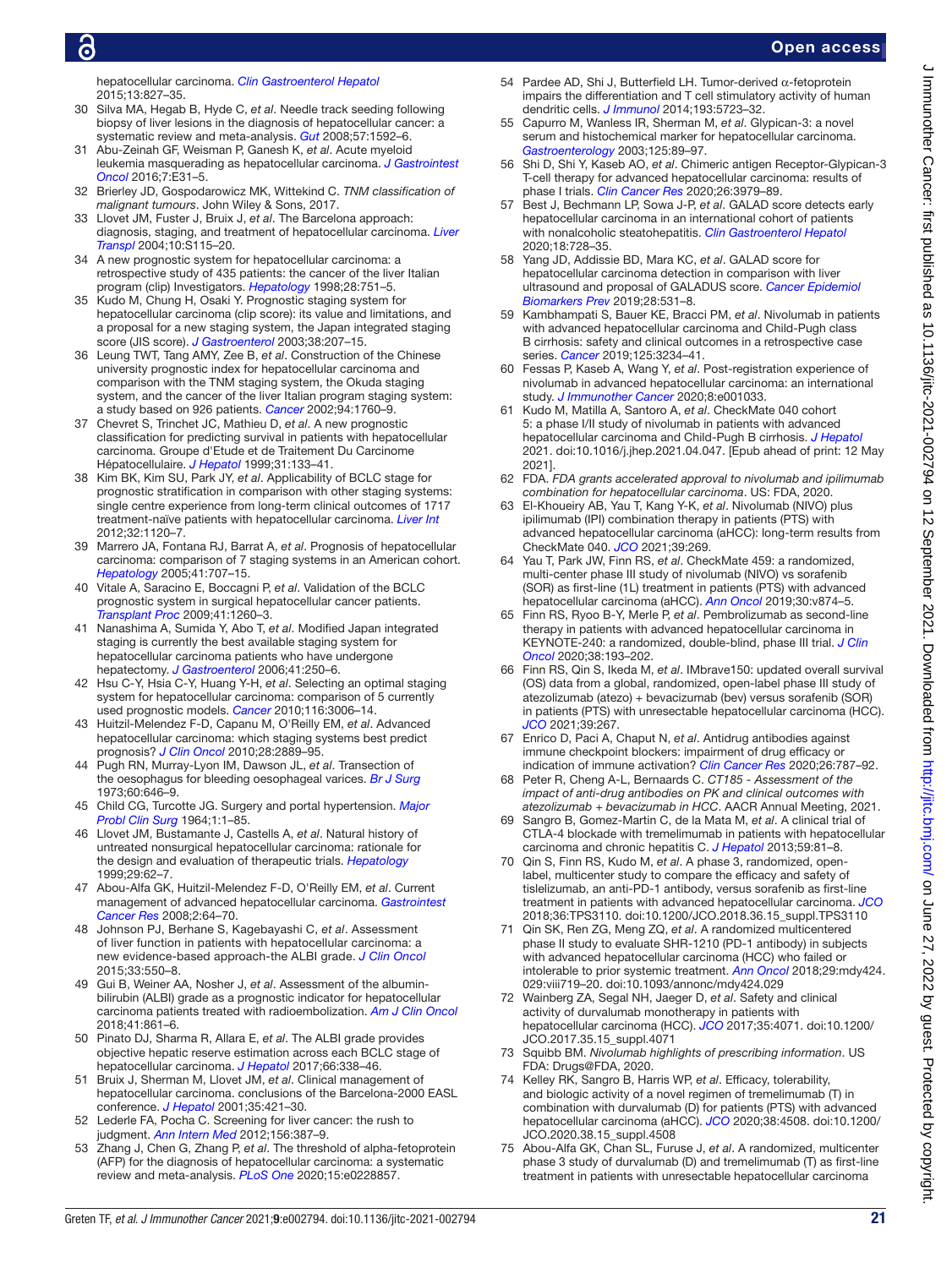hepatocellular carcinoma. *[Clin Gastroenterol Hepatol](http://dx.doi.org/10.1016/j.cgh.2014.03.038)* 2015;13:827–35.

<span id="page-20-0"></span>Silva MA, Hegab B, Hyde C, et al. Needle track seeding following biopsy of liver lesions in the diagnosis of hepatocellular cancer: a systematic review and meta-analysis. *[Gut](http://dx.doi.org/10.1136/gut.2008.149062)* 2008;57:1592–6.

- <span id="page-20-1"></span>31 Abu-Zeinah GF, Weisman P, Ganesh K, *et al*. Acute myeloid leukemia masquerading as hepatocellular carcinoma. *[J Gastrointest](http://dx.doi.org/10.21037/jgo.2015.12.01)  [Oncol](http://dx.doi.org/10.21037/jgo.2015.12.01)* 2016;7:E31–5.
- <span id="page-20-2"></span>32 Brierley JD, Gospodarowicz MK, Wittekind C. *TNM classification of malignant tumours*. John Wiley & Sons, 2017.
- <span id="page-20-3"></span>33 Llovet JM, Fuster J, Bruix J, *et al*. The Barcelona approach: diagnosis, staging, and treatment of hepatocellular carcinoma. *[Liver](http://dx.doi.org/10.1002/lt.20034)  [Transpl](http://dx.doi.org/10.1002/lt.20034)* 2004;10:S115–20.
- <span id="page-20-4"></span>34 A new prognostic system for hepatocellular carcinoma: a retrospective study of 435 patients: the cancer of the liver Italian program (clip) Investigators. *[Hepatology](http://dx.doi.org/10.1002/hep.510280322)* 1998;28:751–5.
- <span id="page-20-5"></span>35 Kudo M, Chung H, Osaki Y. Prognostic staging system for hepatocellular carcinoma (clip score): its value and limitations, and a proposal for a new staging system, the Japan integrated staging score (JIS score). *[J Gastroenterol](http://dx.doi.org/10.1007/s005350300038)* 2003;38:207–15.
- <span id="page-20-6"></span>36 Leung TWT, Tang AMY, Zee B, *et al*. Construction of the Chinese university prognostic index for hepatocellular carcinoma and comparison with the TNM staging system, the Okuda staging system, and the cancer of the liver Italian program staging system: a study based on 926 patients. *[Cancer](http://dx.doi.org/10.1002/cncr.10384)* 2002;94:1760–9.
- <span id="page-20-7"></span>37 Chevret S, Trinchet JC, Mathieu D, *et al*. A new prognostic classification for predicting survival in patients with hepatocellular carcinoma. Groupe d'Etude et de Traitement Du Carcinome Hépatocellulaire. *[J Hepatol](http://dx.doi.org/10.1016/s0168-8278(99)80173-1)* 1999;31:133–41.
- <span id="page-20-8"></span>38 Kim BK, Kim SU, Park JY, *et al*. Applicability of BCLC stage for prognostic stratification in comparison with other staging systems: single centre experience from long-term clinical outcomes of 1717 treatment-naïve patients with hepatocellular carcinoma. *[Liver Int](http://dx.doi.org/10.1111/j.1478-3231.2012.02811.x)* 2012;32:1120–7.
- <span id="page-20-9"></span>39 Marrero JA, Fontana RJ, Barrat A, *et al*. Prognosis of hepatocellular carcinoma: comparison of 7 staging systems in an American cohort. *[Hepatology](http://dx.doi.org/10.1002/hep.20636)* 2005;41:707–15.
- <span id="page-20-10"></span>40 Vitale A, Saracino E, Boccagni P, *et al*. Validation of the BCLC prognostic system in surgical hepatocellular cancer patients. *[Transplant Proc](http://dx.doi.org/10.1016/j.transproceed.2009.03.054)* 2009;41:1260–3.
- <span id="page-20-11"></span>41 Nanashima A, Sumida Y, Abo T, *et al*. Modified Japan integrated staging is currently the best available staging system for hepatocellular carcinoma patients who have undergone hepatectomy. *[J Gastroenterol](http://dx.doi.org/10.1007/s00535-005-1751-4)* 2006;41:250–6.
- <span id="page-20-12"></span>42 Hsu C-Y, Hsia C-Y, Huang Y-H, *et al*. Selecting an optimal staging system for hepatocellular carcinoma: comparison of 5 currently used prognostic models. *[Cancer](http://dx.doi.org/10.1002/cncr.25044)* 2010;116:3006–14.
- <span id="page-20-13"></span>43 Huitzil-Melendez F-D, Capanu M, O'Reilly EM, *et al*. Advanced hepatocellular carcinoma: which staging systems best predict prognosis? *[J Clin Oncol](http://dx.doi.org/10.1200/JCO.2009.25.9895)* 2010;28:2889–95.
- <span id="page-20-14"></span>44 Pugh RN, Murray-Lyon IM, Dawson JL, *et al*. Transection of the oesophagus for bleeding oesophageal varices. *[Br J Surg](http://dx.doi.org/10.1002/bjs.1800600817)* 1973;60:646–9.
- 45 Child CG, Turcotte JG. Surgery and portal hypertension. *[Major](http://www.ncbi.nlm.nih.gov/pubmed/4950264)  [Probl Clin Surg](http://www.ncbi.nlm.nih.gov/pubmed/4950264)* 1964;1:1–85.
- <span id="page-20-15"></span>46 Llovet JM, Bustamante J, Castells A, *et al*. Natural history of untreated nonsurgical hepatocellular carcinoma: rationale for the design and evaluation of therapeutic trials. *[Hepatology](http://dx.doi.org/10.1002/hep.510290145)* 1999;29:62–7.
- <span id="page-20-16"></span>47 Abou-Alfa GK, Huitzil-Melendez F-D, O'Reilly EM, *et al*. Current management of advanced hepatocellular carcinoma. *[Gastrointest](http://www.ncbi.nlm.nih.gov/pubmed/19259298)  [Cancer Res](http://www.ncbi.nlm.nih.gov/pubmed/19259298)* 2008;2:64–70.
- <span id="page-20-17"></span>48 Johnson PJ, Berhane S, Kagebayashi C, *et al*. Assessment of liver function in patients with hepatocellular carcinoma: a new evidence-based approach-the ALBI grade. *[J Clin Oncol](http://dx.doi.org/10.1200/JCO.2014.57.9151)* 2015;33:550–8.
- <span id="page-20-18"></span>49 Gui B, Weiner AA, Nosher J, *et al*. Assessment of the albuminbilirubin (ALBI) grade as a prognostic indicator for hepatocellular carcinoma patients treated with radioembolization. *[Am J Clin Oncol](http://dx.doi.org/10.1097/COC.0000000000000384)* 2018;41:861–6.
- <span id="page-20-19"></span>50 Pinato DJ, Sharma R, Allara E, *et al*. The ALBI grade provides objective hepatic reserve estimation across each BCLC stage of hepatocellular carcinoma. *[J Hepatol](http://dx.doi.org/10.1016/j.jhep.2016.09.008)* 2017;66:338–46.
- 51 Bruix J, Sherman M, Llovet JM, *et al*. Clinical management of hepatocellular carcinoma. conclusions of the Barcelona-2000 EASL conference. *[J Hepatol](http://dx.doi.org/10.1016/S0168-8278(01)00130-1)* 2001;35:421–30.
- <span id="page-20-20"></span>52 Lederle FA, Pocha C. Screening for liver cancer: the rush to judgment. *[Ann Intern Med](http://dx.doi.org/10.7326/0003-4819-156-5-201203060-00012)* 2012;156:387–9.
- 53 Zhang J, Chen G, Zhang P, *et al*. The threshold of alpha-fetoprotein (AFP) for the diagnosis of hepatocellular carcinoma: a systematic review and meta-analysis. *[PLoS One](http://dx.doi.org/10.1371/journal.pone.0228857)* 2020;15:e0228857.
- <span id="page-20-21"></span>54 Pardee AD, Shi J, Butterfield LH. Tumor-derived α-fetoprotein impairs the differentiation and T cell stimulatory activity of human dendritic cells. *[J Immunol](http://dx.doi.org/10.4049/jimmunol.1400725)* 2014;193:5723–32.
- <span id="page-20-22"></span>55 Capurro M, Wanless IR, Sherman M, *et al*. Glypican-3: a novel serum and histochemical marker for hepatocellular carcinoma. *[Gastroenterology](http://dx.doi.org/10.1016/s0016-5085(03)00689-9)* 2003;125:89–97.
- <span id="page-20-23"></span>56 Shi D, Shi Y, Kaseb AO, *et al*. Chimeric antigen Receptor-Glypican-3 T-cell therapy for advanced hepatocellular carcinoma: results of phase I trials. *[Clin Cancer Res](http://dx.doi.org/10.1158/1078-0432.CCR-19-3259)* 2020;26:3979–89.
- <span id="page-20-24"></span>57 Best J, Bechmann LP, Sowa J-P, *et al*. GALAD score detects early hepatocellular carcinoma in an international cohort of patients with nonalcoholic steatohepatitis. *[Clin Gastroenterol Hepatol](http://dx.doi.org/10.1016/j.cgh.2019.11.012)* 2020;18:728–35.
- <span id="page-20-25"></span>58 Yang JD, Addissie BD, Mara KC, *et al*. GALAD score for hepatocellular carcinoma detection in comparison with liver ultrasound and proposal of GALADUS score. *[Cancer Epidemiol](http://dx.doi.org/10.1158/1055-9965.EPI-18-0281)  [Biomarkers Prev](http://dx.doi.org/10.1158/1055-9965.EPI-18-0281)* 2019;28:531–8.
- <span id="page-20-26"></span>59 Kambhampati S, Bauer KE, Bracci PM, *et al*. Nivolumab in patients with advanced hepatocellular carcinoma and Child-Pugh class B cirrhosis: safety and clinical outcomes in a retrospective case series. *[Cancer](http://dx.doi.org/10.1002/cncr.32206)* 2019;125:3234–41.
- <span id="page-20-27"></span>60 Fessas P, Kaseb A, Wang Y, *et al*. Post-registration experience of nivolumab in advanced hepatocellular carcinoma: an international study. *[J Immunother Cancer](http://dx.doi.org/10.1136/jitc-2020-001033)* 2020;8:e001033.
- <span id="page-20-28"></span>61 Kudo M, Matilla A, Santoro A, *et al*. CheckMate 040 cohort 5: a phase I/II study of nivolumab in patients with advanced hepatocellular carcinoma and Child-Pugh B cirrhosis. *[J Hepatol](http://dx.doi.org/10.1016/j.jhep.2021.04.047)* 2021. doi:10.1016/j.jhep.2021.04.047. [Epub ahead of print: 12 May 2021].
- <span id="page-20-30"></span>62 FDA. *FDA grants accelerated approval to nivolumab and ipilimumab combination for hepatocellular carcinoma*. US: FDA, 2020.
- <span id="page-20-31"></span>63 El-Khoueiry AB, Yau T, Kang Y-K, *et al*. Nivolumab (NIVO) plus ipilimumab (IPI) combination therapy in patients (PTS) with advanced hepatocellular carcinoma (aHCC): long-term results from CheckMate 040. *[JCO](http://dx.doi.org/10.1200/JCO.2021.39.3_suppl.269)* 2021;39:269.
- <span id="page-20-32"></span>64 Yau T, Park JW, Finn RS, *et al*. CheckMate 459: a randomized, multi-center phase III study of nivolumab (NIVO) vs sorafenib (SOR) as first-line (1L) treatment in patients (PTS) with advanced hepatocellular carcinoma (aHCC). *[Ann Oncol](http://dx.doi.org/10.1093/annonc/mdz394.029)* 2019;30:v874–5.
- <span id="page-20-33"></span>65 Finn RS, Ryoo B-Y, Merle P, *et al*. Pembrolizumab as second-line therapy in patients with advanced hepatocellular carcinoma in KEYNOTE-240: a randomized, double-blind, phase III trial. *[J Clin](http://dx.doi.org/10.1200/JCO.19.01307)  [Oncol](http://dx.doi.org/10.1200/JCO.19.01307)* 2020;38:193–202.
- <span id="page-20-29"></span>66 Finn RS, Qin S, Ikeda M, *et al*. IMbrave150: updated overall survival (OS) data from a global, randomized, open-label phase III study of atezolizumab (atezo) + bevacizumab (bev) versus sorafenib (SOR) in patients (PTS) with unresectable hepatocellular carcinoma (HCC). *[JCO](http://dx.doi.org/10.1200/JCO.2021.39.3_suppl.267)* 2021;39:267.
- <span id="page-20-34"></span>67 Enrico D, Paci A, Chaput N, *et al*. Antidrug antibodies against immune checkpoint blockers: impairment of drug efficacy or indication of immune activation? *[Clin Cancer Res](http://dx.doi.org/10.1158/1078-0432.CCR-19-2337)* 2020;26:787–92.
- <span id="page-20-35"></span>68 Peter R, Cheng A-L, Bernaards C. *CT185 - Assessment of the impact of anti-drug antibodies on PK and clinical outcomes with atezolizumab + bevacizumab in HCC*. AACR Annual Meeting, 2021.
- <span id="page-20-36"></span>69 Sangro B, Gomez-Martin C, de la Mata M, *et al*. A clinical trial of CTLA-4 blockade with tremelimumab in patients with hepatocellular carcinoma and chronic hepatitis C. *[J Hepatol](http://dx.doi.org/10.1016/j.jhep.2013.02.022)* 2013;59:81–8.
- <span id="page-20-37"></span>70 Qin S, Finn RS, Kudo M, *et al*. A phase 3, randomized, openlabel, multicenter study to compare the efficacy and safety of tislelizumab, an anti-PD-1 antibody, versus sorafenib as first-line treatment in patients with advanced hepatocellular carcinoma. *[JCO](http://dx.doi.org/10.1200/JCO.2018.36.15_suppl.TPS3110)* 2018;36:TPS3110. doi:10.1200/JCO.2018.36.15\_suppl.TPS3110
- <span id="page-20-38"></span>71 Qin SK, Ren ZG, Meng ZQ, *et al*. A randomized multicentered phase II study to evaluate SHR-1210 (PD-1 antibody) in subjects with advanced hepatocellular carcinoma (HCC) who failed or intolerable to prior systemic treatment. *[Ann Oncol](http://dx.doi.org/10.1093/annonc/mdy424.029)* 2018;29:mdy424. 029:viii719–20. doi:10.1093/annonc/mdy424.029
- <span id="page-20-39"></span>72 Wainberg ZA, Segal NH, Jaeger D, *et al*. Safety and clinical activity of durvalumab monotherapy in patients with hepatocellular carcinoma (HCC). *[JCO](http://dx.doi.org/10.1200/JCO.2017.35.15_suppl.4071)* 2017;35:4071. doi:10.1200/ JCO.2017.35.15\_suppl.4071
- <span id="page-20-40"></span>73 Squibb BM. *Nivolumab highlights of prescribing information*. US FDA: Drugs@FDA, 2020.
- <span id="page-20-41"></span>74 Kelley RK, Sangro B, Harris WP, *et al*. Efficacy, tolerability, and biologic activity of a novel regimen of tremelimumab (T) in combination with durvalumab (D) for patients (PTS) with advanced hepatocellular carcinoma (aHCC). *[JCO](http://dx.doi.org/10.1200/JCO.2020.38.15_suppl.4508)* 2020;38:4508. doi:10.1200/ JCO.2020.38.15\_suppl.4508
- <span id="page-20-42"></span>75 Abou-Alfa GK, Chan SL, Furuse J, *et al*. A randomized, multicenter phase 3 study of durvalumab (D) and tremelimumab (T) as first-line treatment in patients with unresectable hepatocellular carcinoma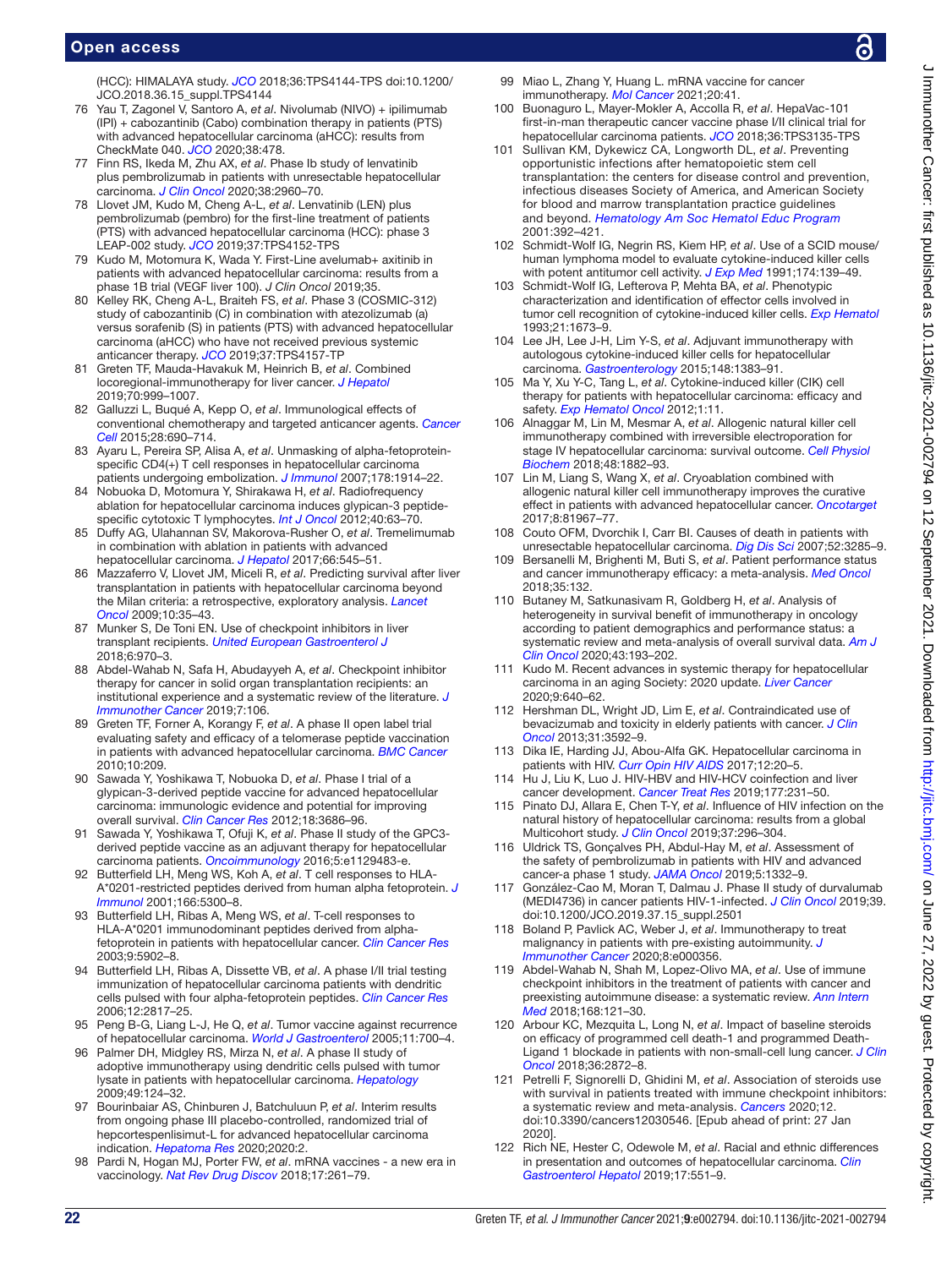(HCC): HIMALAYA study. *[JCO](http://dx.doi.org/10.1200/JCO.2018.36.15_suppl.TPS4144)* 2018;36:TPS4144-TPS doi:10.1200/ JCO.2018.36.15\_suppl.TPS4144

- <span id="page-21-0"></span>76 Yau T, Zagonel V, Santoro A, *et al*. Nivolumab (NIVO) + ipilimumab (IPI) + cabozantinib (Cabo) combination therapy in patients (PTS) with advanced hepatocellular carcinoma (aHCC): results from CheckMate 040. *[JCO](http://dx.doi.org/10.1200/JCO.2020.38.4_suppl.478)* 2020;38:478.
- <span id="page-21-1"></span>77 Finn RS, Ikeda M, Zhu AX, *et al*. Phase Ib study of lenvatinib plus pembrolizumab in patients with unresectable hepatocellular carcinoma. *[J Clin Oncol](http://dx.doi.org/10.1200/JCO.20.00808)* 2020;38:2960–70.
- <span id="page-21-2"></span>78 Llovet JM, Kudo M, Cheng A-L, *et al*. Lenvatinib (LEN) plus pembrolizumab (pembro) for the first-line treatment of patients (PTS) with advanced hepatocellular carcinoma (HCC): phase 3 LEAP-002 study. *[JCO](http://dx.doi.org/10.1200/JCO.2019.37.15_suppl.TPS4152)* 2019;37:TPS4152-TPS
- <span id="page-21-3"></span>79 Kudo M, Motomura K, Wada Y. First-Line avelumab+ axitinib in patients with advanced hepatocellular carcinoma: results from a phase 1B trial (VEGF liver 100). *J Clin Oncol* 2019;35.
- <span id="page-21-4"></span>80 Kelley RK, Cheng A-L, Braiteh FS, *et al*. Phase 3 (COSMIC-312) study of cabozantinib (C) in combination with atezolizumab (a) versus sorafenib (S) in patients (PTS) with advanced hepatocellular carcinoma (aHCC) who have not received previous systemic anticancer therapy. *[JCO](http://dx.doi.org/10.1200/JCO.2019.37.15_suppl.TPS4157)* 2019;37:TPS4157-TP
- <span id="page-21-5"></span>81 Greten TF, Mauda-Havakuk M, Heinrich B, *et al*. Combined locoregional-immunotherapy for liver cancer. *[J Hepatol](http://dx.doi.org/10.1016/j.jhep.2019.01.027)* 2019;70:999–1007.
- <span id="page-21-6"></span>82 Galluzzi L, Buqué A, Kepp O, *et al*. Immunological effects of conventional chemotherapy and targeted anticancer agents. *[Cancer](http://dx.doi.org/10.1016/j.ccell.2015.10.012) [Cell](http://dx.doi.org/10.1016/j.ccell.2015.10.012)* 2015;28:690–714.
- <span id="page-21-7"></span>83 Ayaru L, Pereira SP, Alisa A, *et al*. Unmasking of alpha-fetoproteinspecific CD4(+) T cell responses in hepatocellular carcinoma patients undergoing embolization. *[J Immunol](http://dx.doi.org/10.4049/jimmunol.178.3.1914)* 2007;178:1914–22.
- <span id="page-21-8"></span>84 Nobuoka D, Motomura Y, Shirakawa H, *et al*. Radiofrequency ablation for hepatocellular carcinoma induces glypican-3 peptidespecific cytotoxic T lymphocytes. *[Int J Oncol](http://dx.doi.org/10.3892/ijo.2011.1202)* 2012;40:63–70.
- <span id="page-21-9"></span>85 Duffy AG, Ulahannan SV, Makorova-Rusher O, *et al*. Tremelimumab in combination with ablation in patients with advanced hepatocellular carcinoma. *[J Hepatol](http://dx.doi.org/10.1016/j.jhep.2016.10.029)* 2017;66:545–51.
- <span id="page-21-10"></span>86 Mazzaferro V, Llovet JM, Miceli R, *et al*. Predicting survival after liver transplantation in patients with hepatocellular carcinoma beyond the Milan criteria: a retrospective, exploratory analysis. *[Lancet](http://dx.doi.org/10.1016/S1470-2045(08)70284-5)  [Oncol](http://dx.doi.org/10.1016/S1470-2045(08)70284-5)* 2009;10:35–43.
- <span id="page-21-11"></span>87 Munker S, De Toni EN. Use of checkpoint inhibitors in liver transplant recipients. *[United European Gastroenterol J](http://dx.doi.org/10.1177/2050640618774631)* 2018;6:970–3.
- <span id="page-21-12"></span>88 Abdel-Wahab N, Safa H, Abudayyeh A, *et al*. Checkpoint inhibitor therapy for cancer in solid organ transplantation recipients: an institutional experience and a systematic review of the literature. *[J](http://dx.doi.org/10.1186/s40425-019-0585-1)  [Immunother Cancer](http://dx.doi.org/10.1186/s40425-019-0585-1)* 2019;7:106.
- <span id="page-21-13"></span>89 Greten TF, Forner A, Korangy F, *et al*. A phase II open label trial evaluating safety and efficacy of a telomerase peptide vaccination in patients with advanced hepatocellular carcinoma. *[BMC Cancer](http://dx.doi.org/10.1186/1471-2407-10-209)* 2010;10:209.
- <span id="page-21-14"></span>90 Sawada Y, Yoshikawa T, Nobuoka D, *et al*. Phase I trial of a glypican-3-derived peptide vaccine for advanced hepatocellular carcinoma: immunologic evidence and potential for improving overall survival. *[Clin Cancer Res](http://dx.doi.org/10.1158/1078-0432.CCR-11-3044)* 2012;18:3686–96.
- <span id="page-21-15"></span>91 Sawada Y, Yoshikawa T, Ofuji K, *et al*. Phase II study of the GPC3 derived peptide vaccine as an adjuvant therapy for hepatocellular carcinoma patients. *[Oncoimmunology](http://dx.doi.org/10.1080/2162402X.2015.1129483)* 2016;5:e1129483-e.
- <span id="page-21-16"></span>92 Butterfield LH, Meng WS, Koh A, *et al*. T cell responses to HLA-A\*0201-restricted peptides derived from human alpha fetoprotein. *[J](http://dx.doi.org/10.4049/jimmunol.166.8.5300)  [Immunol](http://dx.doi.org/10.4049/jimmunol.166.8.5300)* 2001;166:5300–8.
- <span id="page-21-17"></span>93 Butterfield LH, Ribas A, Meng WS, *et al*. T-cell responses to HLA-A\*0201 immunodominant peptides derived from alphafetoprotein in patients with hepatocellular cancer. *[Clin Cancer Res](http://www.ncbi.nlm.nih.gov/pubmed/14676113)* 2003;9:5902–8.
- <span id="page-21-18"></span>94 Butterfield LH, Ribas A, Dissette VB, *et al*. A phase I/II trial testing immunization of hepatocellular carcinoma patients with dendritic cells pulsed with four alpha-fetoprotein peptides. *[Clin Cancer Res](http://dx.doi.org/10.1158/1078-0432.CCR-05-2856)* 2006;12:2817–25.
- <span id="page-21-19"></span>95 Peng B-G, Liang L-J, He Q, *et al*. Tumor vaccine against recurrence of hepatocellular carcinoma. *[World J Gastroenterol](http://dx.doi.org/10.3748/wjg.v11.i5.700)* 2005;11:700–4.
- <span id="page-21-20"></span>96 Palmer DH, Midgley RS, Mirza N, *et al*. A phase II study of adoptive immunotherapy using dendritic cells pulsed with tumor lysate in patients with hepatocellular carcinoma. *[Hepatology](http://dx.doi.org/10.1002/hep.22626)* 2009;49:124–32.
- <span id="page-21-21"></span>97 Bourinbaiar AS, Chinburen J, Batchuluun P, *et al*. Interim results from ongoing phase III placebo-controlled, randomized trial of hepcortespenlisimut-L for advanced hepatocellular carcinoma indication. *[Hepatoma Res](http://dx.doi.org/10.20517/2394-5079.2019.25)* 2020;2020:2.
- <span id="page-21-22"></span>Pardi N, Hogan MJ, Porter FW, et al. mRNA vaccines - a new era in vaccinology. *[Nat Rev Drug Discov](http://dx.doi.org/10.1038/nrd.2017.243)* 2018;17:261–79.
- 99 Miao L, Zhang Y, Huang L. mRNA vaccine for cancer immunotherapy. *[Mol Cancer](http://dx.doi.org/10.1186/s12943-021-01335-5)* 2021;20:41.
- <span id="page-21-23"></span>100 Buonaguro L, Mayer-Mokler A, Accolla R, *et al*. HepaVac-101 first-in-man therapeutic cancer vaccine phase I/II clinical trial for hepatocellular carcinoma patients. *[JCO](http://dx.doi.org/10.1200/JCO.2018.36.15_suppl.TPS3135)* 2018;36:TPS3135-TPS
- 101 Sullivan KM, Dykewicz CA, Longworth DL, *et al*. Preventing opportunistic infections after hematopoietic stem cell transplantation: the centers for disease control and prevention, infectious diseases Society of America, and American Society for blood and marrow transplantation practice guidelines and beyond. *[Hematology Am Soc Hematol Educ Program](http://dx.doi.org/10.1182/asheducation-2001.1.392)* 2001:392–421.
- <span id="page-21-24"></span>102 Schmidt-Wolf IG, Negrin RS, Kiem HP, *et al*. Use of a SCID mouse/ human lymphoma model to evaluate cytokine-induced killer cells with potent antitumor cell activity. *[J Exp Med](http://dx.doi.org/10.1084/jem.174.1.139)* 1991;174:139–49.
- 103 Schmidt-Wolf IG, Lefterova P, Mehta BA, *et al*. Phenotypic characterization and identification of effector cells involved in tumor cell recognition of cytokine-induced killer cells. *[Exp Hematol](http://www.ncbi.nlm.nih.gov/pubmed/7694868)* 1993;21:1673–9.
- <span id="page-21-25"></span>104 Lee JH, Lee J-H, Lim Y-S, *et al*. Adjuvant immunotherapy with autologous cytokine-induced killer cells for hepatocellular carcinoma. *[Gastroenterology](http://dx.doi.org/10.1053/j.gastro.2015.02.055)* 2015;148:1383–91.
- <span id="page-21-26"></span>105 Ma Y, Xu Y-C, Tang L, *et al*. Cytokine-induced killer (CIK) cell therapy for patients with hepatocellular carcinoma: efficacy and safety. *[Exp Hematol Oncol](http://dx.doi.org/10.1186/2162-3619-1-11)* 2012;1:11.
- <span id="page-21-27"></span>106 Alnaggar M, Lin M, Mesmar A, *et al*. Allogenic natural killer cell immunotherapy combined with irreversible electroporation for stage IV hepatocellular carcinoma: survival outcome. *[Cell Physiol](http://dx.doi.org/10.1159/000492509)  [Biochem](http://dx.doi.org/10.1159/000492509)* 2018;48:1882–93.
- <span id="page-21-28"></span>107 Lin M, Liang S, Wang X, *et al*. Cryoablation combined with allogenic natural killer cell immunotherapy improves the curative effect in patients with advanced hepatocellular cancer. *[Oncotarget](http://dx.doi.org/10.18632/oncotarget.17804)* 2017;8:81967–77.
- <span id="page-21-29"></span>108 Couto OFM, Dvorchik I, Carr BI. Causes of death in patients with unresectable hepatocellular carcinoma. *[Dig Dis Sci](http://dx.doi.org/10.1007/s10620-007-9750-3)* 2007;52:3285–9.
- <span id="page-21-30"></span>109 Bersanelli M, Brighenti M, Buti S, *et al*. Patient performance status and cancer immunotherapy efficacy: a meta-analysis. *[Med Oncol](http://dx.doi.org/10.1007/s12032-018-1194-4)* 2018;35:132.
- 110 Butaney M, Satkunasivam R, Goldberg H, *et al*. Analysis of heterogeneity in survival benefit of immunotherapy in oncology according to patient demographics and performance status: a systematic review and meta-analysis of overall survival data. *[Am J](http://dx.doi.org/10.1097/COC.0000000000000650)  [Clin Oncol](http://dx.doi.org/10.1097/COC.0000000000000650)* 2020;43:193–202.
- <span id="page-21-31"></span>111 Kudo M. Recent advances in systemic therapy for hepatocellular carcinoma in an aging Society: 2020 update. *[Liver Cancer](http://dx.doi.org/10.1159/000511001)* 2020;9:640–62.
- <span id="page-21-32"></span>112 Hershman DL, Wright JD, Lim E, *et al*. Contraindicated use of bevacizumab and toxicity in elderly patients with cancer. *[J Clin](http://dx.doi.org/10.1200/JCO.2012.48.4857)  [Oncol](http://dx.doi.org/10.1200/JCO.2012.48.4857)* 2013;31:3592–9.
- <span id="page-21-33"></span>113 Dika IE, Harding JJ, Abou-Alfa GK. Hepatocellular carcinoma in patients with HIV. *[Curr Opin HIV AIDS](http://dx.doi.org/10.1097/COH.0000000000000335)* 2017;12:20–5.
- 114 Hu J, Liu K, Luo J. HIV-HBV and HIV-HCV coinfection and liver cancer development. *[Cancer Treat Res](http://dx.doi.org/10.1007/978-3-030-03502-0_9)* 2019;177:231–50.
- <span id="page-21-34"></span>115 Pinato DJ, Allara E, Chen T-Y, *et al*. Influence of HIV infection on the natural history of hepatocellular carcinoma: results from a global Multicohort study. *[J Clin Oncol](http://dx.doi.org/10.1200/JCO.18.00885)* 2019;37:296–304.
- <span id="page-21-35"></span>116 Uldrick TS, Gonçalves PH, Abdul-Hay M, *et al*. Assessment of the safety of pembrolizumab in patients with HIV and advanced cancer-a phase 1 study. *[JAMA Oncol](http://dx.doi.org/10.1001/jamaoncol.2019.2244)* 2019;5:1332–9.
- 117 González-Cao M, Moran T, Dalmau J. Phase II study of durvalumab (MEDI4736) in cancer patients HIV-1-infected. *[J Clin Oncol](http://dx.doi.org/10.1200/JCO.2019.37.15_suppl.2501)* 2019;39. doi:10.1200/JCO.2019.37.15\_suppl.2501
- <span id="page-21-36"></span>118 Boland P, Pavlick AC, Weber J, *et al*. Immunotherapy to treat malignancy in patients with pre-existing autoimmunity. *[J](http://dx.doi.org/10.1136/jitc-2019-000356)  [Immunother Cancer](http://dx.doi.org/10.1136/jitc-2019-000356)* 2020;8:e000356.
- <span id="page-21-37"></span>119 Abdel-Wahab N, Shah M, Lopez-Olivo MA, *et al*. Use of immune checkpoint inhibitors in the treatment of patients with cancer and preexisting autoimmune disease: a systematic review. *[Ann Intern](http://dx.doi.org/10.7326/M17-2073)  [Med](http://dx.doi.org/10.7326/M17-2073)* 2018;168:121–30.
- <span id="page-21-38"></span>120 Arbour KC, Mezquita L, Long N, *et al*. Impact of baseline steroids on efficacy of programmed cell death-1 and programmed Death-Ligand 1 blockade in patients with non-small-cell lung cancer. *[J Clin](http://dx.doi.org/10.1200/JCO.2018.79.0006) [Oncol](http://dx.doi.org/10.1200/JCO.2018.79.0006)* 2018;36:2872–8.
- 121 Petrelli F, Signorelli D, Ghidini M, *et al*. Association of steroids use with survival in patients treated with immune checkpoint inhibitors: a systematic review and meta-analysis. *[Cancers](http://dx.doi.org/10.3390/cancers12030546)* 2020;12. doi:10.3390/cancers12030546. [Epub ahead of print: 27 Jan 2020].
- <span id="page-21-39"></span>122 Rich NE, Hester C, Odewole M, *et al*. Racial and ethnic differences in presentation and outcomes of hepatocellular carcinoma. *[Clin](http://dx.doi.org/10.1016/j.cgh.2018.05.039)  [Gastroenterol Hepatol](http://dx.doi.org/10.1016/j.cgh.2018.05.039)* 2019;17:551–9.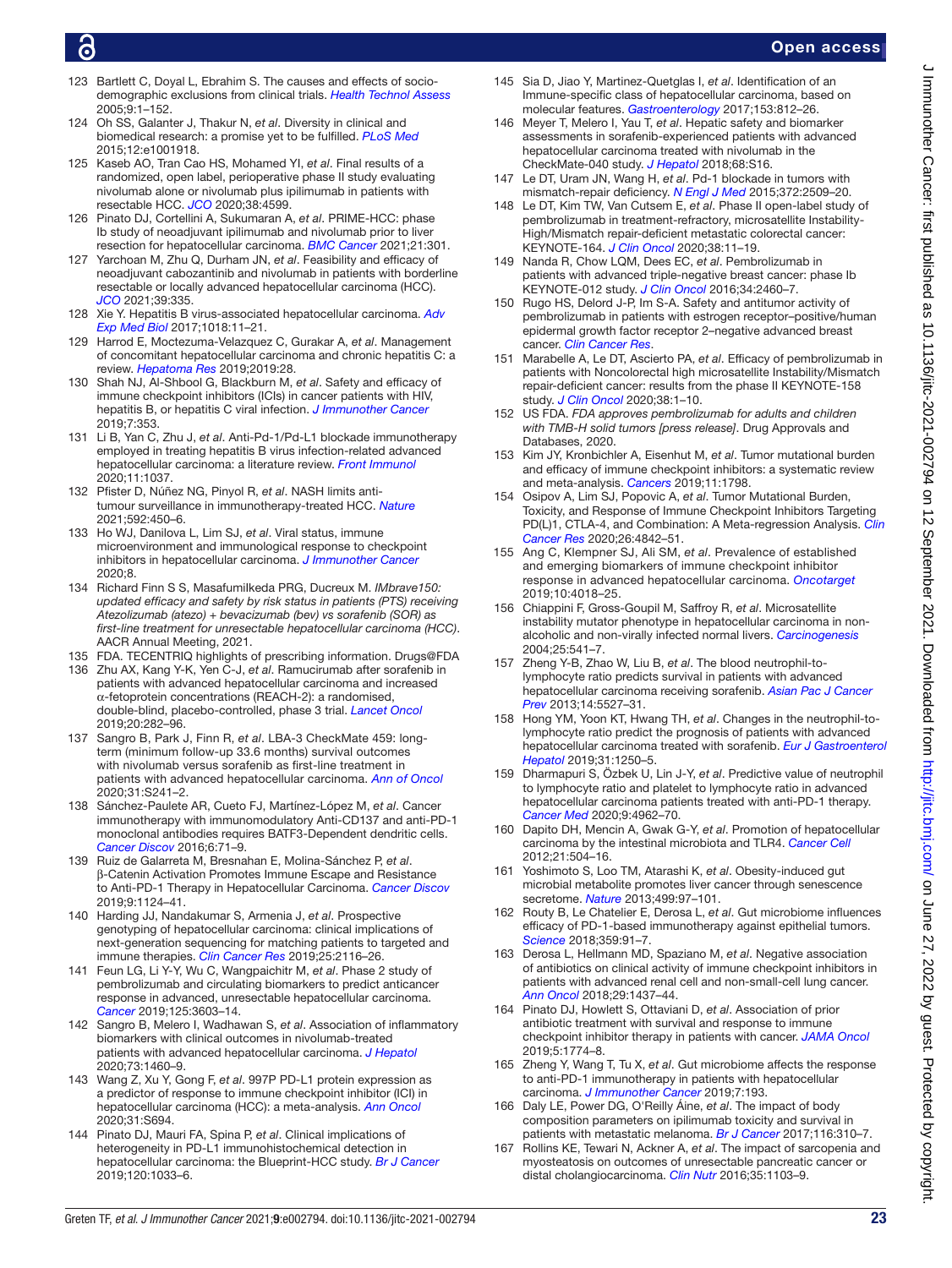- <span id="page-22-0"></span>123 Bartlett C, Doyal L, Ebrahim S. The causes and effects of sociodemographic exclusions from clinical trials. *[Health Technol Assess](http://dx.doi.org/10.3310/hta9380)* 2005;9:1–152.
- <span id="page-22-1"></span>124 Oh SS, Galanter J, Thakur N, *et al*. Diversity in clinical and biomedical research: a promise yet to be fulfilled. *[PLoS Med](http://dx.doi.org/10.1371/journal.pmed.1001918)* 2015;12:e1001918.
- <span id="page-22-2"></span>125 Kaseb AO, Tran Cao HS, Mohamed YI, *et al*. Final results of a randomized, open label, perioperative phase II study evaluating nivolumab alone or nivolumab plus ipilimumab in patients with resectable HCC. *[JCO](http://dx.doi.org/10.1200/JCO.2020.38.15_suppl.4599)* 2020;38:4599.
- <span id="page-22-3"></span>126 Pinato DJ, Cortellini A, Sukumaran A, *et al*. PRIME-HCC: phase Ib study of neoadjuvant ipilimumab and nivolumab prior to liver resection for hepatocellular carcinoma. *[BMC Cancer](http://dx.doi.org/10.1186/s12885-021-08033-x)* 2021;21:301.
- <span id="page-22-4"></span>127 Yarchoan M, Zhu Q, Durham JN, *et al*. Feasibility and efficacy of neoadjuvant cabozantinib and nivolumab in patients with borderline resectable or locally advanced hepatocellular carcinoma (HCC). *[JCO](http://dx.doi.org/10.1200/JCO.2021.39.3_suppl.335)* 2021;39:335.
- <span id="page-22-5"></span>128 Xie Y. Hepatitis B virus-associated hepatocellular carcinoma. *[Adv](http://dx.doi.org/10.1007/978-981-10-5765-6_2)  [Exp Med Biol](http://dx.doi.org/10.1007/978-981-10-5765-6_2)* 2017;1018:11–21.
- <span id="page-22-6"></span>129 Harrod E, Moctezuma-Velazquez C, Gurakar A, *et al*. Management of concomitant hepatocellular carcinoma and chronic hepatitis C: a review. *[Hepatoma Res](http://dx.doi.org/10.20517/2394-5079.2019.15)* 2019;2019:28.
- <span id="page-22-7"></span>130 Shah NJ, Al-Shbool G, Blackburn M, *et al*. Safety and efficacy of immune checkpoint inhibitors (ICIs) in cancer patients with HIV, hepatitis B, or hepatitis C viral infection. *[J Immunother Cancer](http://dx.doi.org/10.1186/s40425-019-0771-1)* 2019;7:353.
- <span id="page-22-8"></span>131 Li B, Yan C, Zhu J, *et al*. Anti-Pd-1/Pd-L1 blockade immunotherapy employed in treating hepatitis B virus infection-related advanced hepatocellular carcinoma: a literature review. *[Front Immunol](http://dx.doi.org/10.3389/fimmu.2020.01037)* 2020;11:1037.
- <span id="page-22-9"></span>132 Pfister D, Núñez NG, Pinyol R, *et al*. NASH limits antitumour surveillance in immunotherapy-treated HCC. *[Nature](http://dx.doi.org/10.1038/s41586-021-03362-0)* 2021;592:450–6.
- <span id="page-22-10"></span>133 Ho WJ, Danilova L, Lim SJ, *et al*. Viral status, immune microenvironment and immunological response to checkpoint inhibitors in hepatocellular carcinoma. *[J Immunother Cancer](http://dx.doi.org/10.1136/jitc-2019-000394)* 2020;8.
- <span id="page-22-11"></span>134 Richard Finn S S, MasafumiIkeda PRG, Ducreux M. *IMbrave150: updated efficacy and safety by risk status in patients (PTS) receiving Atezolizumab (atezo) + bevacizumab (bev) vs sorafenib (SOR) as first-line treatment for unresectable hepatocellular carcinoma (HCC)*. AACR Annual Meeting, 2021.
- <span id="page-22-12"></span>135 FDA. TECENTRIQ highlights of prescribing information. Drugs@FDA
- <span id="page-22-13"></span>136 Zhu AX, Kang Y-K, Yen C-J, *et al*. Ramucirumab after sorafenib in patients with advanced hepatocellular carcinoma and increased α-fetoprotein concentrations (REACH-2): a randomised, double-blind, placebo-controlled, phase 3 trial. *[Lancet Oncol](http://dx.doi.org/10.1016/S1470-2045(18)30937-9)* 2019;20:282–96.
- <span id="page-22-14"></span>137 Sangro B, Park J, Finn R, *et al*. LBA-3 CheckMate 459: longterm (minimum follow-up 33.6 months) survival outcomes with nivolumab versus sorafenib as first-line treatment in patients with advanced hepatocellular carcinoma. *[Ann of Oncol](http://dx.doi.org/10.1016/j.annonc.2020.04.078)* 2020;31:S241–2.
- <span id="page-22-15"></span>138 Sánchez-Paulete AR, Cueto FJ, Martínez-López M, *et al*. Cancer immunotherapy with immunomodulatory Anti-CD137 and anti-PD-1 monoclonal antibodies requires BATF3-Dependent dendritic cells. *[Cancer Discov](http://dx.doi.org/10.1158/2159-8290.CD-15-0510)* 2016;6:71–9.
- <span id="page-22-16"></span>139 Ruiz de Galarreta M, Bresnahan E, Molina-Sánchez P, *et al*. β-Catenin Activation Promotes Immune Escape and Resistance to Anti-PD-1 Therapy in Hepatocellular Carcinoma. *[Cancer Discov](http://dx.doi.org/10.1158/2159-8290.CD-19-0074)* 2019;9:1124–41.
- <span id="page-22-17"></span>140 Harding JJ, Nandakumar S, Armenia J, *et al*. Prospective genotyping of hepatocellular carcinoma: clinical implications of next-generation sequencing for matching patients to targeted and immune therapies. *[Clin Cancer Res](http://dx.doi.org/10.1158/1078-0432.CCR-18-2293)* 2019;25:2116–26.
- <span id="page-22-18"></span>141 Feun LG, Li Y-Y, Wu C, Wangpaichitr M, *et al*. Phase 2 study of pembrolizumab and circulating biomarkers to predict anticancer response in advanced, unresectable hepatocellular carcinoma. *[Cancer](http://dx.doi.org/10.1002/cncr.32339)* 2019;125:3603–14.
- <span id="page-22-19"></span>142 Sangro B, Melero I, Wadhawan S, *et al*. Association of inflammatory biomarkers with clinical outcomes in nivolumab-treated patients with advanced hepatocellular carcinoma. *[J Hepatol](http://dx.doi.org/10.1016/j.jhep.2020.07.026)* 2020;73:1460–9.
- <span id="page-22-20"></span>143 Wang Z, Xu Y, Gong F, *et al*. 997P PD-L1 protein expression as a predictor of response to immune checkpoint inhibitor (ICI) in hepatocellular carcinoma (HCC): a meta-analysis. *[Ann Oncol](http://dx.doi.org/10.1016/j.annonc.2020.08.1113)* 2020;31:S694.
- <span id="page-22-21"></span>144 Pinato DJ, Mauri FA, Spina P, *et al*. Clinical implications of heterogeneity in PD-L1 immunohistochemical detection in hepatocellular carcinoma: the Blueprint-HCC study. *[Br J Cancer](http://dx.doi.org/10.1038/s41416-019-0466-x)* 2019;120:1033–6.
- <span id="page-22-22"></span>145 Sia D, Jiao Y, Martinez-Quetglas I, *et al*. Identification of an Immune-specific class of hepatocellular carcinoma, based on molecular features. *[Gastroenterology](http://dx.doi.org/10.1053/j.gastro.2017.06.007)* 2017;153:812–26.
- <span id="page-22-23"></span>146 Meyer T, Melero I, Yau T, *et al*. Hepatic safety and biomarker assessments in sorafenib-experienced patients with advanced hepatocellular carcinoma treated with nivolumab in the CheckMate-040 study. *[J Hepatol](http://dx.doi.org/10.1016/S0168-8278(18)30249-6)* 2018;68:S16.
- <span id="page-22-24"></span>147 Le DT, Uram JN, Wang H, *et al*. Pd-1 blockade in tumors with mismatch-repair deficiency. *[N Engl J Med](http://dx.doi.org/10.1056/NEJMoa1500596)* 2015;372:2509–20.
- <span id="page-22-25"></span>148 Le DT, Kim TW, Van Cutsem E, *et al*. Phase II open-label study of pembrolizumab in treatment-refractory, microsatellite Instability-High/Mismatch repair-deficient metastatic colorectal cancer: KEYNOTE-164. *[J Clin Oncol](http://dx.doi.org/10.1200/JCO.19.02107)* 2020;38:11–19.
- <span id="page-22-26"></span>149 Nanda R, Chow LQM, Dees EC, *et al*. Pembrolizumab in patients with advanced triple-negative breast cancer: phase Ib KEYNOTE-012 study. *[J Clin Oncol](http://dx.doi.org/10.1200/JCO.2015.64.8931)* 2016;34:2460–7.
- <span id="page-22-27"></span>150 Rugo HS, Delord J-P, Im S-A. Safety and antitumor activity of pembrolizumab in patients with estrogen receptor–positive/human epidermal growth factor receptor 2–negative advanced breast cancer. *[Clin Cancer Res](http://dx.doi.org/10.1158/1078-0432.CCR-17-3452)*.
- <span id="page-22-28"></span>151 Marabelle A, Le DT, Ascierto PA, *et al*. Efficacy of pembrolizumab in patients with Noncolorectal high microsatellite Instability/Mismatch repair-deficient cancer: results from the phase II KEYNOTE-158 study. *[J Clin Oncol](http://dx.doi.org/10.1200/JCO.19.02105)* 2020;38:1–10.
- <span id="page-22-29"></span>152 US FDA. *FDA approves pembrolizumab for adults and children with TMB-H solid tumors [press release]*. Drug Approvals and Databases, 2020.
- <span id="page-22-30"></span>153 Kim JY, Kronbichler A, Eisenhut M, *et al*. Tumor mutational burden and efficacy of immune checkpoint inhibitors: a systematic review and meta-analysis. *[Cancers](http://dx.doi.org/10.3390/cancers11111798)* 2019;11:1798.
- 154 Osipov A, Lim SJ, Popovic A, *et al*. Tumor Mutational Burden, Toxicity, and Response of Immune Checkpoint Inhibitors Targeting PD(L)1, CTLA-4, and Combination: A Meta-regression Analysis. *[Clin](http://dx.doi.org/10.1158/1078-0432.CCR-20-0458)  [Cancer Res](http://dx.doi.org/10.1158/1078-0432.CCR-20-0458)* 2020;26:4842–51.
- <span id="page-22-31"></span>155 Ang C, Klempner SJ, Ali SM, *et al*. Prevalence of established and emerging biomarkers of immune checkpoint inhibitor response in advanced hepatocellular carcinoma. *[Oncotarget](http://dx.doi.org/10.18632/oncotarget.26998)* 2019;10:4018–25.
- <span id="page-22-32"></span>156 Chiappini F, Gross-Goupil M, Saffroy R, *et al*. Microsatellite instability mutator phenotype in hepatocellular carcinoma in nonalcoholic and non-virally infected normal livers. *[Carcinogenesis](http://dx.doi.org/10.1093/carcin/bgh035)* 2004;25:541–7.
- <span id="page-22-33"></span>157 Zheng Y-B, Zhao W, Liu B, *et al*. The blood neutrophil-tolymphocyte ratio predicts survival in patients with advanced hepatocellular carcinoma receiving sorafenib. *[Asian Pac J Cancer](http://dx.doi.org/10.7314/apjcp.2013.14.9.5527)  [Prev](http://dx.doi.org/10.7314/apjcp.2013.14.9.5527)* 2013;14:5527–31.
- 158 Hong YM, Yoon KT, Hwang TH, *et al*. Changes in the neutrophil-tolymphocyte ratio predict the prognosis of patients with advanced hepatocellular carcinoma treated with sorafenib. *[Eur J Gastroenterol](http://dx.doi.org/10.1097/MEG.0000000000001405) [Hepatol](http://dx.doi.org/10.1097/MEG.0000000000001405)* 2019;31:1250–5.
- <span id="page-22-34"></span>159 Dharmapuri S, Özbek U, Lin J-Y, *et al*. Predictive value of neutrophil to lymphocyte ratio and platelet to lymphocyte ratio in advanced hepatocellular carcinoma patients treated with anti-PD-1 therapy. *[Cancer Med](http://dx.doi.org/10.1002/cam4.3135)* 2020;9:4962–70.
- <span id="page-22-35"></span>160 Dapito DH, Mencin A, Gwak G-Y, *et al*. Promotion of hepatocellular carcinoma by the intestinal microbiota and TLR4. *[Cancer Cell](http://dx.doi.org/10.1016/j.ccr.2012.02.007)* 2012;21:504–16.
- 161 Yoshimoto S, Loo TM, Atarashi K, *et al*. Obesity-induced gut microbial metabolite promotes liver cancer through senescence secretome. *[Nature](http://dx.doi.org/10.1038/nature12347)* 2013;499:97–101.
- <span id="page-22-36"></span>162 Routy B, Le Chatelier E, Derosa L, *et al*. Gut microbiome influences efficacy of PD-1-based immunotherapy against epithelial tumors. *[Science](http://dx.doi.org/10.1126/science.aan3706)* 2018;359:91–7.
- <span id="page-22-37"></span>163 Derosa L, Hellmann MD, Spaziano M, *et al*. Negative association of antibiotics on clinical activity of immune checkpoint inhibitors in patients with advanced renal cell and non-small-cell lung cancer. *[Ann Oncol](http://dx.doi.org/10.1093/annonc/mdy103)* 2018;29:1437–44.
- <span id="page-22-38"></span>164 Pinato DJ, Howlett S, Ottaviani D, *et al*. Association of prior antibiotic treatment with survival and response to immune checkpoint inhibitor therapy in patients with cancer. *[JAMA Oncol](http://dx.doi.org/10.1001/jamaoncol.2019.2785)* 2019;5:1774–8.
- <span id="page-22-39"></span>165 Zheng Y, Wang T, Tu X, *et al*. Gut microbiome affects the response to anti-PD-1 immunotherapy in patients with hepatocellular carcinoma. *[J Immunother Cancer](http://dx.doi.org/10.1186/s40425-019-0650-9)* 2019;7:193.
- <span id="page-22-40"></span>166 Daly LE, Power DG, O'Reilly Áine, *et al*. The impact of body composition parameters on ipilimumab toxicity and survival in patients with metastatic melanoma. *[Br J Cancer](http://dx.doi.org/10.1038/bjc.2016.431)* 2017;116:310–7.
- 167 Rollins KE, Tewari N, Ackner A, *et al*. The impact of sarcopenia and myosteatosis on outcomes of unresectable pancreatic cancer or distal cholangiocarcinoma. *[Clin Nutr](http://dx.doi.org/10.1016/j.clnu.2015.08.005)* 2016;35:1103–9.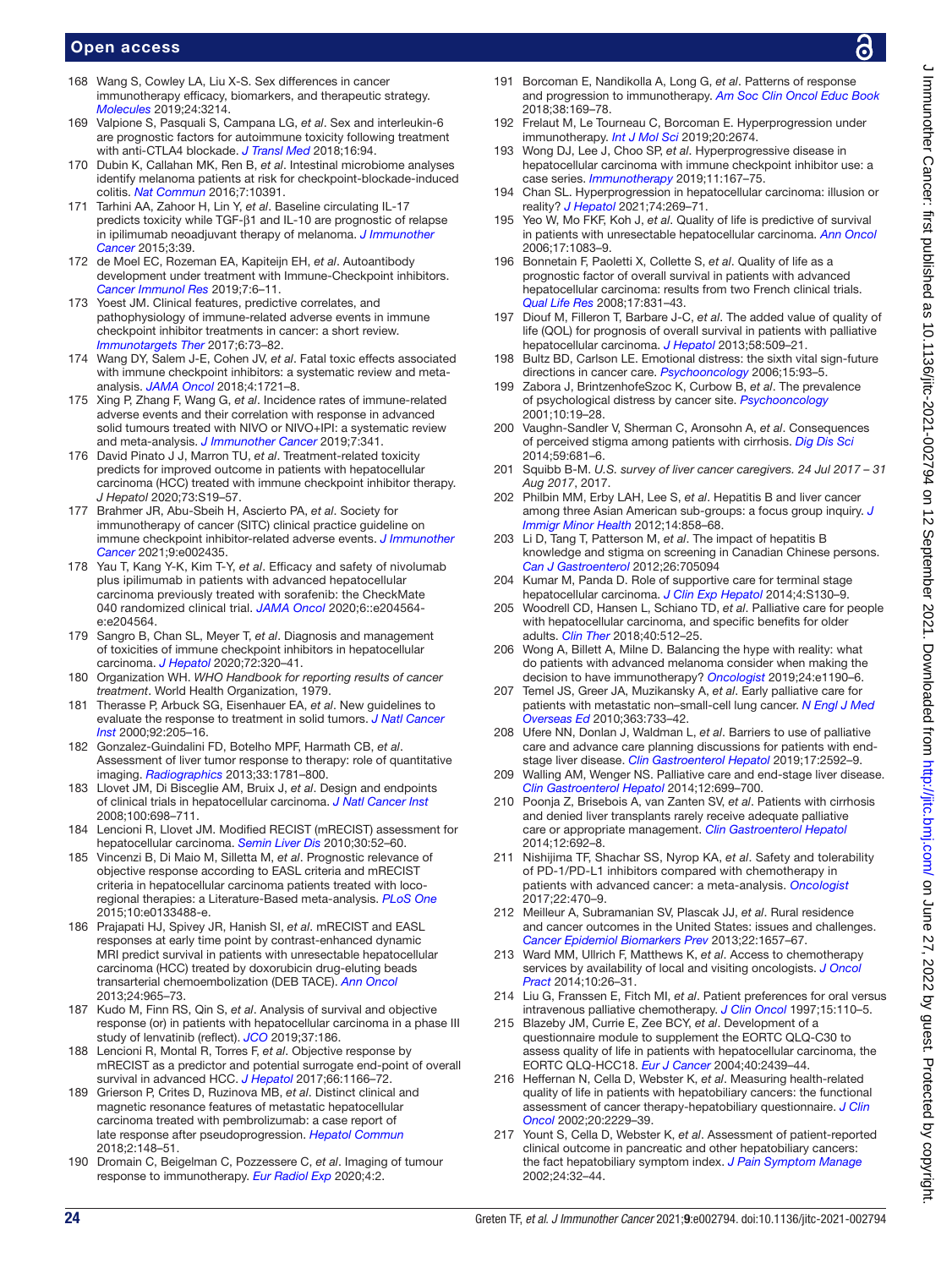- <span id="page-23-0"></span>168 Wang S, Cowley LA, Liu X-S. Sex differences in cancer immunotherapy efficacy, biomarkers, and therapeutic strategy. *[Molecules](http://dx.doi.org/10.3390/molecules24183214)* 2019;24:3214.
- <span id="page-23-2"></span>169 Valpione S, Pasquali S, Campana LG, *et al*. Sex and interleukin-6 are prognostic factors for autoimmune toxicity following treatment with anti-CTLA4 blockade. *[J Transl Med](http://dx.doi.org/10.1186/s12967-018-1467-x)* 2018;16:94.
- <span id="page-23-1"></span>170 Dubin K, Callahan MK, Ren B, *et al*. Intestinal microbiome analyses identify melanoma patients at risk for checkpoint-blockade-induced colitis. *[Nat Commun](http://dx.doi.org/10.1038/ncomms10391)* 2016;7:10391.
- <span id="page-23-3"></span>171 Tarhini AA, Zahoor H, Lin Y, *et al*. Baseline circulating IL-17 predicts toxicity while TGF-β1 and IL-10 are prognostic of relapse in ipilimumab neoadjuvant therapy of melanoma. *[J Immunother](http://dx.doi.org/10.1186/s40425-015-0081-1)  [Cancer](http://dx.doi.org/10.1186/s40425-015-0081-1)* 2015;3:39.
- <span id="page-23-4"></span>172 de Moel EC, Rozeman EA, Kapiteijn EH, *et al*. Autoantibody development under treatment with Immune-Checkpoint inhibitors. *[Cancer Immunol Res](http://dx.doi.org/10.1158/2326-6066.CIR-18-0245)* 2019;7:6–11.
- 173 Yoest JM. Clinical features, predictive correlates, and pathophysiology of immune-related adverse events in immune checkpoint inhibitor treatments in cancer: a short review. *[Immunotargets Ther](http://dx.doi.org/10.2147/ITT.S126227)* 2017;6:73–82.
- <span id="page-23-5"></span>174 Wang DY, Salem J-E, Cohen JV, *et al*. Fatal toxic effects associated with immune checkpoint inhibitors: a systematic review and metaanalysis. *[JAMA Oncol](http://dx.doi.org/10.1001/jamaoncol.2018.3923)* 2018;4:1721–8.
- <span id="page-23-6"></span>175 Xing P, Zhang F, Wang G, *et al*. Incidence rates of immune-related adverse events and their correlation with response in advanced solid tumours treated with NIVO or NIVO+IPI: a systematic review and meta-analysis. *[J Immunother Cancer](http://dx.doi.org/10.1186/s40425-019-0779-6)* 2019;7:341.
- <span id="page-23-7"></span>176 David Pinato J J, Marron TU, *et al*. Treatment-related toxicity predicts for improved outcome in patients with hepatocellular carcinoma (HCC) treated with immune checkpoint inhibitor therapy. *J Hepatol* 2020;73:S19–57.
- <span id="page-23-8"></span>177 Brahmer JR, Abu-Sbeih H, Ascierto PA, *et al*. Society for immunotherapy of cancer (SITC) clinical practice guideline on immune checkpoint inhibitor-related adverse events. *[J Immunother](http://dx.doi.org/10.1136/jitc-2021-002435)  [Cancer](http://dx.doi.org/10.1136/jitc-2021-002435)* 2021;9:e002435.
- <span id="page-23-9"></span>178 Yau T, Kang Y-K, Kim T-Y, *et al*. Efficacy and safety of nivolumab plus ipilimumab in patients with advanced hepatocellular carcinoma previously treated with sorafenib: the CheckMate 040 randomized clinical trial. *[JAMA Oncol](http://dx.doi.org/10.1001/jamaoncol.2020.4564)* 2020;6::e204564 e:e204564.
- <span id="page-23-10"></span>179 Sangro B, Chan SL, Meyer T, *et al*. Diagnosis and management of toxicities of immune checkpoint inhibitors in hepatocellular carcinoma. *[J Hepatol](http://dx.doi.org/10.1016/j.jhep.2019.10.021)* 2020;72:320–41.
- <span id="page-23-11"></span>180 Organization WH. *WHO Handbook for reporting results of cancer treatment*. World Health Organization, 1979.
- <span id="page-23-12"></span>181 Therasse P, Arbuck SG, Eisenhauer EA, *et al*. New guidelines to evaluate the response to treatment in solid tumors. *[J Natl Cancer](http://dx.doi.org/10.1093/jnci/92.3.205)  [Inst](http://dx.doi.org/10.1093/jnci/92.3.205)* 2000;92:205–16.
- <span id="page-23-13"></span>182 Gonzalez-Guindalini FD, Botelho MPF, Harmath CB, *et al*. Assessment of liver tumor response to therapy: role of quantitative imaging. *[Radiographics](http://dx.doi.org/10.1148/rg.336135511)* 2013;33:1781–800.
- <span id="page-23-14"></span>183 Llovet JM, Di Bisceglie AM, Bruix J, *et al*. Design and endpoints of clinical trials in hepatocellular carcinoma. *[J Natl Cancer Inst](http://dx.doi.org/10.1093/jnci/djn134)* 2008;100:698–711.
- <span id="page-23-15"></span>184 Lencioni R, Llovet JM. Modified RECIST (mRECIST) assessment for hepatocellular carcinoma. *[Semin Liver Dis](http://dx.doi.org/10.1055/s-0030-1247132)* 2010;30:52–60.
- <span id="page-23-16"></span>185 Vincenzi B, Di Maio M, Silletta M, *et al*. Prognostic relevance of objective response according to EASL criteria and mRECIST criteria in hepatocellular carcinoma patients treated with locoregional therapies: a Literature-Based meta-analysis. *[PLoS One](http://dx.doi.org/10.1371/journal.pone.0133488)* 2015;10:e0133488-e.
- <span id="page-23-17"></span>186 Prajapati HJ, Spivey JR, Hanish SI, *et al*. mRECIST and EASL responses at early time point by contrast-enhanced dynamic MRI predict survival in patients with unresectable hepatocellular carcinoma (HCC) treated by doxorubicin drug-eluting beads transarterial chemoembolization (DEB TACE). *[Ann Oncol](http://dx.doi.org/10.1093/annonc/mds605)* 2013;24:965–73.
- <span id="page-23-18"></span>187 Kudo M, Finn RS, Qin S, *et al*. Analysis of survival and objective response (or) in patients with hepatocellular carcinoma in a phase III study of lenvatinib (reflect). *[JCO](http://dx.doi.org/10.1200/JCO.2019.37.4_suppl.186)* 2019;37:186.
- 188 Lencioni R, Montal R, Torres F, *et al*. Objective response by mRECIST as a predictor and potential surrogate end-point of overall survival in advanced HCC. *[J Hepatol](http://dx.doi.org/10.1016/j.jhep.2017.01.012)* 2017;66:1166–72.
- <span id="page-23-19"></span>189 Grierson P, Crites D, Ruzinova MB, *et al*. Distinct clinical and magnetic resonance features of metastatic hepatocellular carcinoma treated with pembrolizumab: a case report of late response after pseudoprogression. *[Hepatol Commun](http://dx.doi.org/10.1002/hep4.1132)* 2018;2:148–51.
- <span id="page-23-20"></span>190 Dromain C, Beigelman C, Pozzessere C, *et al*. Imaging of tumour response to immunotherapy. *[Eur Radiol Exp](http://dx.doi.org/10.1186/s41747-019-0134-1)* 2020;4:2.
- <span id="page-23-21"></span>191 Borcoman E, Nandikolla A, Long G, *et al*. Patterns of response and progression to immunotherapy. *[Am Soc Clin Oncol Educ Book](http://dx.doi.org/10.1200/EDBK_200643)* 2018;38:169–78.
- 192 Frelaut M, Le Tourneau C, Borcoman E. Hyperprogression under immunotherapy. *[Int J Mol Sci](http://dx.doi.org/10.3390/ijms20112674)* 2019;20:2674.
- <span id="page-23-22"></span>193 Wong DJ, Lee J, Choo SP, *et al*. Hyperprogressive disease in hepatocellular carcinoma with immune checkpoint inhibitor use: a case series. *[Immunotherapy](http://dx.doi.org/10.2217/imt-2018-0126)* 2019;11:167–75.
- <span id="page-23-23"></span>194 Chan SL. Hyperprogression in hepatocellular carcinoma: illusion or reality? *[J Hepatol](http://dx.doi.org/10.1016/j.jhep.2020.09.025)* 2021;74:269–71.
- <span id="page-23-24"></span>195 Yeo W, Mo FKF, Koh J, *et al*. Quality of life is predictive of survival in patients with unresectable hepatocellular carcinoma. *[Ann Oncol](http://dx.doi.org/10.1093/annonc/mdl065)* 2006;17:1083–9.
- 196 Bonnetain F, Paoletti X, Collette S, *et al*. Quality of life as a prognostic factor of overall survival in patients with advanced hepatocellular carcinoma: results from two French clinical trials. *[Qual Life Res](http://dx.doi.org/10.1007/s11136-008-9365-y)* 2008;17:831–43.
- 197 Diouf M, Filleron T, Barbare J-C, *et al*. The added value of quality of life (QOL) for prognosis of overall survival in patients with palliative hepatocellular carcinoma. *[J Hepatol](http://dx.doi.org/10.1016/j.jhep.2012.11.019)* 2013;58:509–21.
- <span id="page-23-25"></span>198 Bultz BD, Carlson LE. Emotional distress: the sixth vital sign-future directions in cancer care. *[Psychooncology](http://dx.doi.org/10.1002/pon.1022)* 2006;15:93–5.
- <span id="page-23-26"></span>199 Zabora J, BrintzenhofeSzoc K, Curbow B, *et al*. The prevalence of psychological distress by cancer site. *[Psychooncology](http://dx.doi.org/10.1002/1099-1611(200101/02)10:1<19::AID-PON501>3.0.CO;2-6)* 2001;10:19–28.
- <span id="page-23-27"></span>200 Vaughn-Sandler V, Sherman C, Aronsohn A, *et al*. Consequences of perceived stigma among patients with cirrhosis. *[Dig Dis Sci](http://dx.doi.org/10.1007/s10620-013-2942-0)* 2014;59:681–6.
- <span id="page-23-28"></span>201 Squibb B-M. *U.S. survey of liver cancer caregivers. 24 Jul 2017 – 31 Aug 2017*, 2017.
- <span id="page-23-29"></span>202 Philbin MM, Erby LAH, Lee S, *et al*. Hepatitis B and liver cancer among three Asian American sub-groups: a focus group inquiry. *[J](http://dx.doi.org/10.1007/s10903-011-9523-0)  [Immigr Minor Health](http://dx.doi.org/10.1007/s10903-011-9523-0)* 2012;14:858–68.
- 203 Li D, Tang T, Patterson M, *et al*. The impact of hepatitis B knowledge and stigma on screening in Canadian Chinese persons. *[Can J Gastroenterol](http://dx.doi.org/10.1155/2012/705094)* 2012;26:705094
- <span id="page-23-30"></span>204 Kumar M, Panda D. Role of supportive care for terminal stage hepatocellular carcinoma. *[J Clin Exp Hepatol](http://dx.doi.org/10.1016/j.jceh.2014.03.049)* 2014;4:S130–9.
- <span id="page-23-31"></span>205 Woodrell CD, Hansen L, Schiano TD, *et al*. Palliative care for people with hepatocellular carcinoma, and specific benefits for older adults. *[Clin Ther](http://dx.doi.org/10.1016/j.clinthera.2018.02.017)* 2018;40:512–25.
- <span id="page-23-32"></span>206 Wong A, Billett A, Milne D. Balancing the hype with reality: what do patients with advanced melanoma consider when making the decision to have immunotherapy? *[Oncologist](http://dx.doi.org/10.1634/theoncologist.2018-0820)* 2019;24:e1190–6.
- <span id="page-23-33"></span>207 Temel JS, Greer JA, Muzikansky A, *et al*. Early palliative care for patients with metastatic non–small-cell lung cancer. *[N Engl J Med](http://dx.doi.org/10.1056/NEJMoa1000678)  [Overseas Ed](http://dx.doi.org/10.1056/NEJMoa1000678)* 2010;363:733–42.
- <span id="page-23-34"></span>208 Ufere NN, Donlan J, Waldman L, *et al*. Barriers to use of palliative care and advance care planning discussions for patients with endstage liver disease. *[Clin Gastroenterol Hepatol](http://dx.doi.org/10.1016/j.cgh.2019.03.022)* 2019;17:2592–9.
- 209 Walling AM, Wenger NS. Palliative care and end-stage liver disease. *[Clin Gastroenterol Hepatol](http://dx.doi.org/10.1016/j.cgh.2013.11.010)* 2014;12:699–700.
- <span id="page-23-35"></span>210 Poonja Z, Brisebois A, van Zanten SV, *et al*. Patients with cirrhosis and denied liver transplants rarely receive adequate palliative care or appropriate management. *[Clin Gastroenterol Hepatol](http://dx.doi.org/10.1016/j.cgh.2013.08.027)* 2014;12:692–8.
- <span id="page-23-36"></span>211 Nishijima TF, Shachar SS, Nyrop KA, *et al*. Safety and tolerability of PD-1/PD-L1 inhibitors compared with chemotherapy in patients with advanced cancer: a meta-analysis. *[Oncologist](http://dx.doi.org/10.1634/theoncologist.2016-0419)* 2017;22:470–9.
- <span id="page-23-37"></span>212 Meilleur A, Subramanian SV, Plascak JJ, *et al*. Rural residence and cancer outcomes in the United States: issues and challenges. *[Cancer Epidemiol Biomarkers Prev](http://dx.doi.org/10.1158/1055-9965.EPI-13-0404)* 2013;22:1657–67.
- 213 Ward MM, Ullrich F, Matthews K, *et al*. Access to chemotherapy services by availability of local and visiting oncologists. *[J Oncol](http://dx.doi.org/10.1200/JOP.2013.001217)  [Pract](http://dx.doi.org/10.1200/JOP.2013.001217)* 2014;10:26–31.
- <span id="page-23-38"></span>214 Liu G, Franssen E, Fitch MI, *et al*. Patient preferences for oral versus intravenous palliative chemotherapy. *[J Clin Oncol](http://dx.doi.org/10.1200/JCO.1997.15.1.110)* 1997;15:110–5.
- <span id="page-23-39"></span>215 Blazeby JM, Currie E, Zee BCY, *et al*. Development of a questionnaire module to supplement the EORTC QLQ-C30 to assess quality of life in patients with hepatocellular carcinoma, the EORTC QLQ-HCC18. *[Eur J Cancer](http://dx.doi.org/10.1016/j.ejca.2004.06.033)* 2004;40:2439–44.
- <span id="page-23-40"></span>216 Heffernan N, Cella D, Webster K, *et al*. Measuring health-related quality of life in patients with hepatobiliary cancers: the functional assessment of cancer therapy-hepatobiliary questionnaire. *[J Clin](http://dx.doi.org/10.1200/JCO.2002.07.093)  [Oncol](http://dx.doi.org/10.1200/JCO.2002.07.093)* 2002;20:2229–39.
- <span id="page-23-41"></span>217 Yount S, Cella D, Webster K, *et al*. Assessment of patient-reported clinical outcome in pancreatic and other hepatobiliary cancers: the fact hepatobiliary symptom index. *[J Pain Symptom Manage](http://dx.doi.org/10.1016/s0885-3924(02)00422-0)* 2002;24:32–44.